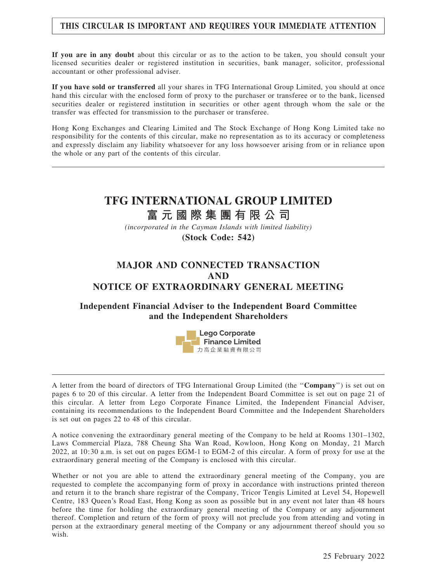## THIS CIRCULAR IS IMPORTANT AND REQUIRES YOUR IMMEDIATE ATTENTION

If you are in any doubt about this circular or as to the action to be taken, you should consult your licensed securities dealer or registered institution in securities, bank manager, solicitor, professional accountant or other professional adviser.

If you have sold or transferred all your shares in TFG International Group Limited, you should at once hand this circular with the enclosed form of proxy to the purchaser or transferee or to the bank, licensed securities dealer or registered institution in securities or other agent through whom the sale or the transfer was effected for transmission to the purchaser or transferee.

Hong Kong Exchanges and Clearing Limited and The Stock Exchange of Hong Kong Limited take no responsibility for the contents of this circular, make no representation as to its accuracy or completeness and expressly disclaim any liability whatsoever for any loss howsoever arising from or in reliance upon the whole or any part of the contents of this circular.

# **TFG INTERNATIONAL GROUP LIMITED**

# **富元國際集團有限公司**

*(incorporated in the Cayman Islands with limited liability)* **(Stock Code: 542)**

# MAJOR AND CONNECTED TRANSACTION AND NOTICE OF EXTRAORDINARY GENERAL MEETING

## Independent Financial Adviser to the Independent Board Committee and the Independent Shareholders



A letter from the board of directors of TFG International Group Limited (the ''Company'') is set out on pages 6 to 20 of this circular. A letter from the Independent Board Committee is set out on page 21 of this circular. A letter from Lego Corporate Finance Limited, the Independent Financial Adviser, containing its recommendations to the Independent Board Committee and the Independent Shareholders is set out on pages 22 to 48 of this circular.

A notice convening the extraordinary general meeting of the Company to be held at Rooms 1301–1302, Laws Commercial Plaza, 788 Cheung Sha Wan Road, Kowloon, Hong Kong on Monday, 21 March 2022, at 10:30 a.m. is set out on pages EGM-1 to EGM-2 of this circular. A form of proxy for use at the extraordinary general meeting of the Company is enclosed with this circular.

Whether or not you are able to attend the extraordinary general meeting of the Company, you are requested to complete the accompanying form of proxy in accordance with instructions printed thereon and return it to the branch share registrar of the Company, Tricor Tengis Limited at Level 54, Hopewell Centre, 183 Queen's Road East, Hong Kong as soon as possible but in any event not later than 48 hours before the time for holding the extraordinary general meeting of the Company or any adjournment thereof. Completion and return of the form of proxy will not preclude you from attending and voting in person at the extraordinary general meeting of the Company or any adjournment thereof should you so wish.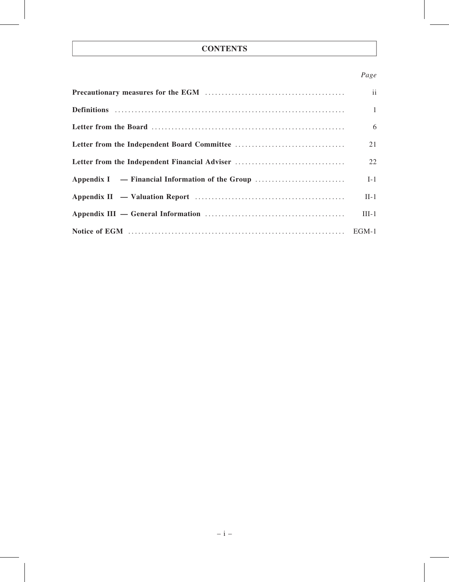## **CONTENTS**

## Page

|                                               | $\mathbf{ii}$ |
|-----------------------------------------------|---------------|
|                                               | $\mathbf{1}$  |
|                                               | 6             |
|                                               | 21            |
| Letter from the Independent Financial Adviser | 22            |
|                                               | $I-1$         |
|                                               | $II-1$        |
|                                               | $III-1$       |
|                                               |               |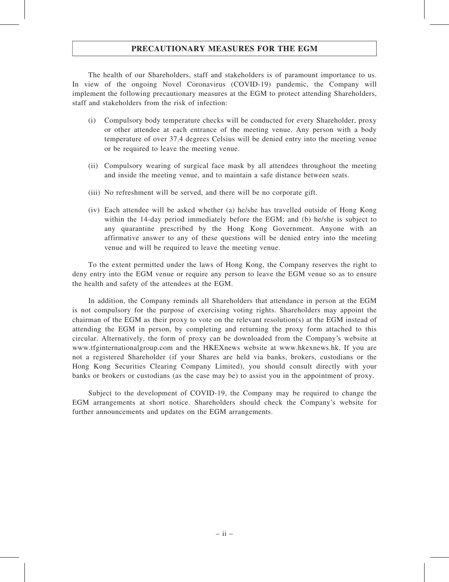## PRECAUTIONARY MEASURES FOR THE EGM

The health of our Shareholders, staff and stakeholders is of paramount importance to us. In view of the ongoing Novel Coronavirus (COVID-19) pandemic, the Company will implement the following precautionary measures at the EGM to protect attending Shareholders, staff and stakeholders from the risk of infection:

- (i) Compulsory body temperature checks will be conducted for every Shareholder, proxy or other attendee at each entrance of the meeting venue. Any person with a body temperature of over 37.4 degrees Celsius will be denied entry into the meeting venue or be required to leave the meeting venue.
- (ii) Compulsory wearing of surgical face mask by all attendees throughout the meeting and inside the meeting venue, and to maintain a safe distance between seats.
- (iii) No refreshment will be served, and there will be no corporate gift.
- (iv) Each attendee will be asked whether (a) he/she has travelled outside of Hong Kong within the 14-day period immediately before the EGM; and (b) he/she is subject to any quarantine prescribed by the Hong Kong Government. Anyone with an affirmative answer to any of these questions will be denied entry into the meeting venue and will be required to leave the meeting venue.

To the extent permitted under the laws of Hong Kong, the Company reserves the right to deny entry into the EGM venue or require any person to leave the EGM venue so as to ensure the health and safety of the attendees at the EGM.

In addition, the Company reminds all Shareholders that attendance in person at the EGM is not compulsory for the purpose of exercising voting rights. Shareholders may appoint the chairman of the EGM as their proxy to vote on the relevant resolution(s) at the EGM instead of attending the EGM in person, by completing and returning the proxy form attached to this circular. Alternatively, the form of proxy can be downloaded from the Company's website at www.tfginternationalgroup.com and the HKEXnews website at www.hkexnews.hk. If you are not a registered Shareholder (if your Shares are held via banks, brokers, custodians or the Hong Kong Securities Clearing Company Limited), you should consult directly with your banks or brokers or custodians (as the case may be) to assist you in the appointment of proxy.

Subject to the development of COVID-19, the Company may be required to change the EGM arrangements at short notice. Shareholders should check the Company's website for further announcements and updates on the EGM arrangements.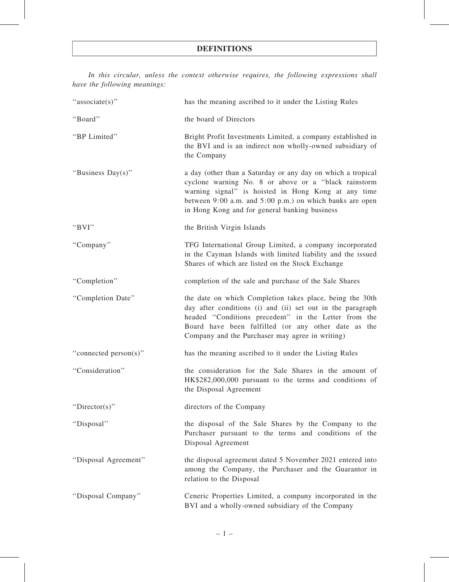In this circular, unless the context otherwise requires, the following expressions shall have the following meanings:

| "associate(s)"        | has the meaning ascribed to it under the Listing Rules                                                                                                                                                                                                                                   |
|-----------------------|------------------------------------------------------------------------------------------------------------------------------------------------------------------------------------------------------------------------------------------------------------------------------------------|
| "Board"               | the board of Directors                                                                                                                                                                                                                                                                   |
| "BP Limited"          | Bright Profit Investments Limited, a company established in<br>the BVI and is an indirect non wholly-owned subsidiary of<br>the Company                                                                                                                                                  |
| "Business Day(s)"     | a day (other than a Saturday or any day on which a tropical<br>cyclone warning No. 8 or above or a "black rainstorm<br>warning signal" is hoisted in Hong Kong at any time<br>between 9:00 a.m. and 5:00 p.m.) on which banks are open<br>in Hong Kong and for general banking business  |
| "BVI"                 | the British Virgin Islands                                                                                                                                                                                                                                                               |
| "Company"             | TFG International Group Limited, a company incorporated<br>in the Cayman Islands with limited liability and the issued<br>Shares of which are listed on the Stock Exchange                                                                                                               |
| "Completion"          | completion of the sale and purchase of the Sale Shares                                                                                                                                                                                                                                   |
| "Completion Date"     | the date on which Completion takes place, being the 30th<br>day after conditions (i) and (ii) set out in the paragraph<br>headed "Conditions precedent" in the Letter from the<br>Board have been fulfilled (or any other date as the<br>Company and the Purchaser may agree in writing) |
| "connected person(s)" | has the meaning ascribed to it under the Listing Rules                                                                                                                                                                                                                                   |
| "Consideration"       | the consideration for the Sale Shares in the amount of<br>HK\$282,000,000 pursuant to the terms and conditions of<br>the Disposal Agreement                                                                                                                                              |
| "Director(s)"         | directors of the Company                                                                                                                                                                                                                                                                 |
| "Disposal"            | the disposal of the Sale Shares by the Company to the<br>Purchaser pursuant to the terms and conditions of the<br>Disposal Agreement                                                                                                                                                     |
| "Disposal Agreement"  | the disposal agreement dated 5 November 2021 entered into<br>among the Company, the Purchaser and the Guarantor in<br>relation to the Disposal                                                                                                                                           |
| "Disposal Company"    | Ceneric Properties Limited, a company incorporated in the<br>BVI and a wholly-owned subsidiary of the Company                                                                                                                                                                            |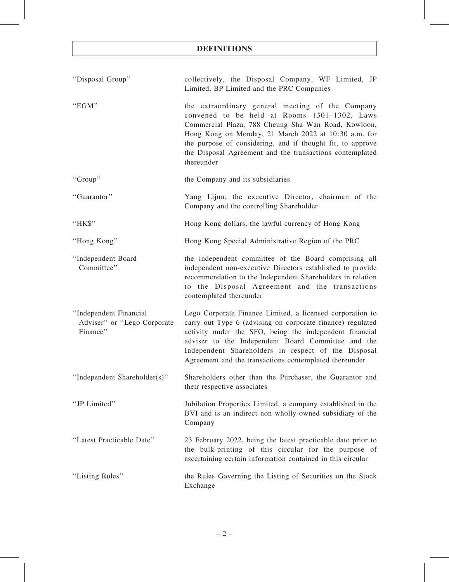| "Disposal Group"                                                  | collectively, the Disposal Company, WF Limited, JP<br>Limited, BP Limited and the PRC Companies                                                                                                                                                                                                                                                           |
|-------------------------------------------------------------------|-----------------------------------------------------------------------------------------------------------------------------------------------------------------------------------------------------------------------------------------------------------------------------------------------------------------------------------------------------------|
| "EGM"                                                             | the extraordinary general meeting of the Company<br>convened to be held at Rooms 1301-1302, Laws<br>Commercial Plaza, 788 Cheung Sha Wan Road, Kowloon,<br>Hong Kong on Monday, 21 March 2022 at 10:30 a.m. for<br>the purpose of considering, and if thought fit, to approve<br>the Disposal Agreement and the transactions contemplated<br>thereunder   |
| "Group"                                                           | the Company and its subsidiaries                                                                                                                                                                                                                                                                                                                          |
| "Guarantor"                                                       | Yang Lijun, the executive Director, chairman of the<br>Company and the controlling Shareholder                                                                                                                                                                                                                                                            |
| "HK\$"                                                            | Hong Kong dollars, the lawful currency of Hong Kong                                                                                                                                                                                                                                                                                                       |
| "Hong Kong"                                                       | Hong Kong Special Administrative Region of the PRC                                                                                                                                                                                                                                                                                                        |
| "Independent Board<br>Committee"                                  | the independent committee of the Board comprising all<br>independent non-executive Directors established to provide<br>recommendation to the Independent Shareholders in relation<br>to the Disposal Agreement and the transactions<br>contemplated thereunder                                                                                            |
| "Independent Financial<br>Adviser" or "Lego Corporate<br>Finance" | Lego Corporate Finance Limited, a licensed corporation to<br>carry out Type 6 (advising on corporate finance) regulated<br>activity under the SFO, being the independent financial<br>adviser to the Independent Board Committee and the<br>Independent Shareholders in respect of the Disposal<br>Agreement and the transactions contemplated thereunder |
| Independent Shareholder(s)"                                       | Shareholders other than the Purchaser, the Guarantor and<br>their respective associates                                                                                                                                                                                                                                                                   |
| "JP Limited"                                                      | Jubilation Properties Limited, a company established in the<br>BVI and is an indirect non wholly-owned subsidiary of the<br>Company                                                                                                                                                                                                                       |
| "Latest Practicable Date"                                         | 23 February 2022, being the latest practicable date prior to<br>the bulk-printing of this circular for the purpose of<br>ascertaining certain information contained in this circular                                                                                                                                                                      |
| "Listing Rules"                                                   | the Rules Governing the Listing of Securities on the Stock<br>Exchange                                                                                                                                                                                                                                                                                    |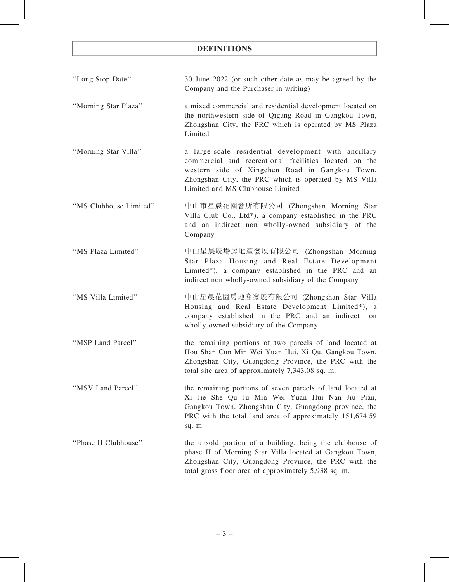- ''Long Stop Date'' 30 June 2022 (or such other date as may be agreed by the Company and the Purchaser in writing)
- ''Morning Star Plaza'' a mixed commercial and residential development located on the northwestern side of Qigang Road in Gangkou Town, Zhongshan City, the PRC which is operated by MS Plaza Limited
- ''Morning Star Villa'' a large-scale residential development with ancillary commercial and recreational facilities located on the western side of Xingchen Road in Gangkou Town, Zhongshan City, the PRC which is operated by MS Villa Limited and MS Clubhouse Limited
- ''MS Clubhouse Limited'' 中山市星晨花園會所有限公司 (Zhongshan Morning Star Villa Club Co., Ltd\*), a company established in the PRC and an indirect non wholly-owned subsidiary of the Company
- ''MS Plaza Limited'' 中山星晨廣場房地產發展有限公司 (Zhongshan Morning Star Plaza Housing and Real Estate Development Limited\*), a company established in the PRC and an indirect non wholly-owned subsidiary of the Company
- ''MS Villa Limited'' 中山星晨花園房地產發展有限公司 (Zhongshan Star Villa Housing and Real Estate Development Limited\*), a company established in the PRC and an indirect non wholly-owned subsidiary of the Company
- ''MSP Land Parcel'' the remaining portions of two parcels of land located at Hou Shan Cun Min Wei Yuan Hui, Xi Qu, Gangkou Town, Zhongshan City, Guangdong Province, the PRC with the total site area of approximately 7,343.08 sq. m.
- ''MSV Land Parcel'' the remaining portions of seven parcels of land located at Xi Jie She Qu Ju Min Wei Yuan Hui Nan Jiu Pian, Gangkou Town, Zhongshan City, Guangdong province, the PRC with the total land area of approximately 151,674.59 sq. m.
- ''Phase II Clubhouse'' the unsold portion of a building, being the clubhouse of phase II of Morning Star Villa located at Gangkou Town, Zhongshan City, Guangdong Province, the PRC with the total gross floor area of approximately 5,938 sq. m.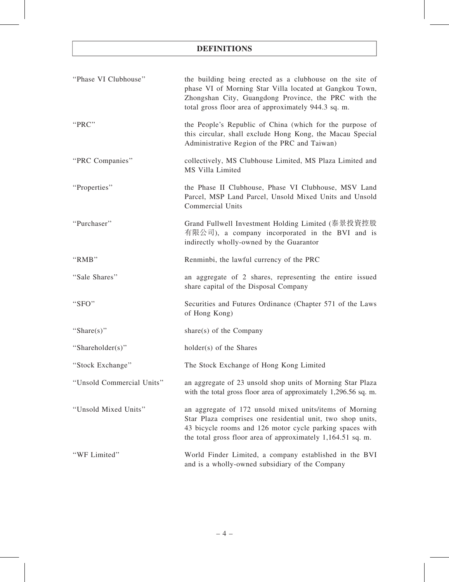| "Phase VI Clubhouse"      | the building being erected as a clubhouse on the site of<br>phase VI of Morning Star Villa located at Gangkou Town,<br>Zhongshan City, Guangdong Province, the PRC with the<br>total gross floor area of approximately 944.3 sq. m.              |
|---------------------------|--------------------------------------------------------------------------------------------------------------------------------------------------------------------------------------------------------------------------------------------------|
| "PRC"                     | the People's Republic of China (which for the purpose of<br>this circular, shall exclude Hong Kong, the Macau Special<br>Administrative Region of the PRC and Taiwan)                                                                            |
| "PRC Companies"           | collectively, MS Clubhouse Limited, MS Plaza Limited and<br>MS Villa Limited                                                                                                                                                                     |
| "Properties"              | the Phase II Clubhouse, Phase VI Clubhouse, MSV Land<br>Parcel, MSP Land Parcel, Unsold Mixed Units and Unsold<br><b>Commercial Units</b>                                                                                                        |
| "Purchaser"               | Grand Fullwell Investment Holding Limited (泰景投資控股<br>有限公司), a company incorporated in the BVI and is<br>indirectly wholly-owned by the Guarantor                                                                                                 |
| "RMB"                     | Renminbi, the lawful currency of the PRC                                                                                                                                                                                                         |
| "Sale Shares"             | an aggregate of 2 shares, representing the entire issued<br>share capital of the Disposal Company                                                                                                                                                |
| "SFO"                     | Securities and Futures Ordinance (Chapter 571 of the Laws<br>of Hong Kong)                                                                                                                                                                       |
| "Share(s)"                | share(s) of the Company                                                                                                                                                                                                                          |
| "Shareholder(s)"          | holder(s) of the Shares                                                                                                                                                                                                                          |
| "Stock Exchange"          | The Stock Exchange of Hong Kong Limited                                                                                                                                                                                                          |
| "Unsold Commercial Units" | an aggregate of 23 unsold shop units of Morning Star Plaza<br>with the total gross floor area of approximately 1,296.56 sq. m.                                                                                                                   |
| "Unsold Mixed Units"      | an aggregate of 172 unsold mixed units/items of Morning<br>Star Plaza comprises one residential unit, two shop units,<br>43 bicycle rooms and 126 motor cycle parking spaces with<br>the total gross floor area of approximately 1,164.51 sq. m. |
| "WF Limited"              | World Finder Limited, a company established in the BVI<br>and is a wholly-owned subsidiary of the Company                                                                                                                                        |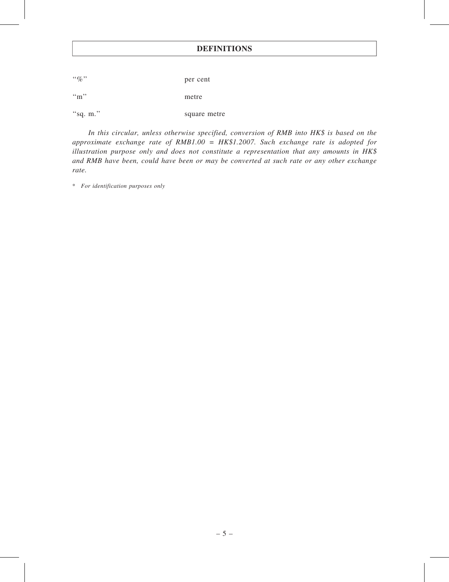''%'' per cent ''m'' metre "sq. m." square metre

In this circular, unless otherwise specified, conversion of RMB into HK\$ is based on the approximate exchange rate of  $RMB1.00 = HK$1.2007$ . Such exchange rate is adopted for illustration purpose only and does not constitute a representation that any amounts in HK\$ and RMB have been, could have been or may be converted at such rate or any other exchange rate.

\* For identification purposes only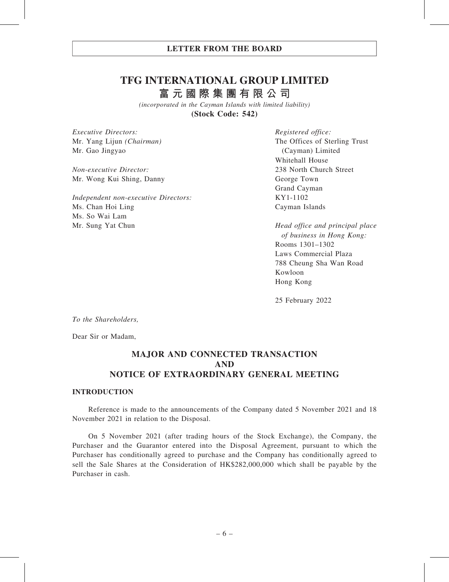# **TFG INTERNATIONAL GROUP LIMITED**

**富元國際集團有限公司**

*(incorporated in the Cayman Islands with limited liability)* **(Stock Code: 542)**

Executive Directors: Mr. Yang Lijun (Chairman) Mr. Gao Jingyao

Non-executive Director: Mr. Wong Kui Shing, Danny

Independent non-executive Directors: Ms. Chan Hoi Ling Ms. So Wai Lam Mr. Sung Yat Chun

Registered office: The Offices of Sterling Trust (Cayman) Limited Whitehall House 238 North Church Street George Town Grand Cayman KY1-1102 Cayman Islands

Head office and principal place of business in Hong Kong: Rooms 1301–1302 Laws Commercial Plaza 788 Cheung Sha Wan Road Kowloon Hong Kong

25 February 2022

To the Shareholders,

Dear Sir or Madam,

## MAJOR AND CONNECTED TRANSACTION AND NOTICE OF EXTRAORDINARY GENERAL MEETING

#### INTRODUCTION

Reference is made to the announcements of the Company dated 5 November 2021 and 18 November 2021 in relation to the Disposal.

On 5 November 2021 (after trading hours of the Stock Exchange), the Company, the Purchaser and the Guarantor entered into the Disposal Agreement, pursuant to which the Purchaser has conditionally agreed to purchase and the Company has conditionally agreed to sell the Sale Shares at the Consideration of HK\$282,000,000 which shall be payable by the Purchaser in cash.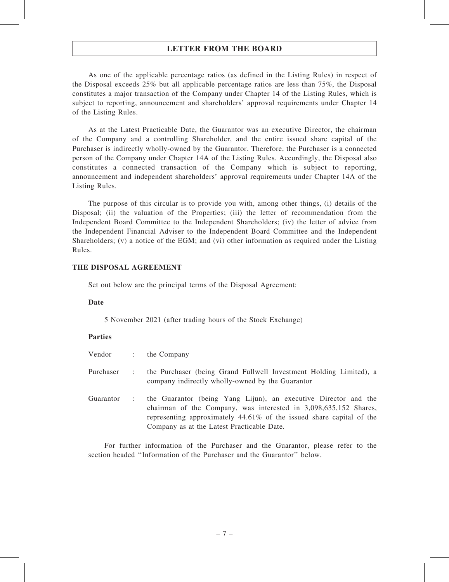As one of the applicable percentage ratios (as defined in the Listing Rules) in respect of the Disposal exceeds 25% but all applicable percentage ratios are less than 75%, the Disposal constitutes a major transaction of the Company under Chapter 14 of the Listing Rules, which is subject to reporting, announcement and shareholders' approval requirements under Chapter 14 of the Listing Rules.

As at the Latest Practicable Date, the Guarantor was an executive Director, the chairman of the Company and a controlling Shareholder, and the entire issued share capital of the Purchaser is indirectly wholly-owned by the Guarantor. Therefore, the Purchaser is a connected person of the Company under Chapter 14A of the Listing Rules. Accordingly, the Disposal also constitutes a connected transaction of the Company which is subject to reporting, announcement and independent shareholders' approval requirements under Chapter 14A of the Listing Rules.

The purpose of this circular is to provide you with, among other things, (i) details of the Disposal; (ii) the valuation of the Properties; (iii) the letter of recommendation from the Independent Board Committee to the Independent Shareholders; (iv) the letter of advice from the Independent Financial Adviser to the Independent Board Committee and the Independent Shareholders; (v) a notice of the EGM; and (vi) other information as required under the Listing Rules.

#### THE DISPOSAL AGREEMENT

Set out below are the principal terms of the Disposal Agreement:

#### Date

5 November 2021 (after trading hours of the Stock Exchange)

#### Parties

| Vendor :  |                      | the Company                                                                                                                                                                                                                                               |
|-----------|----------------------|-----------------------------------------------------------------------------------------------------------------------------------------------------------------------------------------------------------------------------------------------------------|
| Purchaser | $\ddot{\phantom{a}}$ | the Purchaser (being Grand Fullwell Investment Holding Limited), a<br>company indirectly wholly-owned by the Guarantor                                                                                                                                    |
| Guarantor |                      | the Guarantor (being Yang Lijun), an executive Director and the<br>chairman of the Company, was interested in 3,098,635,152 Shares,<br>representing approximately 44.61% of the issued share capital of the<br>Company as at the Latest Practicable Date. |

For further information of the Purchaser and the Guarantor, please refer to the section headed ''Information of the Purchaser and the Guarantor'' below.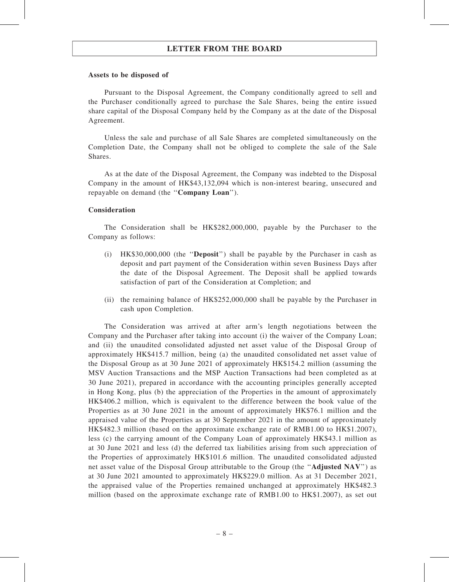#### Assets to be disposed of

Pursuant to the Disposal Agreement, the Company conditionally agreed to sell and the Purchaser conditionally agreed to purchase the Sale Shares, being the entire issued share capital of the Disposal Company held by the Company as at the date of the Disposal Agreement.

Unless the sale and purchase of all Sale Shares are completed simultaneously on the Completion Date, the Company shall not be obliged to complete the sale of the Sale Shares.

As at the date of the Disposal Agreement, the Company was indebted to the Disposal Company in the amount of HK\$43,132,094 which is non-interest bearing, unsecured and repayable on demand (the ''Company Loan'').

#### Consideration

The Consideration shall be HK\$282,000,000, payable by the Purchaser to the Company as follows:

- (i) HK\$30,000,000 (the ''Deposit'') shall be payable by the Purchaser in cash as deposit and part payment of the Consideration within seven Business Days after the date of the Disposal Agreement. The Deposit shall be applied towards satisfaction of part of the Consideration at Completion; and
- (ii) the remaining balance of HK\$252,000,000 shall be payable by the Purchaser in cash upon Completion.

The Consideration was arrived at after arm's length negotiations between the Company and the Purchaser after taking into account (i) the waiver of the Company Loan; and (ii) the unaudited consolidated adjusted net asset value of the Disposal Group of approximately HK\$415.7 million, being (a) the unaudited consolidated net asset value of the Disposal Group as at 30 June 2021 of approximately HK\$154.2 million (assuming the MSV Auction Transactions and the MSP Auction Transactions had been completed as at 30 June 2021), prepared in accordance with the accounting principles generally accepted in Hong Kong, plus (b) the appreciation of the Properties in the amount of approximately HK\$406.2 million, which is equivalent to the difference between the book value of the Properties as at 30 June 2021 in the amount of approximately HK\$76.1 million and the appraised value of the Properties as at 30 September 2021 in the amount of approximately HK\$482.3 million (based on the approximate exchange rate of RMB1.00 to HK\$1.2007), less (c) the carrying amount of the Company Loan of approximately HK\$43.1 million as at 30 June 2021 and less (d) the deferred tax liabilities arising from such appreciation of the Properties of approximately HK\$101.6 million. The unaudited consolidated adjusted net asset value of the Disposal Group attributable to the Group (the ''Adjusted NAV'') as at 30 June 2021 amounted to approximately HK\$229.0 million. As at 31 December 2021, the appraised value of the Properties remained unchanged at approximately HK\$482.3 million (based on the approximate exchange rate of RMB1.00 to HK\$1.2007), as set out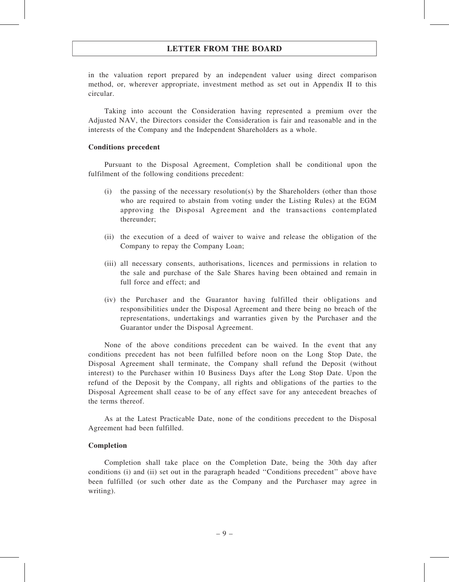in the valuation report prepared by an independent valuer using direct comparison method, or, wherever appropriate, investment method as set out in Appendix II to this circular.

Taking into account the Consideration having represented a premium over the Adjusted NAV, the Directors consider the Consideration is fair and reasonable and in the interests of the Company and the Independent Shareholders as a whole.

#### Conditions precedent

Pursuant to the Disposal Agreement, Completion shall be conditional upon the fulfilment of the following conditions precedent:

- (i) the passing of the necessary resolution(s) by the Shareholders (other than those who are required to abstain from voting under the Listing Rules) at the EGM approving the Disposal Agreement and the transactions contemplated thereunder;
- (ii) the execution of a deed of waiver to waive and release the obligation of the Company to repay the Company Loan;
- (iii) all necessary consents, authorisations, licences and permissions in relation to the sale and purchase of the Sale Shares having been obtained and remain in full force and effect; and
- (iv) the Purchaser and the Guarantor having fulfilled their obligations and responsibilities under the Disposal Agreement and there being no breach of the representations, undertakings and warranties given by the Purchaser and the Guarantor under the Disposal Agreement.

None of the above conditions precedent can be waived. In the event that any conditions precedent has not been fulfilled before noon on the Long Stop Date, the Disposal Agreement shall terminate, the Company shall refund the Deposit (without interest) to the Purchaser within 10 Business Days after the Long Stop Date. Upon the refund of the Deposit by the Company, all rights and obligations of the parties to the Disposal Agreement shall cease to be of any effect save for any antecedent breaches of the terms thereof.

As at the Latest Practicable Date, none of the conditions precedent to the Disposal Agreement had been fulfilled.

#### Completion

Completion shall take place on the Completion Date, being the 30th day after conditions (i) and (ii) set out in the paragraph headed ''Conditions precedent'' above have been fulfilled (or such other date as the Company and the Purchaser may agree in writing).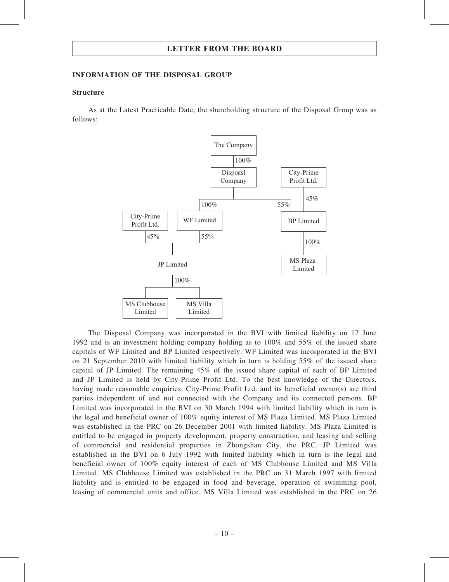#### INFORMATION OF THE DISPOSAL GROUP

#### Structure

As at the Latest Practicable Date, the shareholding structure of the Disposal Group was as follows:



The Disposal Company was incorporated in the BVI with limited liability on 17 June 1992 and is an investment holding company holding as to 100% and 55% of the issued share capitals of WF Limited and BP Limited respectively. WF Limited was incorporated in the BVI on 21 September 2010 with limited liability which in turn is holding 55% of the issued share capital of JP Limited. The remaining 45% of the issued share capital of each of BP Limited and JP Limited is held by City-Prime Profit Ltd. To the best knowledge of the Directors, having made reasonable enquiries, City-Prime Profit Ltd. and its beneficial owner(s) are third parties independent of and not connected with the Company and its connected persons. BP Limited was incorporated in the BVI on 30 March 1994 with limited liability which in turn is the legal and beneficial owner of 100% equity interest of MS Plaza Limited. MS Plaza Limited was established in the PRC on 26 December 2001 with limited liability. MS Plaza Limited is entitled to be engaged in property development, property construction, and leasing and selling of commercial and residential properties in Zhongshan City, the PRC. JP Limited was established in the BVI on 6 July 1992 with limited liability which in turn is the legal and beneficial owner of 100% equity interest of each of MS Clubhouse Limited and MS Villa Limited. MS Clubhouse Limited was established in the PRC on 31 March 1997 with limited liability and is entitled to be engaged in food and beverage, operation of swimming pool, leasing of commercial units and office. MS Villa Limited was established in the PRC on 26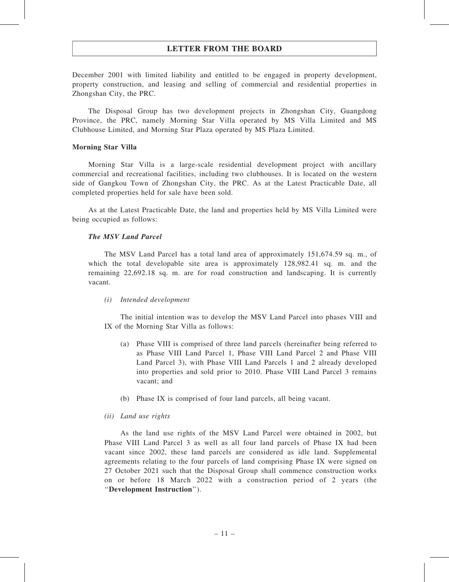December 2001 with limited liability and entitled to be engaged in property development, property construction, and leasing and selling of commercial and residential properties in Zhongshan City, the PRC.

The Disposal Group has two development projects in Zhongshan City, Guangdong Province, the PRC, namely Morning Star Villa operated by MS Villa Limited and MS Clubhouse Limited, and Morning Star Plaza operated by MS Plaza Limited.

#### Morning Star Villa

Morning Star Villa is a large-scale residential development project with ancillary commercial and recreational facilities, including two clubhouses. It is located on the western side of Gangkou Town of Zhongshan City, the PRC. As at the Latest Practicable Date, all completed properties held for sale have been sold.

As at the Latest Practicable Date, the land and properties held by MS Villa Limited were being occupied as follows:

#### The MSV Land Parcel

The MSV Land Parcel has a total land area of approximately 151,674.59 sq. m., of which the total developable site area is approximately 128,982.41 sq. m. and the remaining 22,692.18 sq. m. are for road construction and landscaping. It is currently vacant.

#### (i) Intended development

The initial intention was to develop the MSV Land Parcel into phases VIII and IX of the Morning Star Villa as follows:

- (a) Phase VIII is comprised of three land parcels (hereinafter being referred to as Phase VIII Land Parcel 1, Phase VIII Land Parcel 2 and Phase VIII Land Parcel 3), with Phase VIII Land Parcels 1 and 2 already developed into properties and sold prior to 2010. Phase VIII Land Parcel 3 remains vacant; and
- (b) Phase IX is comprised of four land parcels, all being vacant.
- (ii) Land use rights

As the land use rights of the MSV Land Parcel were obtained in 2002, but Phase VIII Land Parcel 3 as well as all four land parcels of Phase IX had been vacant since 2002, these land parcels are considered as idle land. Supplemental agreements relating to the four parcels of land comprising Phase IX were signed on 27 October 2021 such that the Disposal Group shall commence construction works on or before 18 March 2022 with a construction period of 2 years (the ''Development Instruction'').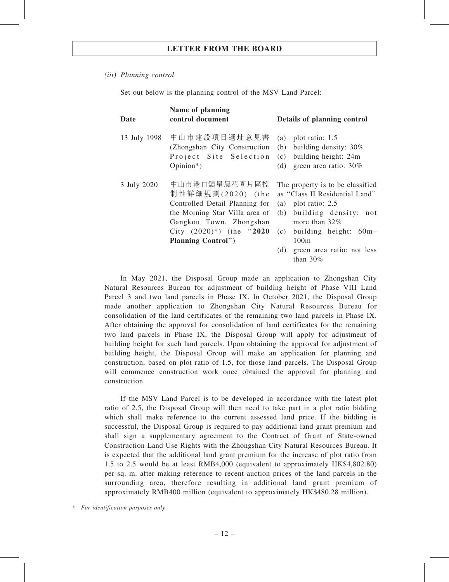#### (iii) Planning control

Set out below is the planning control of the MSV Land Parcel:

| Date         | Name of planning<br>control document                                                                                                                                                               | Details of planning control                                                                                                                                                                                                                 |
|--------------|----------------------------------------------------------------------------------------------------------------------------------------------------------------------------------------------------|---------------------------------------------------------------------------------------------------------------------------------------------------------------------------------------------------------------------------------------------|
| 13 July 1998 | 中山市建設項目選址意見書<br>(Zhongshan City Construction)<br>Project Site Selection<br>$Opinion*$ )                                                                                                            | plot ratio: 1.5<br>(a)<br>building density: 30%<br>(b)<br>building height: 24m<br>(c)<br>green area ratio: 30%<br>(d)                                                                                                                       |
| 3 July 2020  | 中山市港口鎮星晨花園片區控<br>制性詳細規劃(2020) (the<br>Controlled Detail Planning for<br>the Morning Star Villa area of<br>Gangkou Town, Zhongshan<br>City $(2020)^{*}$ ) (the "2020"<br><b>Planning Control</b> ") | The property is to be classified<br>as "Class II Residential Land"<br>(a) plot ratio: $2.5$<br>building density: not<br>(b)<br>more than $32\%$<br>building height: 60m-<br>(c)<br>100m<br>(d)<br>green area ratio: not less<br>than $30\%$ |

In May 2021, the Disposal Group made an application to Zhongshan City Natural Resources Bureau for adjustment of building height of Phase VIII Land Parcel 3 and two land parcels in Phase IX. In October 2021, the Disposal Group made another application to Zhongshan City Natural Resources Bureau for consolidation of the land certificates of the remaining two land parcels in Phase IX. After obtaining the approval for consolidation of land certificates for the remaining two land parcels in Phase IX, the Disposal Group will apply for adjustment of building height for such land parcels. Upon obtaining the approval for adjustment of building height, the Disposal Group will make an application for planning and construction, based on plot ratio of 1.5, for those land parcels. The Disposal Group will commence construction work once obtained the approval for planning and construction.

If the MSV Land Parcel is to be developed in accordance with the latest plot ratio of 2.5, the Disposal Group will then need to take part in a plot ratio bidding which shall make reference to the current assessed land price. If the bidding is successful, the Disposal Group is required to pay additional land grant premium and shall sign a supplementary agreement to the Contract of Grant of State-owned Construction Land Use Rights with the Zhongshan City Natural Resources Bureau. It is expected that the additional land grant premium for the increase of plot ratio from 1.5 to 2.5 would be at least RMB4,000 (equivalent to approximately HK\$4,802.80) per sq. m. after making reference to recent auction prices of the land parcels in the surrounding area, therefore resulting in additional land grant premium of approximately RMB400 million (equivalent to approximately HK\$480.28 million).

\* For identification purposes only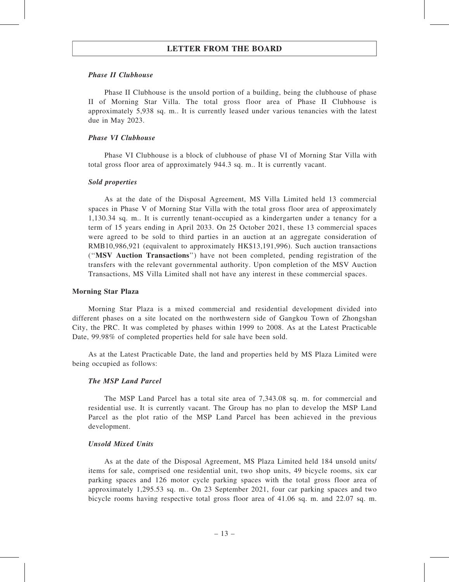#### Phase II Clubhouse

Phase II Clubhouse is the unsold portion of a building, being the clubhouse of phase II of Morning Star Villa. The total gross floor area of Phase II Clubhouse is approximately 5,938 sq. m.. It is currently leased under various tenancies with the latest due in May 2023.

#### Phase VI Clubhouse

Phase VI Clubhouse is a block of clubhouse of phase VI of Morning Star Villa with total gross floor area of approximately 944.3 sq. m.. It is currently vacant.

## Sold properties

As at the date of the Disposal Agreement, MS Villa Limited held 13 commercial spaces in Phase V of Morning Star Villa with the total gross floor area of approximately 1,130.34 sq. m.. It is currently tenant-occupied as a kindergarten under a tenancy for a term of 15 years ending in April 2033. On 25 October 2021, these 13 commercial spaces were agreed to be sold to third parties in an auction at an aggregate consideration of RMB10,986,921 (equivalent to approximately HK\$13,191,996). Such auction transactions (''MSV Auction Transactions'') have not been completed, pending registration of the transfers with the relevant governmental authority. Upon completion of the MSV Auction Transactions, MS Villa Limited shall not have any interest in these commercial spaces.

#### Morning Star Plaza

Morning Star Plaza is a mixed commercial and residential development divided into different phases on a site located on the northwestern side of Gangkou Town of Zhongshan City, the PRC. It was completed by phases within 1999 to 2008. As at the Latest Practicable Date, 99.98% of completed properties held for sale have been sold.

As at the Latest Practicable Date, the land and properties held by MS Plaza Limited were being occupied as follows:

#### The MSP Land Parcel

The MSP Land Parcel has a total site area of 7,343.08 sq. m. for commercial and residential use. It is currently vacant. The Group has no plan to develop the MSP Land Parcel as the plot ratio of the MSP Land Parcel has been achieved in the previous development.

#### Unsold Mixed Units

As at the date of the Disposal Agreement, MS Plaza Limited held 184 unsold units/ items for sale, comprised one residential unit, two shop units, 49 bicycle rooms, six car parking spaces and 126 motor cycle parking spaces with the total gross floor area of approximately 1,295.53 sq. m.. On 23 September 2021, four car parking spaces and two bicycle rooms having respective total gross floor area of 41.06 sq. m. and 22.07 sq. m.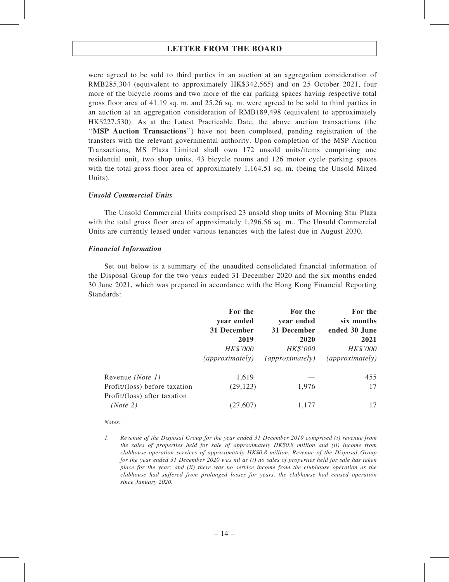were agreed to be sold to third parties in an auction at an aggregation consideration of RMB285,304 (equivalent to approximately HK\$342,565) and on 25 October 2021, four more of the bicycle rooms and two more of the car parking spaces having respective total gross floor area of 41.19 sq. m. and 25.26 sq. m. were agreed to be sold to third parties in an auction at an aggregation consideration of RMB189,498 (equivalent to approximately HK\$227,530). As at the Latest Practicable Date, the above auction transactions (the ''MSP Auction Transactions'') have not been completed, pending registration of the transfers with the relevant governmental authority. Upon completion of the MSP Auction Transactions, MS Plaza Limited shall own 172 unsold units/items comprising one residential unit, two shop units, 43 bicycle rooms and 126 motor cycle parking spaces with the total gross floor area of approximately 1,164.51 sq. m. (being the Unsold Mixed Units).

#### Unsold Commercial Units

The Unsold Commercial Units comprised 23 unsold shop units of Morning Star Plaza with the total gross floor area of approximately 1,296.56 sq. m.. The Unsold Commercial Units are currently leased under various tenancies with the latest due in August 2030.

#### Financial Information

Set out below is a summary of the unaudited consolidated financial information of the Disposal Group for the two years ended 31 December 2020 and the six months ended 30 June 2021, which was prepared in accordance with the Hong Kong Financial Reporting Standards:

|                                                               | For the<br>year ended<br>31 December<br>2019<br>HK\$'000<br>(approximate <sub>l</sub> | For the<br>year ended<br>31 December<br>2020<br>HK\$'000<br>(approximately) | For the<br>six months<br>ended 30 June<br>2021<br>HK\$'000<br>(approximately) |
|---------------------------------------------------------------|---------------------------------------------------------------------------------------|-----------------------------------------------------------------------------|-------------------------------------------------------------------------------|
| Revenue (Note 1)                                              | 1,619                                                                                 |                                                                             | 455                                                                           |
| Profit/(loss) before taxation<br>Profit/(loss) after taxation | (29, 123)                                                                             | 1,976                                                                       | 17                                                                            |
| (Note 2)                                                      | (27, 607)                                                                             | 1,177                                                                       | 17                                                                            |

#### Notes:

<sup>1.</sup> Revenue of the Disposal Group for the year ended 31 December 2019 comprised (i) revenue from the sales of properties held for sale of approximately HK\$0.8 million and (ii) income from clubhouse operation services of approximately HK\$0.8 million. Revenue of the Disposal Group for the year ended 31 December 2020 was nil as (i) no sales of properties held for sale has taken place for the year; and (ii) there was no service income from the clubhouse operation as the clubhouse had suffered from prolonged losses for years, the clubhouse had ceased operation since January 2020.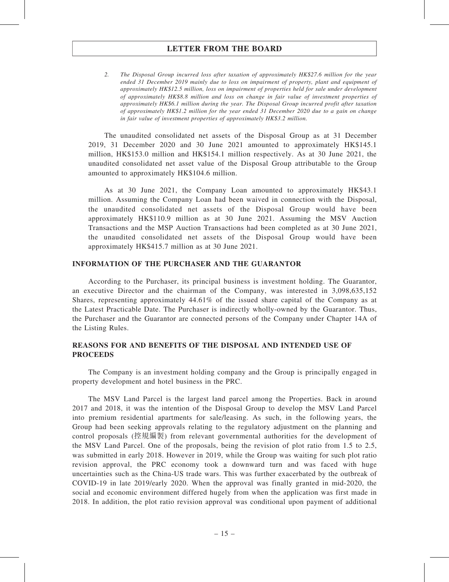2. The Disposal Group incurred loss after taxation of approximately HK\$27.6 million for the year ended 31 December 2019 mainly due to loss on impairment of property, plant and equipment of approximately HK\$12.5 million, loss on impairment of properties held for sale under development of approximately HK\$8.8 million and loss on change in fair value of investment properties of approximately HK\$6.1 million during the year. The Disposal Group incurred profit after taxation of approximately HK\$1.2 million for the year ended 31 December 2020 due to a gain on change in fair value of investment properties of approximately HK\$3.2 million.

The unaudited consolidated net assets of the Disposal Group as at 31 December 2019, 31 December 2020 and 30 June 2021 amounted to approximately HK\$145.1 million, HK\$153.0 million and HK\$154.1 million respectively. As at 30 June 2021, the unaudited consolidated net asset value of the Disposal Group attributable to the Group amounted to approximately HK\$104.6 million.

As at 30 June 2021, the Company Loan amounted to approximately HK\$43.1 million. Assuming the Company Loan had been waived in connection with the Disposal, the unaudited consolidated net assets of the Disposal Group would have been approximately HK\$110.9 million as at 30 June 2021. Assuming the MSV Auction Transactions and the MSP Auction Transactions had been completed as at 30 June 2021, the unaudited consolidated net assets of the Disposal Group would have been approximately HK\$415.7 million as at 30 June 2021.

#### INFORMATION OF THE PURCHASER AND THE GUARANTOR

According to the Purchaser, its principal business is investment holding. The Guarantor, an executive Director and the chairman of the Company, was interested in 3,098,635,152 Shares, representing approximately 44.61% of the issued share capital of the Company as at the Latest Practicable Date. The Purchaser is indirectly wholly-owned by the Guarantor. Thus, the Purchaser and the Guarantor are connected persons of the Company under Chapter 14A of the Listing Rules.

#### REASONS FOR AND BENEFITS OF THE DISPOSAL AND INTENDED USE OF **PROCEEDS**

The Company is an investment holding company and the Group is principally engaged in property development and hotel business in the PRC.

The MSV Land Parcel is the largest land parcel among the Properties. Back in around 2017 and 2018, it was the intention of the Disposal Group to develop the MSV Land Parcel into premium residential apartments for sale/leasing. As such, in the following years, the Group had been seeking approvals relating to the regulatory adjustment on the planning and control proposals (控規編製) from relevant governmental authorities for the development of the MSV Land Parcel. One of the proposals, being the revision of plot ratio from 1.5 to 2.5, was submitted in early 2018. However in 2019, while the Group was waiting for such plot ratio revision approval, the PRC economy took a downward turn and was faced with huge uncertainties such as the China-US trade wars. This was further exacerbated by the outbreak of COVID-19 in late 2019/early 2020. When the approval was finally granted in mid-2020, the social and economic environment differed hugely from when the application was first made in 2018. In addition, the plot ratio revision approval was conditional upon payment of additional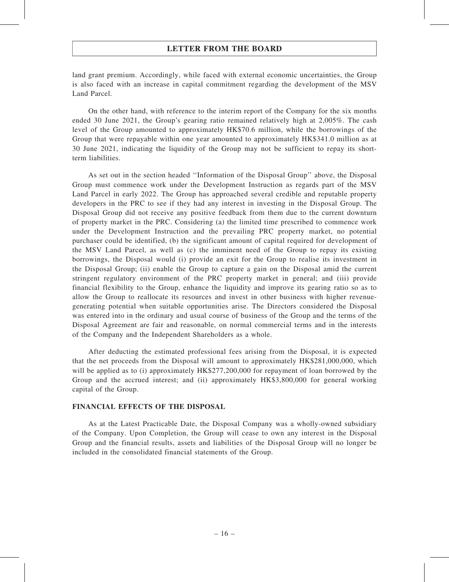land grant premium. Accordingly, while faced with external economic uncertainties, the Group is also faced with an increase in capital commitment regarding the development of the MSV Land Parcel.

On the other hand, with reference to the interim report of the Company for the six months ended 30 June 2021, the Group's gearing ratio remained relatively high at 2,005%. The cash level of the Group amounted to approximately HK\$70.6 million, while the borrowings of the Group that were repayable within one year amounted to approximately HK\$341.0 million as at 30 June 2021, indicating the liquidity of the Group may not be sufficient to repay its shortterm liabilities.

As set out in the section headed ''Information of the Disposal Group'' above, the Disposal Group must commence work under the Development Instruction as regards part of the MSV Land Parcel in early 2022. The Group has approached several credible and reputable property developers in the PRC to see if they had any interest in investing in the Disposal Group. The Disposal Group did not receive any positive feedback from them due to the current downturn of property market in the PRC. Considering (a) the limited time prescribed to commence work under the Development Instruction and the prevailing PRC property market, no potential purchaser could be identified, (b) the significant amount of capital required for development of the MSV Land Parcel, as well as (c) the imminent need of the Group to repay its existing borrowings, the Disposal would (i) provide an exit for the Group to realise its investment in the Disposal Group; (ii) enable the Group to capture a gain on the Disposal amid the current stringent regulatory environment of the PRC property market in general; and (iii) provide financial flexibility to the Group, enhance the liquidity and improve its gearing ratio so as to allow the Group to reallocate its resources and invest in other business with higher revenuegenerating potential when suitable opportunities arise. The Directors considered the Disposal was entered into in the ordinary and usual course of business of the Group and the terms of the Disposal Agreement are fair and reasonable, on normal commercial terms and in the interests of the Company and the Independent Shareholders as a whole.

After deducting the estimated professional fees arising from the Disposal, it is expected that the net proceeds from the Disposal will amount to approximately HK\$281,000,000, which will be applied as to (i) approximately HK\$277,200,000 for repayment of loan borrowed by the Group and the accrued interest; and (ii) approximately HK\$3,800,000 for general working capital of the Group.

#### FINANCIAL EFFECTS OF THE DISPOSAL

As at the Latest Practicable Date, the Disposal Company was a wholly-owned subsidiary of the Company. Upon Completion, the Group will cease to own any interest in the Disposal Group and the financial results, assets and liabilities of the Disposal Group will no longer be included in the consolidated financial statements of the Group.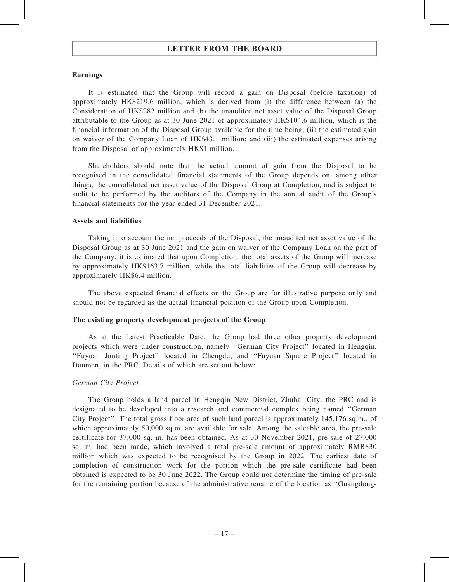#### Earnings

It is estimated that the Group will record a gain on Disposal (before taxation) of approximately HK\$219.6 million, which is derived from (i) the difference between (a) the Consideration of HK\$282 million and (b) the unaudited net asset value of the Disposal Group attributable to the Group as at 30 June 2021 of approximately HK\$104.6 million, which is the financial information of the Disposal Group available for the time being; (ii) the estimated gain on waiver of the Company Loan of HK\$43.1 million; and (iii) the estimated expenses arising from the Disposal of approximately HK\$1 million.

Shareholders should note that the actual amount of gain from the Disposal to be recognised in the consolidated financial statements of the Group depends on, among other things, the consolidated net asset value of the Disposal Group at Completion, and is subject to audit to be performed by the auditors of the Company in the annual audit of the Group's financial statements for the year ended 31 December 2021.

#### Assets and liabilities

Taking into account the net proceeds of the Disposal, the unaudited net asset value of the Disposal Group as at 30 June 2021 and the gain on waiver of the Company Loan on the part of the Company, it is estimated that upon Completion, the total assets of the Group will increase by approximately HK\$163.7 million, while the total liabilities of the Group will decrease by approximately HK\$6.4 million.

The above expected financial effects on the Group are for illustrative purpose only and should not be regarded as the actual financial position of the Group upon Completion.

#### The existing property development projects of the Group

As at the Latest Practicable Date, the Group had three other property development projects which were under construction, namely ''German City Project'' located in Hengqin, ''Fuyuan Junting Project'' located in Chengdu, and ''Fuyuan Square Project'' located in Doumen, in the PRC. Details of which are set out below:

#### German City Project

The Group holds a land parcel in Hengqin New District, Zhuhai City, the PRC and is designated to be developed into a research and commercial complex being named ''German City Project''. The total gross floor area of such land parcel is approximately 145,176 sq.m., of which approximately 50,000 sq.m. are available for sale. Among the saleable area, the pre-sale certificate for 37,000 sq. m. has been obtained. As at 30 November 2021, pre-sale of 27,000 sq. m. had been made, which involved a total pre-sale amount of approximately RMB830 million which was expected to be recognised by the Group in 2022. The earliest date of completion of construction work for the portion which the pre-sale certificate had been obtained is expected to be 30 June 2022. The Group could not determine the timing of pre-sale for the remaining portion because of the administrative rename of the location as ''Guangdong-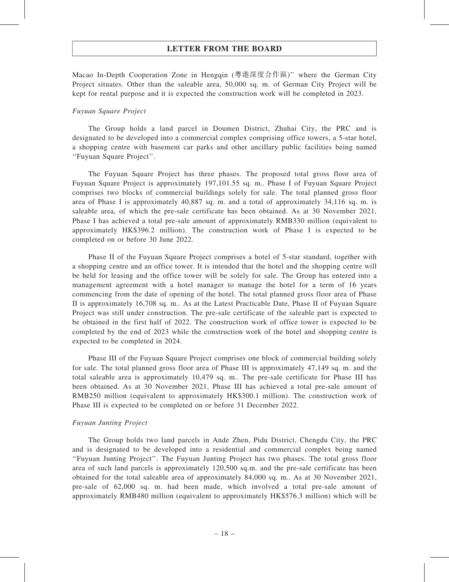Macao In-Depth Cooperation Zone in Hengqin (粵港深度合作區)'' where the German City Project situates. Other than the saleable area, 50,000 sq. m. of German City Project will be kept for rental purpose and it is expected the construction work will be completed in 2023.

#### Fuyuan Square Project

The Group holds a land parcel in Doumen District, Zhuhai City, the PRC and is designated to be developed into a commercial complex comprising office towers, a 5-star hotel, a shopping centre with basement car parks and other ancillary public facilities being named ''Fuyuan Square Project''.

The Fuyuan Square Project has three phases. The proposed total gross floor area of Fuyuan Square Project is approximately 197,101.55 sq. m.. Phase I of Fuyuan Square Project comprises two blocks of commercial buildings solely for sale. The total planned gross floor area of Phase I is approximately 40,887 sq. m. and a total of approximately 34,116 sq. m. is saleable area, of which the pre-sale certificate has been obtained. As at 30 November 2021, Phase I has achieved a total pre-sale amount of approximately RMB330 million (equivalent to approximately HK\$396.2 million). The construction work of Phase I is expected to be completed on or before 30 June 2022.

Phase II of the Fuyuan Square Project comprises a hotel of 5-star standard, together with a shopping centre and an office tower. It is intended that the hotel and the shopping centre will be held for leasing and the office tower will be solely for sale. The Group has entered into a management agreement with a hotel manager to manage the hotel for a term of 16 years commencing from the date of opening of the hotel. The total planned gross floor area of Phase II is approximately 16,708 sq. m.. As at the Latest Practicable Date, Phase II of Fuyuan Square Project was still under construction. The pre-sale certificate of the saleable part is expected to be obtained in the first half of 2022. The construction work of office tower is expected to be completed by the end of 2023 while the construction work of the hotel and shopping centre is expected to be completed in 2024.

Phase III of the Fuyuan Square Project comprises one block of commercial building solely for sale. The total planned gross floor area of Phase III is approximately 47,149 sq. m. and the total saleable area is approximately 10,479 sq. m.. The pre-sale certificate for Phase III has been obtained. As at 30 November 2021, Phase III has achieved a total pre-sale amount of RMB250 million (equivalent to approximately HK\$300.1 million). The construction work of Phase III is expected to be completed on or before 31 December 2022.

#### Fuyuan Junting Project

The Group holds two land parcels in Ande Zhen, Pidu District, Chengdu City, the PRC and is designated to be developed into a residential and commercial complex being named "Fuyuan Junting Project". The Fuyuan Junting Project has two phases. The total gross floor area of such land parcels is approximately 120,500 sq.m. and the pre-sale certificate has been obtained for the total saleable area of approximately 84,000 sq. m.. As at 30 November 2021, pre-sale of 62,000 sq. m. had been made, which involved a total pre-sale amount of approximately RMB480 million (equivalent to approximately HK\$576.3 million) which will be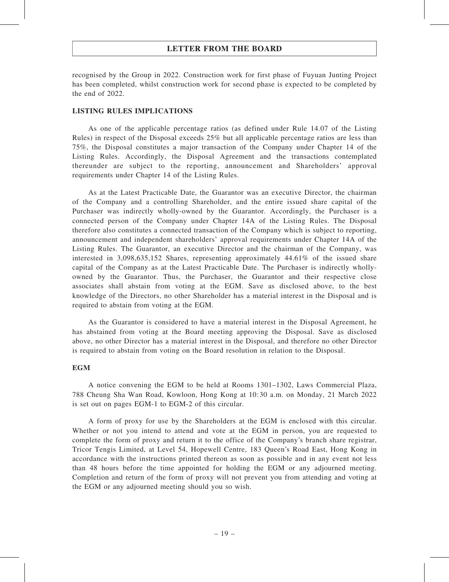recognised by the Group in 2022. Construction work for first phase of Fuyuan Junting Project has been completed, whilst construction work for second phase is expected to be completed by the end of 2022.

#### LISTING RULES IMPLICATIONS

As one of the applicable percentage ratios (as defined under Rule 14.07 of the Listing Rules) in respect of the Disposal exceeds 25% but all applicable percentage ratios are less than 75%, the Disposal constitutes a major transaction of the Company under Chapter 14 of the Listing Rules. Accordingly, the Disposal Agreement and the transactions contemplated thereunder are subject to the reporting, announcement and Shareholders' approval requirements under Chapter 14 of the Listing Rules.

As at the Latest Practicable Date, the Guarantor was an executive Director, the chairman of the Company and a controlling Shareholder, and the entire issued share capital of the Purchaser was indirectly wholly-owned by the Guarantor. Accordingly, the Purchaser is a connected person of the Company under Chapter 14A of the Listing Rules. The Disposal therefore also constitutes a connected transaction of the Company which is subject to reporting, announcement and independent shareholders' approval requirements under Chapter 14A of the Listing Rules. The Guarantor, an executive Director and the chairman of the Company, was interested in 3,098,635,152 Shares, representing approximately 44.61% of the issued share capital of the Company as at the Latest Practicable Date. The Purchaser is indirectly whollyowned by the Guarantor. Thus, the Purchaser, the Guarantor and their respective close associates shall abstain from voting at the EGM. Save as disclosed above, to the best knowledge of the Directors, no other Shareholder has a material interest in the Disposal and is required to abstain from voting at the EGM.

As the Guarantor is considered to have a material interest in the Disposal Agreement, he has abstained from voting at the Board meeting approving the Disposal. Save as disclosed above, no other Director has a material interest in the Disposal, and therefore no other Director is required to abstain from voting on the Board resolution in relation to the Disposal.

#### **EGM**

A notice convening the EGM to be held at Rooms 1301–1302, Laws Commercial Plaza, 788 Cheung Sha Wan Road, Kowloon, Hong Kong at 10:30 a.m. on Monday, 21 March 2022 is set out on pages EGM-1 to EGM-2 of this circular.

A form of proxy for use by the Shareholders at the EGM is enclosed with this circular. Whether or not you intend to attend and vote at the EGM in person, you are requested to complete the form of proxy and return it to the office of the Company's branch share registrar, Tricor Tengis Limited, at Level 54, Hopewell Centre, 183 Queen's Road East, Hong Kong in accordance with the instructions printed thereon as soon as possible and in any event not less than 48 hours before the time appointed for holding the EGM or any adjourned meeting. Completion and return of the form of proxy will not prevent you from attending and voting at the EGM or any adjourned meeting should you so wish.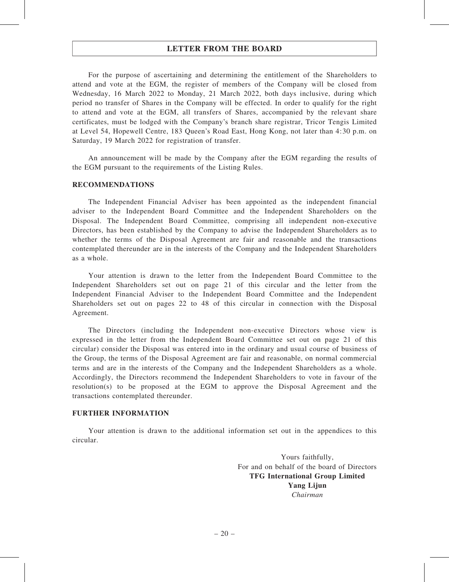For the purpose of ascertaining and determining the entitlement of the Shareholders to attend and vote at the EGM, the register of members of the Company will be closed from Wednesday, 16 March 2022 to Monday, 21 March 2022, both days inclusive, during which period no transfer of Shares in the Company will be effected. In order to qualify for the right to attend and vote at the EGM, all transfers of Shares, accompanied by the relevant share certificates, must be lodged with the Company's branch share registrar, Tricor Tengis Limited at Level 54, Hopewell Centre, 183 Queen's Road East, Hong Kong, not later than 4:30 p.m. on Saturday, 19 March 2022 for registration of transfer.

An announcement will be made by the Company after the EGM regarding the results of the EGM pursuant to the requirements of the Listing Rules.

#### RECOMMENDATIONS

The Independent Financial Adviser has been appointed as the independent financial adviser to the Independent Board Committee and the Independent Shareholders on the Disposal. The Independent Board Committee, comprising all independent non-executive Directors, has been established by the Company to advise the Independent Shareholders as to whether the terms of the Disposal Agreement are fair and reasonable and the transactions contemplated thereunder are in the interests of the Company and the Independent Shareholders as a whole.

Your attention is drawn to the letter from the Independent Board Committee to the Independent Shareholders set out on page 21 of this circular and the letter from the Independent Financial Adviser to the Independent Board Committee and the Independent Shareholders set out on pages 22 to 48 of this circular in connection with the Disposal Agreement.

The Directors (including the Independent non-executive Directors whose view is expressed in the letter from the Independent Board Committee set out on page 21 of this circular) consider the Disposal was entered into in the ordinary and usual course of business of the Group, the terms of the Disposal Agreement are fair and reasonable, on normal commercial terms and are in the interests of the Company and the Independent Shareholders as a whole. Accordingly, the Directors recommend the Independent Shareholders to vote in favour of the resolution(s) to be proposed at the EGM to approve the Disposal Agreement and the transactions contemplated thereunder.

#### FURTHER INFORMATION

Your attention is drawn to the additional information set out in the appendices to this circular.

> Yours faithfully, For and on behalf of the board of Directors TFG International Group Limited Yang Lijun Chairman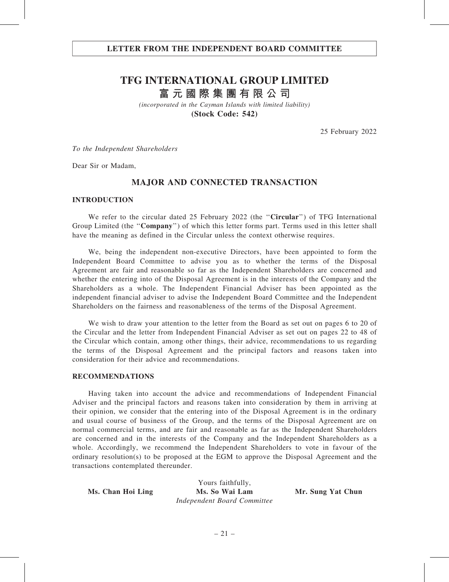## LETTER FROM THE INDEPENDENT BOARD COMMITTEE

# **TFG INTERNATIONAL GROUP LIMITED**

**富元國際集團有限公司**

*(incorporated in the Cayman Islands with limited liability)* **(Stock Code: 542)**

25 February 2022

To the Independent Shareholders

Dear Sir or Madam,

## MAJOR AND CONNECTED TRANSACTION

#### INTRODUCTION

We refer to the circular dated 25 February 2022 (the "Circular") of TFG International Group Limited (the "**Company**") of which this letter forms part. Terms used in this letter shall have the meaning as defined in the Circular unless the context otherwise requires.

We, being the independent non-executive Directors, have been appointed to form the Independent Board Committee to advise you as to whether the terms of the Disposal Agreement are fair and reasonable so far as the Independent Shareholders are concerned and whether the entering into of the Disposal Agreement is in the interests of the Company and the Shareholders as a whole. The Independent Financial Adviser has been appointed as the independent financial adviser to advise the Independent Board Committee and the Independent Shareholders on the fairness and reasonableness of the terms of the Disposal Agreement.

We wish to draw your attention to the letter from the Board as set out on pages 6 to 20 of the Circular and the letter from Independent Financial Adviser as set out on pages 22 to 48 of the Circular which contain, among other things, their advice, recommendations to us regarding the terms of the Disposal Agreement and the principal factors and reasons taken into consideration for their advice and recommendations.

#### RECOMMENDATIONS

Having taken into account the advice and recommendations of Independent Financial Adviser and the principal factors and reasons taken into consideration by them in arriving at their opinion, we consider that the entering into of the Disposal Agreement is in the ordinary and usual course of business of the Group, and the terms of the Disposal Agreement are on normal commercial terms, and are fair and reasonable as far as the Independent Shareholders are concerned and in the interests of the Company and the Independent Shareholders as a whole. Accordingly, we recommend the Independent Shareholders to vote in favour of the ordinary resolution(s) to be proposed at the EGM to approve the Disposal Agreement and the transactions contemplated thereunder.

|                   | Yours faithfully,           |                   |
|-------------------|-----------------------------|-------------------|
| Ms. Chan Hoi Ling | Ms. So Wai Lam              | Mr. Sung Yat Chun |
|                   | Independent Board Committee |                   |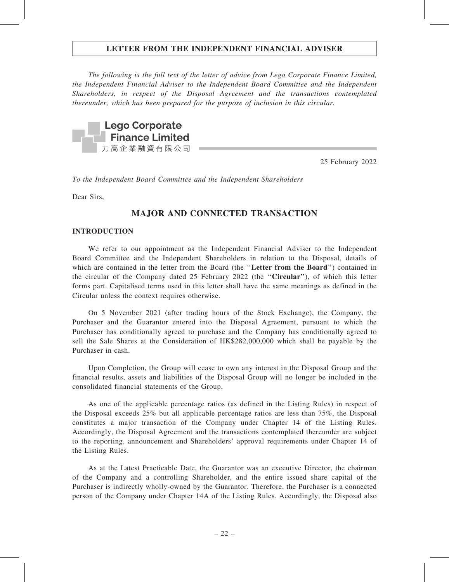The following is the full text of the letter of advice from Lego Corporate Finance Limited, the Independent Financial Adviser to the Independent Board Committee and the Independent Shareholders, in respect of the Disposal Agreement and the transactions contemplated thereunder, which has been prepared for the purpose of inclusion in this circular.



25 February 2022

To the Independent Board Committee and the Independent Shareholders

Dear Sirs,

## MAJOR AND CONNECTED TRANSACTION

#### INTRODUCTION

We refer to our appointment as the Independent Financial Adviser to the Independent Board Committee and the Independent Shareholders in relation to the Disposal, details of which are contained in the letter from the Board (the "Letter from the Board") contained in the circular of the Company dated 25 February 2022 (the ''Circular''), of which this letter forms part. Capitalised terms used in this letter shall have the same meanings as defined in the Circular unless the context requires otherwise.

On 5 November 2021 (after trading hours of the Stock Exchange), the Company, the Purchaser and the Guarantor entered into the Disposal Agreement, pursuant to which the Purchaser has conditionally agreed to purchase and the Company has conditionally agreed to sell the Sale Shares at the Consideration of HK\$282,000,000 which shall be payable by the Purchaser in cash.

Upon Completion, the Group will cease to own any interest in the Disposal Group and the financial results, assets and liabilities of the Disposal Group will no longer be included in the consolidated financial statements of the Group.

As one of the applicable percentage ratios (as defined in the Listing Rules) in respect of the Disposal exceeds 25% but all applicable percentage ratios are less than 75%, the Disposal constitutes a major transaction of the Company under Chapter 14 of the Listing Rules. Accordingly, the Disposal Agreement and the transactions contemplated thereunder are subject to the reporting, announcement and Shareholders' approval requirements under Chapter 14 of the Listing Rules.

As at the Latest Practicable Date, the Guarantor was an executive Director, the chairman of the Company and a controlling Shareholder, and the entire issued share capital of the Purchaser is indirectly wholly-owned by the Guarantor. Therefore, the Purchaser is a connected person of the Company under Chapter 14A of the Listing Rules. Accordingly, the Disposal also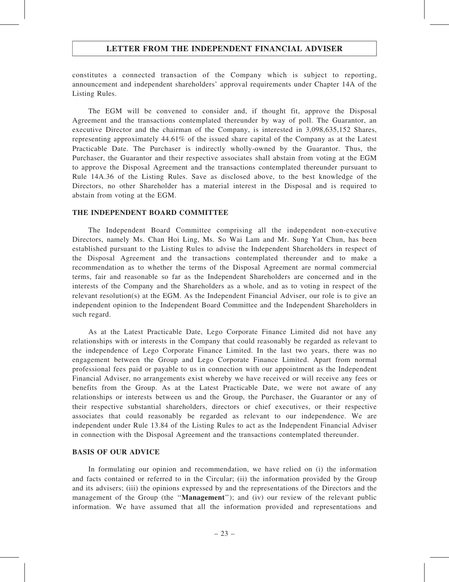constitutes a connected transaction of the Company which is subject to reporting, announcement and independent shareholders' approval requirements under Chapter 14A of the Listing Rules.

The EGM will be convened to consider and, if thought fit, approve the Disposal Agreement and the transactions contemplated thereunder by way of poll. The Guarantor, an executive Director and the chairman of the Company, is interested in 3,098,635,152 Shares, representing approximately 44.61% of the issued share capital of the Company as at the Latest Practicable Date. The Purchaser is indirectly wholly-owned by the Guarantor. Thus, the Purchaser, the Guarantor and their respective associates shall abstain from voting at the EGM to approve the Disposal Agreement and the transactions contemplated thereunder pursuant to Rule 14A.36 of the Listing Rules. Save as disclosed above, to the best knowledge of the Directors, no other Shareholder has a material interest in the Disposal and is required to abstain from voting at the EGM.

#### THE INDEPENDENT BOARD COMMITTEE

The Independent Board Committee comprising all the independent non-executive Directors, namely Ms. Chan Hoi Ling, Ms. So Wai Lam and Mr. Sung Yat Chun, has been established pursuant to the Listing Rules to advise the Independent Shareholders in respect of the Disposal Agreement and the transactions contemplated thereunder and to make a recommendation as to whether the terms of the Disposal Agreement are normal commercial terms, fair and reasonable so far as the Independent Shareholders are concerned and in the interests of the Company and the Shareholders as a whole, and as to voting in respect of the relevant resolution(s) at the EGM. As the Independent Financial Adviser, our role is to give an independent opinion to the Independent Board Committee and the Independent Shareholders in such regard.

As at the Latest Practicable Date, Lego Corporate Finance Limited did not have any relationships with or interests in the Company that could reasonably be regarded as relevant to the independence of Lego Corporate Finance Limited. In the last two years, there was no engagement between the Group and Lego Corporate Finance Limited. Apart from normal professional fees paid or payable to us in connection with our appointment as the Independent Financial Adviser, no arrangements exist whereby we have received or will receive any fees or benefits from the Group. As at the Latest Practicable Date, we were not aware of any relationships or interests between us and the Group, the Purchaser, the Guarantor or any of their respective substantial shareholders, directors or chief executives, or their respective associates that could reasonably be regarded as relevant to our independence. We are independent under Rule 13.84 of the Listing Rules to act as the Independent Financial Adviser in connection with the Disposal Agreement and the transactions contemplated thereunder.

#### BASIS OF OUR ADVICE

In formulating our opinion and recommendation, we have relied on (i) the information and facts contained or referred to in the Circular; (ii) the information provided by the Group and its advisers; (iii) the opinions expressed by and the representations of the Directors and the management of the Group (the "Management"); and (iv) our review of the relevant public information. We have assumed that all the information provided and representations and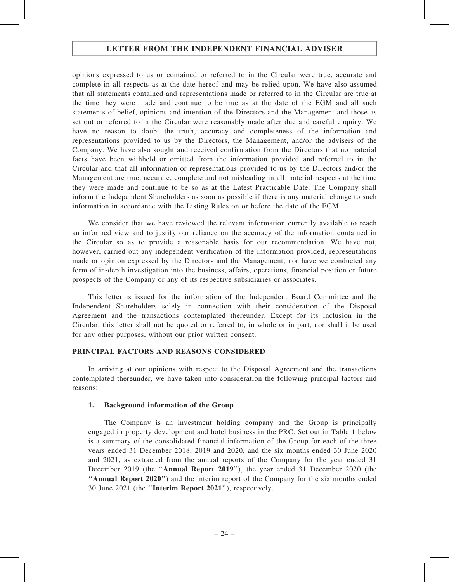opinions expressed to us or contained or referred to in the Circular were true, accurate and complete in all respects as at the date hereof and may be relied upon. We have also assumed that all statements contained and representations made or referred to in the Circular are true at the time they were made and continue to be true as at the date of the EGM and all such statements of belief, opinions and intention of the Directors and the Management and those as set out or referred to in the Circular were reasonably made after due and careful enquiry. We have no reason to doubt the truth, accuracy and completeness of the information and representations provided to us by the Directors, the Management, and/or the advisers of the Company. We have also sought and received confirmation from the Directors that no material facts have been withheld or omitted from the information provided and referred to in the Circular and that all information or representations provided to us by the Directors and/or the Management are true, accurate, complete and not misleading in all material respects at the time they were made and continue to be so as at the Latest Practicable Date. The Company shall inform the Independent Shareholders as soon as possible if there is any material change to such information in accordance with the Listing Rules on or before the date of the EGM.

We consider that we have reviewed the relevant information currently available to reach an informed view and to justify our reliance on the accuracy of the information contained in the Circular so as to provide a reasonable basis for our recommendation. We have not, however, carried out any independent verification of the information provided, representations made or opinion expressed by the Directors and the Management, nor have we conducted any form of in-depth investigation into the business, affairs, operations, financial position or future prospects of the Company or any of its respective subsidiaries or associates.

This letter is issued for the information of the Independent Board Committee and the Independent Shareholders solely in connection with their consideration of the Disposal Agreement and the transactions contemplated thereunder. Except for its inclusion in the Circular, this letter shall not be quoted or referred to, in whole or in part, nor shall it be used for any other purposes, without our prior written consent.

#### PRINCIPAL FACTORS AND REASONS CONSIDERED

In arriving at our opinions with respect to the Disposal Agreement and the transactions contemplated thereunder, we have taken into consideration the following principal factors and reasons:

#### 1. Background information of the Group

The Company is an investment holding company and the Group is principally engaged in property development and hotel business in the PRC. Set out in Table 1 below is a summary of the consolidated financial information of the Group for each of the three years ended 31 December 2018, 2019 and 2020, and the six months ended 30 June 2020 and 2021, as extracted from the annual reports of the Company for the year ended 31 December 2019 (the ''Annual Report 2019''), the year ended 31 December 2020 (the "Annual Report 2020") and the interim report of the Company for the six months ended 30 June 2021 (the ''Interim Report 2021''), respectively.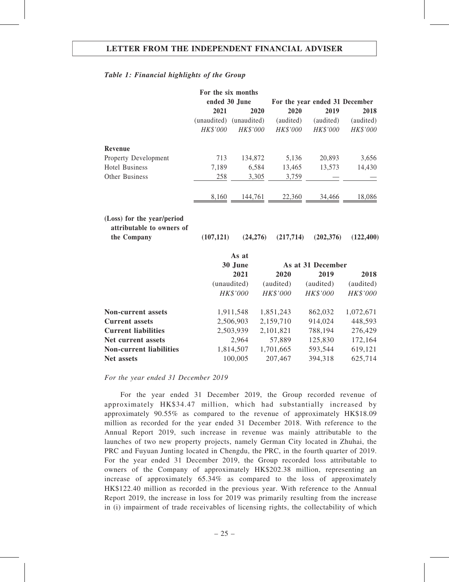#### Table 1: Financial highlights of the Group

|                                                                        | For the six months |               |            |                                |            |
|------------------------------------------------------------------------|--------------------|---------------|------------|--------------------------------|------------|
|                                                                        |                    | ended 30 June |            | For the year ended 31 December |            |
|                                                                        | 2021               | 2020          |            | 2020<br>2019                   | 2018       |
|                                                                        | (unaudited)        | (unaudited)   | (audited)  | (audited)                      | (audited)  |
|                                                                        | HK\$'000           | HK\$'000      | HK\$'000   | HK\$'000                       | HK\$'000   |
| Revenue                                                                |                    |               |            |                                |            |
| Property Development                                                   | 713                | 134,872       |            | 5,136<br>20,893                | 3,656      |
| <b>Hotel Business</b>                                                  | 7,189              | 6,584         | 13,465     | 13,573                         | 14,430     |
| Other Business                                                         | 258                | 3,305         |            | 3,759                          |            |
|                                                                        | 8,160              | 144,761       |            | 22,360<br>34,466               | 18,086     |
| (Loss) for the year/period<br>attributable to owners of<br>the Company | (107, 121)         | (24,276)      | (217, 714) | (202, 376)                     | (122, 400) |
|                                                                        |                    | As at         |            |                                |            |
|                                                                        |                    | 30 June       |            | As at 31 December              |            |
|                                                                        |                    | 2021          | 2020       | 2019                           | 2018       |
|                                                                        |                    | (unaudited)   | (audited)  | (audited)                      | (audited)  |
|                                                                        |                    | HK\$'000      | HK\$'000   | HK\$'000                       | HK\$'000   |
| <b>Non-current assets</b>                                              |                    | 1,911,548     | 1,851,243  | 862,032                        | 1,072,671  |
| <b>Current assets</b>                                                  |                    | 2,506,903     | 2,159,710  | 914,024                        | 448,593    |
| <b>Current liabilities</b>                                             |                    | 2,503,939     | 2,101,821  | 788,194                        | 276,429    |
| Net current assets                                                     |                    | 2,964         | 57,889     | 125,830                        | 172,164    |
| <b>Non-current liabilities</b>                                         |                    | 1,814,507     | 1,701,665  | 593,544                        | 619,121    |
| Net assets                                                             |                    | 100,005       | 207,467    | 394,318                        | 625,714    |

For the year ended 31 December 2019

For the year ended 31 December 2019, the Group recorded revenue of approximately HK\$34.47 million, which had substantially increased by approximately 90.55% as compared to the revenue of approximately HK\$18.09 million as recorded for the year ended 31 December 2018. With reference to the Annual Report 2019, such increase in revenue was mainly attributable to the launches of two new property projects, namely German City located in Zhuhai, the PRC and Fuyuan Junting located in Chengdu, the PRC, in the fourth quarter of 2019. For the year ended 31 December 2019, the Group recorded loss attributable to owners of the Company of approximately HK\$202.38 million, representing an increase of approximately 65.34% as compared to the loss of approximately HK\$122.40 million as recorded in the previous year. With reference to the Annual Report 2019, the increase in loss for 2019 was primarily resulting from the increase in (i) impairment of trade receivables of licensing rights, the collectability of which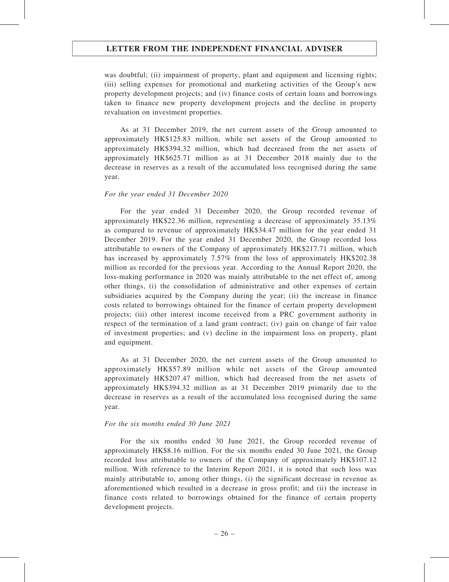was doubtful; (ii) impairment of property, plant and equipment and licensing rights; (iii) selling expenses for promotional and marketing activities of the Group's new property development projects; and (iv) finance costs of certain loans and borrowings taken to finance new property development projects and the decline in property revaluation on investment properties.

As at 31 December 2019, the net current assets of the Group amounted to approximately HK\$125.83 million, while net assets of the Group amounted to approximately HK\$394.32 million, which had decreased from the net assets of approximately HK\$625.71 million as at 31 December 2018 mainly due to the decrease in reserves as a result of the accumulated loss recognised during the same year.

#### For the year ended 31 December 2020

For the year ended 31 December 2020, the Group recorded revenue of approximately HK\$22.36 million, representing a decrease of approximately 35.13% as compared to revenue of approximately HK\$34.47 million for the year ended 31 December 2019. For the year ended 31 December 2020, the Group recorded loss attributable to owners of the Company of approximately HK\$217.71 million, which has increased by approximately 7.57% from the loss of approximately HK\$202.38 million as recorded for the previous year. According to the Annual Report 2020, the loss-making performance in 2020 was mainly attributable to the net effect of, among other things, (i) the consolidation of administrative and other expenses of certain subsidiaries acquired by the Company during the year; (ii) the increase in finance costs related to borrowings obtained for the finance of certain property development projects; (iii) other interest income received from a PRC government authority in respect of the termination of a land grant contract; (iv) gain on change of fair value of investment properties; and (v) decline in the impairment loss on property, plant and equipment.

As at 31 December 2020, the net current assets of the Group amounted to approximately HK\$57.89 million while net assets of the Group amounted approximately HK\$207.47 million, which had decreased from the net assets of approximately HK\$394.32 million as at 31 December 2019 primarily due to the decrease in reserves as a result of the accumulated loss recognised during the same year.

#### For the six months ended 30 June 2021

For the six months ended 30 June 2021, the Group recorded revenue of approximately HK\$8.16 million. For the six months ended 30 June 2021, the Group recorded loss attributable to owners of the Company of approximately HK\$107.12 million. With reference to the Interim Report 2021, it is noted that such loss was mainly attributable to, among other things, (i) the significant decrease in revenue as aforementioned which resulted in a decrease in gross profit; and (ii) the increase in finance costs related to borrowings obtained for the finance of certain property development projects.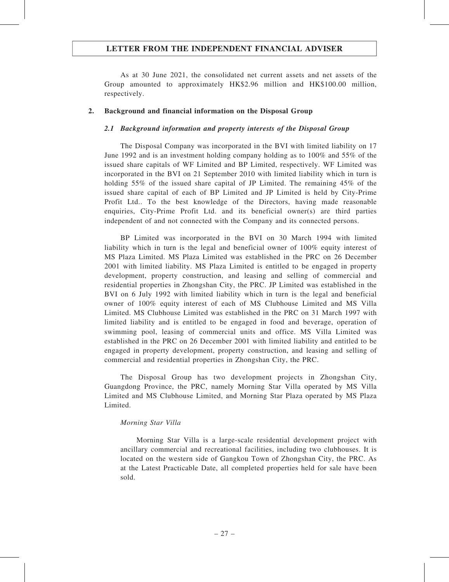As at 30 June 2021, the consolidated net current assets and net assets of the Group amounted to approximately HK\$2.96 million and HK\$100.00 million, respectively.

#### 2. Background and financial information on the Disposal Group

#### 2.1 Background information and property interests of the Disposal Group

The Disposal Company was incorporated in the BVI with limited liability on 17 June 1992 and is an investment holding company holding as to 100% and 55% of the issued share capitals of WF Limited and BP Limited, respectively. WF Limited was incorporated in the BVI on 21 September 2010 with limited liability which in turn is holding 55% of the issued share capital of JP Limited. The remaining 45% of the issued share capital of each of BP Limited and JP Limited is held by City-Prime Profit Ltd.. To the best knowledge of the Directors, having made reasonable enquiries, City-Prime Profit Ltd. and its beneficial owner(s) are third parties independent of and not connected with the Company and its connected persons.

BP Limited was incorporated in the BVI on 30 March 1994 with limited liability which in turn is the legal and beneficial owner of 100% equity interest of MS Plaza Limited. MS Plaza Limited was established in the PRC on 26 December 2001 with limited liability. MS Plaza Limited is entitled to be engaged in property development, property construction, and leasing and selling of commercial and residential properties in Zhongshan City, the PRC. JP Limited was established in the BVI on 6 July 1992 with limited liability which in turn is the legal and beneficial owner of 100% equity interest of each of MS Clubhouse Limited and MS Villa Limited. MS Clubhouse Limited was established in the PRC on 31 March 1997 with limited liability and is entitled to be engaged in food and beverage, operation of swimming pool, leasing of commercial units and office. MS Villa Limited was established in the PRC on 26 December 2001 with limited liability and entitled to be engaged in property development, property construction, and leasing and selling of commercial and residential properties in Zhongshan City, the PRC.

The Disposal Group has two development projects in Zhongshan City, Guangdong Province, the PRC, namely Morning Star Villa operated by MS Villa Limited and MS Clubhouse Limited, and Morning Star Plaza operated by MS Plaza Limited.

#### Morning Star Villa

Morning Star Villa is a large-scale residential development project with ancillary commercial and recreational facilities, including two clubhouses. It is located on the western side of Gangkou Town of Zhongshan City, the PRC. As at the Latest Practicable Date, all completed properties held for sale have been sold.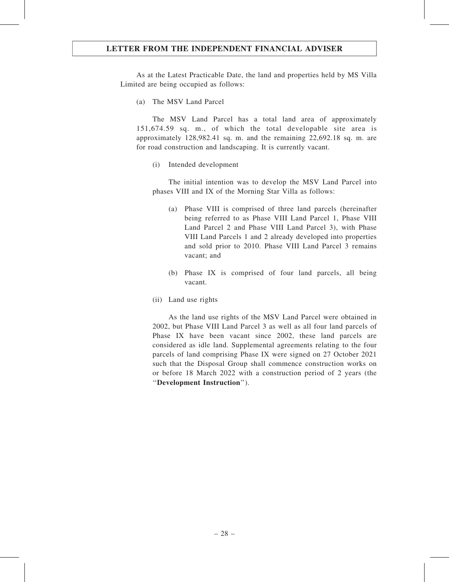As at the Latest Practicable Date, the land and properties held by MS Villa Limited are being occupied as follows:

(a) The MSV Land Parcel

The MSV Land Parcel has a total land area of approximately 151,674.59 sq. m., of which the total developable site area is approximately 128,982.41 sq. m. and the remaining 22,692.18 sq. m. are for road construction and landscaping. It is currently vacant.

(i) Intended development

The initial intention was to develop the MSV Land Parcel into phases VIII and IX of the Morning Star Villa as follows:

- (a) Phase VIII is comprised of three land parcels (hereinafter being referred to as Phase VIII Land Parcel 1, Phase VIII Land Parcel 2 and Phase VIII Land Parcel 3), with Phase VIII Land Parcels 1 and 2 already developed into properties and sold prior to 2010. Phase VIII Land Parcel 3 remains vacant; and
- (b) Phase IX is comprised of four land parcels, all being vacant.
- (ii) Land use rights

As the land use rights of the MSV Land Parcel were obtained in 2002, but Phase VIII Land Parcel 3 as well as all four land parcels of Phase IX have been vacant since 2002, these land parcels are considered as idle land. Supplemental agreements relating to the four parcels of land comprising Phase IX were signed on 27 October 2021 such that the Disposal Group shall commence construction works on or before 18 March 2022 with a construction period of 2 years (the ''Development Instruction'').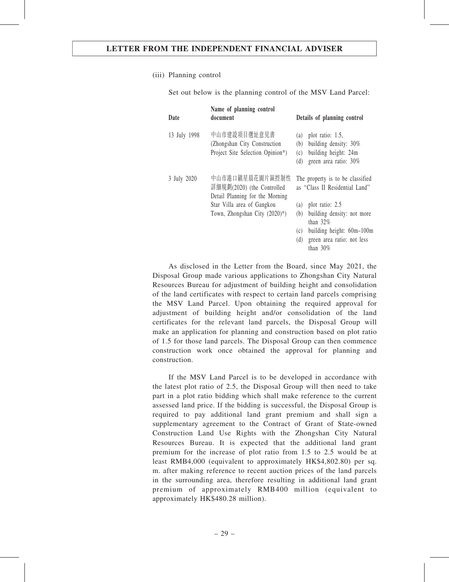#### (iii) Planning control

Set out below is the planning control of the MSV Land Parcel:

| Date         | Name of planning control<br>document                                             | Details of planning control                                                                                            |
|--------------|----------------------------------------------------------------------------------|------------------------------------------------------------------------------------------------------------------------|
| 13 July 1998 | 中山市建設項目選址意見書<br>(Zhongshan City Construction<br>Project Site Selection Opinion*) | plot ratio: 1.5,<br>(a)<br>building density: 30%<br>(b)<br>building height: 24m<br>(c)<br>green area ratio: 30%<br>(d) |
| 3 July 2020  | 中山市港口鎮星晨花園片區控制性<br>詳細規劃(2020) (the Controlled<br>Detail Planning for the Morning | The property is to be classified<br>as "Class II Residential Land"                                                     |
|              | Star Villa area of Gangkou                                                       | plot ratio: 2.5<br>(a)                                                                                                 |
|              | Town, Zhongshan City $(2020)^{*}$ )                                              | building density: not more<br>(b)<br>than $32%$                                                                        |
|              |                                                                                  | building height: 60m-100m<br>(c)                                                                                       |
|              |                                                                                  | (d)<br>green area ratio: not less<br>than $30\%$                                                                       |

As disclosed in the Letter from the Board, since May 2021, the Disposal Group made various applications to Zhongshan City Natural Resources Bureau for adjustment of building height and consolidation of the land certificates with respect to certain land parcels comprising the MSV Land Parcel. Upon obtaining the required approval for adjustment of building height and/or consolidation of the land certificates for the relevant land parcels, the Disposal Group will make an application for planning and construction based on plot ratio of 1.5 for those land parcels. The Disposal Group can then commence construction work once obtained the approval for planning and construction.

If the MSV Land Parcel is to be developed in accordance with the latest plot ratio of 2.5, the Disposal Group will then need to take part in a plot ratio bidding which shall make reference to the current assessed land price. If the bidding is successful, the Disposal Group is required to pay additional land grant premium and shall sign a supplementary agreement to the Contract of Grant of State-owned Construction Land Use Rights with the Zhongshan City Natural Resources Bureau. It is expected that the additional land grant premium for the increase of plot ratio from 1.5 to 2.5 would be at least RMB4,000 (equivalent to approximately HK\$4,802.80) per sq. m. after making reference to recent auction prices of the land parcels in the surrounding area, therefore resulting in additional land grant premium of approximately RMB400 million (equivalent to approximately HK\$480.28 million).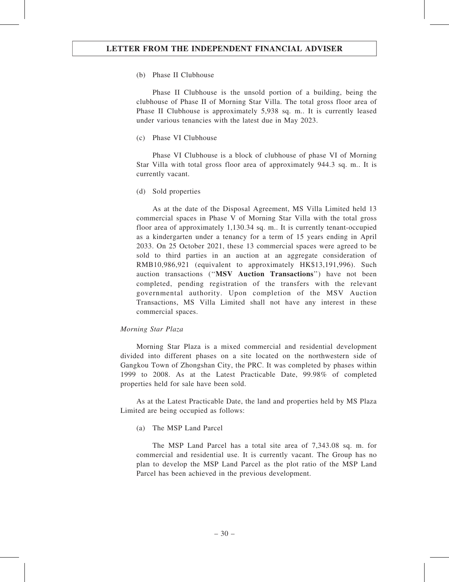(b) Phase II Clubhouse

Phase II Clubhouse is the unsold portion of a building, being the clubhouse of Phase II of Morning Star Villa. The total gross floor area of Phase II Clubhouse is approximately 5,938 sq. m.. It is currently leased under various tenancies with the latest due in May 2023.

(c) Phase VI Clubhouse

Phase VI Clubhouse is a block of clubhouse of phase VI of Morning Star Villa with total gross floor area of approximately 944.3 sq. m.. It is currently vacant.

(d) Sold properties

As at the date of the Disposal Agreement, MS Villa Limited held 13 commercial spaces in Phase V of Morning Star Villa with the total gross floor area of approximately 1,130.34 sq. m.. It is currently tenant-occupied as a kindergarten under a tenancy for a term of 15 years ending in April 2033. On 25 October 2021, these 13 commercial spaces were agreed to be sold to third parties in an auction at an aggregate consideration of RMB10,986,921 (equivalent to approximately HK\$13,191,996). Such auction transactions ("MSV Auction Transactions") have not been completed, pending registration of the transfers with the relevant governmental authority. Upon completion of the MSV Auction Transactions, MS Villa Limited shall not have any interest in these commercial spaces.

#### Morning Star Plaza

Morning Star Plaza is a mixed commercial and residential development divided into different phases on a site located on the northwestern side of Gangkou Town of Zhongshan City, the PRC. It was completed by phases within 1999 to 2008. As at the Latest Practicable Date, 99.98% of completed properties held for sale have been sold.

As at the Latest Practicable Date, the land and properties held by MS Plaza Limited are being occupied as follows:

(a) The MSP Land Parcel

The MSP Land Parcel has a total site area of 7,343.08 sq. m. for commercial and residential use. It is currently vacant. The Group has no plan to develop the MSP Land Parcel as the plot ratio of the MSP Land Parcel has been achieved in the previous development.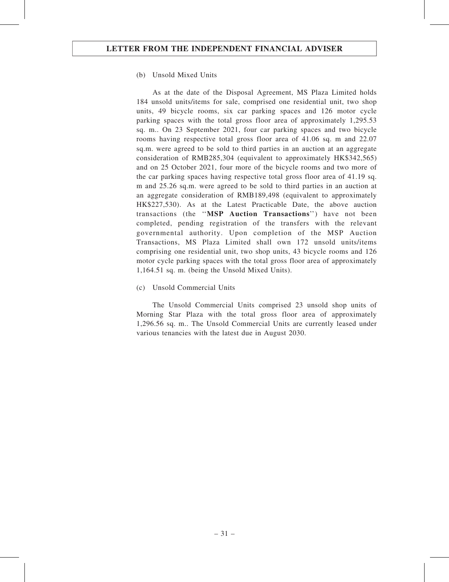#### (b) Unsold Mixed Units

As at the date of the Disposal Agreement, MS Plaza Limited holds 184 unsold units/items for sale, comprised one residential unit, two shop units, 49 bicycle rooms, six car parking spaces and 126 motor cycle parking spaces with the total gross floor area of approximately 1,295.53 sq. m.. On 23 September 2021, four car parking spaces and two bicycle rooms having respective total gross floor area of 41.06 sq. m and 22.07 sq.m. were agreed to be sold to third parties in an auction at an aggregate consideration of RMB285,304 (equivalent to approximately HK\$342,565) and on 25 October 2021, four more of the bicycle rooms and two more of the car parking spaces having respective total gross floor area of 41.19 sq. m and 25.26 sq.m. were agreed to be sold to third parties in an auction at an aggregate consideration of RMB189,498 (equivalent to approximately HK\$227,530). As at the Latest Practicable Date, the above auction transactions (the ''MSP Auction Transactions'') have not been completed, pending registration of the transfers with the relevant governmental authority. Upon completion of the MSP Auction Transactions, MS Plaza Limited shall own 172 unsold units/items comprising one residential unit, two shop units, 43 bicycle rooms and 126 motor cycle parking spaces with the total gross floor area of approximately 1,164.51 sq. m. (being the Unsold Mixed Units).

#### (c) Unsold Commercial Units

The Unsold Commercial Units comprised 23 unsold shop units of Morning Star Plaza with the total gross floor area of approximately 1,296.56 sq. m.. The Unsold Commercial Units are currently leased under various tenancies with the latest due in August 2030.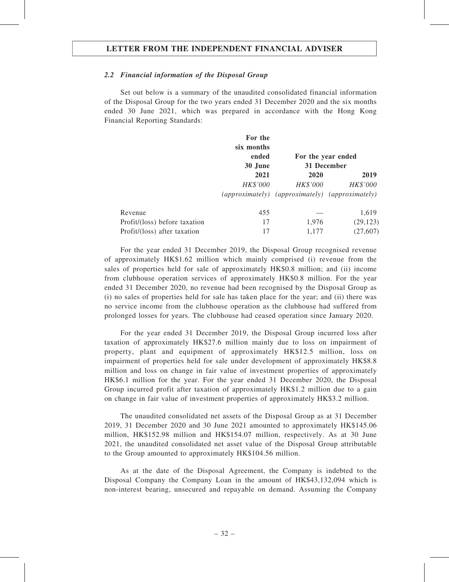#### 2.2 Financial information of the Disposal Group

Set out below is a summary of the unaudited consolidated financial information of the Disposal Group for the two years ended 31 December 2020 and the six months ended 30 June 2021, which was prepared in accordance with the Hong Kong Financial Reporting Standards:

|                               | For the    |                                                 |           |
|-------------------------------|------------|-------------------------------------------------|-----------|
|                               | six months |                                                 |           |
|                               | ended      | For the year ended                              |           |
|                               | 30 June    | 31 December                                     |           |
|                               | 2021       | 2020                                            | 2019      |
|                               | HK\$'000   | HK\$'000                                        | HK\$'000  |
|                               |            | (approximately) (approximately) (approximately) |           |
| Revenue                       | 455        |                                                 | 1,619     |
| Profit/(loss) before taxation | 17         | 1,976                                           | (29, 123) |
| Profit/(loss) after taxation  | 17         | 1,177                                           | (27, 607) |

For the year ended 31 December 2019, the Disposal Group recognised revenue of approximately HK\$1.62 million which mainly comprised (i) revenue from the sales of properties held for sale of approximately HK\$0.8 million; and (ii) income from clubhouse operation services of approximately HK\$0.8 million. For the year ended 31 December 2020, no revenue had been recognised by the Disposal Group as (i) no sales of properties held for sale has taken place for the year; and (ii) there was no service income from the clubhouse operation as the clubhouse had suffered from prolonged losses for years. The clubhouse had ceased operation since January 2020.

For the year ended 31 December 2019, the Disposal Group incurred loss after taxation of approximately HK\$27.6 million mainly due to loss on impairment of property, plant and equipment of approximately HK\$12.5 million, loss on impairment of properties held for sale under development of approximately HK\$8.8 million and loss on change in fair value of investment properties of approximately HK\$6.1 million for the year. For the year ended 31 December 2020, the Disposal Group incurred profit after taxation of approximately HK\$1.2 million due to a gain on change in fair value of investment properties of approximately HK\$3.2 million.

The unaudited consolidated net assets of the Disposal Group as at 31 December 2019, 31 December 2020 and 30 June 2021 amounted to approximately HK\$145.06 million, HK\$152.98 million and HK\$154.07 million, respectively. As at 30 June 2021, the unaudited consolidated net asset value of the Disposal Group attributable to the Group amounted to approximately HK\$104.56 million.

As at the date of the Disposal Agreement, the Company is indebted to the Disposal Company the Company Loan in the amount of HK\$43,132,094 which is non-interest bearing, unsecured and repayable on demand. Assuming the Company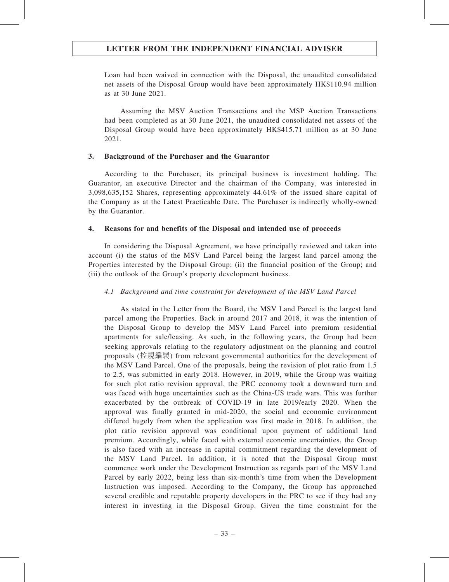Loan had been waived in connection with the Disposal, the unaudited consolidated net assets of the Disposal Group would have been approximately HK\$110.94 million as at 30 June 2021.

Assuming the MSV Auction Transactions and the MSP Auction Transactions had been completed as at 30 June 2021, the unaudited consolidated net assets of the Disposal Group would have been approximately HK\$415.71 million as at 30 June 2021.

#### 3. Background of the Purchaser and the Guarantor

According to the Purchaser, its principal business is investment holding. The Guarantor, an executive Director and the chairman of the Company, was interested in 3,098,635,152 Shares, representing approximately 44.61% of the issued share capital of the Company as at the Latest Practicable Date. The Purchaser is indirectly wholly-owned by the Guarantor.

## 4. Reasons for and benefits of the Disposal and intended use of proceeds

In considering the Disposal Agreement, we have principally reviewed and taken into account (i) the status of the MSV Land Parcel being the largest land parcel among the Properties interested by the Disposal Group; (ii) the financial position of the Group; and (iii) the outlook of the Group's property development business.

## 4.1 Background and time constraint for development of the MSV Land Parcel

As stated in the Letter from the Board, the MSV Land Parcel is the largest land parcel among the Properties. Back in around 2017 and 2018, it was the intention of the Disposal Group to develop the MSV Land Parcel into premium residential apartments for sale/leasing. As such, in the following years, the Group had been seeking approvals relating to the regulatory adjustment on the planning and control proposals (控規編製) from relevant governmental authorities for the development of the MSV Land Parcel. One of the proposals, being the revision of plot ratio from 1.5 to 2.5, was submitted in early 2018. However, in 2019, while the Group was waiting for such plot ratio revision approval, the PRC economy took a downward turn and was faced with huge uncertainties such as the China-US trade wars. This was further exacerbated by the outbreak of COVID-19 in late 2019/early 2020. When the approval was finally granted in mid-2020, the social and economic environment differed hugely from when the application was first made in 2018. In addition, the plot ratio revision approval was conditional upon payment of additional land premium. Accordingly, while faced with external economic uncertainties, the Group is also faced with an increase in capital commitment regarding the development of the MSV Land Parcel. In addition, it is noted that the Disposal Group must commence work under the Development Instruction as regards part of the MSV Land Parcel by early 2022, being less than six-month's time from when the Development Instruction was imposed. According to the Company, the Group has approached several credible and reputable property developers in the PRC to see if they had any interest in investing in the Disposal Group. Given the time constraint for the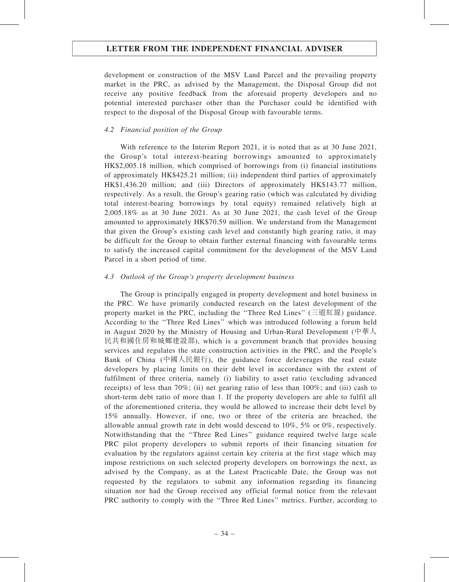development or construction of the MSV Land Parcel and the prevailing property market in the PRC, as advised by the Management, the Disposal Group did not receive any positive feedback from the aforesaid property developers and no potential interested purchaser other than the Purchaser could be identified with respect to the disposal of the Disposal Group with favourable terms.

## 4.2 Financial position of the Group

With reference to the Interim Report 2021, it is noted that as at 30 June 2021, the Group's total interest-bearing borrowings amounted to approximately HK\$2,005.18 million, which comprised of borrowings from (i) financial institutions of approximately HK\$425.21 million; (ii) independent third parties of approximately HK\$1,436.20 million; and (iii) Directors of approximately HK\$143.77 million, respectively. As a result, the Group's gearing ratio (which was calculated by dividing total interest-bearing borrowings by total equity) remained relatively high at 2,005.18% as at 30 June 2021. As at 30 June 2021, the cash level of the Group amounted to approximately HK\$70.59 million. We understand from the Management that given the Group's existing cash level and constantly high gearing ratio, it may be difficult for the Group to obtain further external financing with favourable terms to satisfy the increased capital commitment for the development of the MSV Land Parcel in a short period of time.

## 4.3 Outlook of the Group's property development business

The Group is principally engaged in property development and hotel business in the PRC. We have primarily conducted research on the latest development of the property market in the PRC, including the ''Three Red Lines'' (三道紅線) guidance. According to the ''Three Red Lines'' which was introduced following a forum held in August 2020 by the Ministry of Housing and Urban-Rural Development (中華人 民共和國住房和城鄉建設部), which is a government branch that provides housing services and regulates the state construction activities in the PRC, and the People's Bank of China (中國人民銀行), the guidance force deleverages the real estate developers by placing limits on their debt level in accordance with the extent of fulfilment of three criteria, namely (i) liability to asset ratio (excluding advanced receipts) of less than 70%; (ii) net gearing ratio of less than  $100\%$ ; and (iii) cash to short-term debt ratio of more than 1. If the property developers are able to fulfil all of the aforementioned criteria, they would be allowed to increase their debt level by 15% annually. However, if one, two or three of the criteria are breached, the allowable annual growth rate in debt would descend to 10%, 5% or 0%, respectively. Notwithstanding that the ''Three Red Lines'' guidance required twelve large scale PRC pilot property developers to submit reports of their financing situation for evaluation by the regulators against certain key criteria at the first stage which may impose restrictions on such selected property developers on borrowings the next, as advised by the Company, as at the Latest Practicable Date, the Group was not requested by the regulators to submit any information regarding its financing situation nor had the Group received any official formal notice from the relevant PRC authority to comply with the ''Three Red Lines'' metrics. Further, according to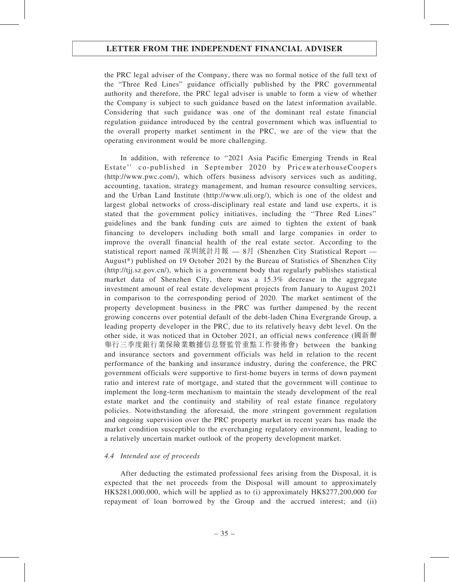the PRC legal adviser of the Company, there was no formal notice of the full text of the "Three Red Lines" guidance officially published by the PRC governmental authority and therefore, the PRC legal adviser is unable to form a view of whether the Company is subject to such guidance based on the latest information available. Considering that such guidance was one of the dominant real estate financial regulation guidance introduced by the central government which was influential to the overall property market sentiment in the PRC, we are of the view that the operating environment would be more challenging.

In addition, with reference to ''2021 Asia Pacific Emerging Trends in Real Estate'' co-published in September 2020 by PricewaterhouseCoopers (http://www.pwc.com/), which offers business advisory services such as auditing, accounting, taxation, strategy management, and human resource consulting services, and the Urban Land Institute (http://www.uli.org/), which is one of the oldest and largest global networks of cross-disciplinary real estate and land use experts, it is stated that the government policy initiatives, including the ''Three Red Lines'' guidelines and the bank funding cuts are aimed to tighten the extent of bank financing to developers including both small and large companies in order to improve the overall financial health of the real estate sector. According to the statistical report named 深圳統計月報 — 8月 (Shenzhen City Statistical Report — August\*) published on 19 October 2021 by the Bureau of Statistics of Shenzhen City (http://tjj.sz.gov.cn/), which is a government body that regularly publishes statistical market data of Shenzhen City, there was a 15.3% decrease in the aggregate investment amount of real estate development projects from January to August 2021 in comparison to the corresponding period of 2020. The market sentiment of the property development business in the PRC was further dampened by the recent growing concerns over potential default of the debt-laden China Evergrande Group, a leading property developer in the PRC, due to its relatively heavy debt level. On the other side, it was noticed that in October 2021, an official news conference (國新辦 舉行三季度銀行業保險業數據信息暨監管重點工作發佈會) between the banking and insurance sectors and government officials was held in relation to the recent performance of the banking and insurance industry, during the conference, the PRC government officials were supportive to first-home buyers in terms of down payment ratio and interest rate of mortgage, and stated that the government will continue to implement the long-term mechanism to maintain the steady development of the real estate market and the continuity and stability of real estate finance regulatory policies. Notwithstanding the aforesaid, the more stringent government regulation and ongoing supervision over the PRC property market in recent years has made the market condition susceptible to the everchanging regulatory environment, leading to a relatively uncertain market outlook of the property development market.

## 4.4 Intended use of proceeds

After deducting the estimated professional fees arising from the Disposal, it is expected that the net proceeds from the Disposal will amount to approximately HK\$281,000,000, which will be applied as to (i) approximately HK\$277,200,000 for repayment of loan borrowed by the Group and the accrued interest; and (ii)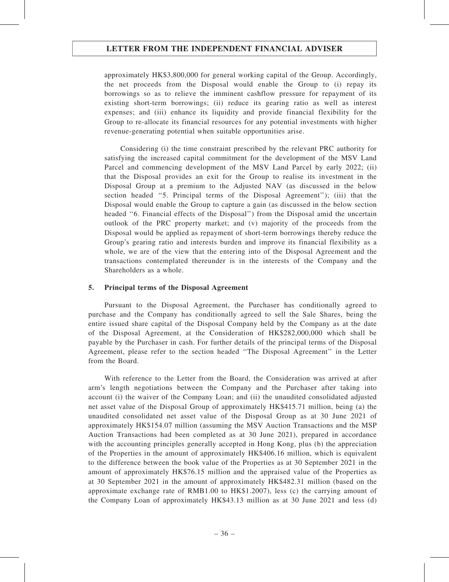approximately HK\$3,800,000 for general working capital of the Group. Accordingly, the net proceeds from the Disposal would enable the Group to (i) repay its borrowings so as to relieve the imminent cashflow pressure for repayment of its existing short-term borrowings; (ii) reduce its gearing ratio as well as interest expenses; and (iii) enhance its liquidity and provide financial flexibility for the Group to re-allocate its financial resources for any potential investments with higher revenue-generating potential when suitable opportunities arise.

Considering (i) the time constraint prescribed by the relevant PRC authority for satisfying the increased capital commitment for the development of the MSV Land Parcel and commencing development of the MSV Land Parcel by early 2022; (ii) that the Disposal provides an exit for the Group to realise its investment in the Disposal Group at a premium to the Adjusted NAV (as discussed in the below section headed ''5. Principal terms of the Disposal Agreement''); (iii) that the Disposal would enable the Group to capture a gain (as discussed in the below section headed ''6. Financial effects of the Disposal'') from the Disposal amid the uncertain outlook of the PRC property market; and (v) majority of the proceeds from the Disposal would be applied as repayment of short-term borrowings thereby reduce the Group's gearing ratio and interests burden and improve its financial flexibility as a whole, we are of the view that the entering into of the Disposal Agreement and the transactions contemplated thereunder is in the interests of the Company and the Shareholders as a whole.

## 5. Principal terms of the Disposal Agreement

Pursuant to the Disposal Agreement, the Purchaser has conditionally agreed to purchase and the Company has conditionally agreed to sell the Sale Shares, being the entire issued share capital of the Disposal Company held by the Company as at the date of the Disposal Agreement, at the Consideration of HK\$282,000,000 which shall be payable by the Purchaser in cash. For further details of the principal terms of the Disposal Agreement, please refer to the section headed ''The Disposal Agreement'' in the Letter from the Board.

With reference to the Letter from the Board, the Consideration was arrived at after arm's length negotiations between the Company and the Purchaser after taking into account (i) the waiver of the Company Loan; and (ii) the unaudited consolidated adjusted net asset value of the Disposal Group of approximately HK\$415.71 million, being (a) the unaudited consolidated net asset value of the Disposal Group as at 30 June 2021 of approximately HK\$154.07 million (assuming the MSV Auction Transactions and the MSP Auction Transactions had been completed as at 30 June 2021), prepared in accordance with the accounting principles generally accepted in Hong Kong, plus (b) the appreciation of the Properties in the amount of approximately HK\$406.16 million, which is equivalent to the difference between the book value of the Properties as at 30 September 2021 in the amount of approximately HK\$76.15 million and the appraised value of the Properties as at 30 September 2021 in the amount of approximately HK\$482.31 million (based on the approximate exchange rate of RMB1.00 to HK\$1.2007), less (c) the carrying amount of the Company Loan of approximately HK\$43.13 million as at 30 June 2021 and less (d)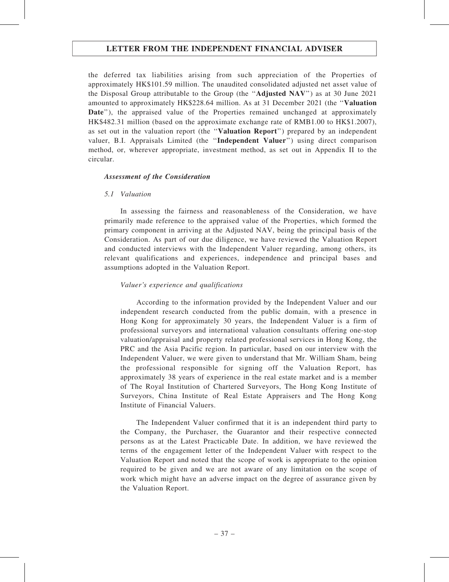the deferred tax liabilities arising from such appreciation of the Properties of approximately HK\$101.59 million. The unaudited consolidated adjusted net asset value of the Disposal Group attributable to the Group (the ''Adjusted NAV'') as at 30 June 2021 amounted to approximately HK\$228.64 million. As at 31 December 2021 (the ''Valuation Date"), the appraised value of the Properties remained unchanged at approximately HK\$482.31 million (based on the approximate exchange rate of RMB1.00 to HK\$1.2007), as set out in the valuation report (the ''Valuation Report'') prepared by an independent valuer, B.I. Appraisals Limited (the ''Independent Valuer'') using direct comparison method, or, wherever appropriate, investment method, as set out in Appendix II to the circular.

## Assessment of the Consideration

## 5.1 Valuation

In assessing the fairness and reasonableness of the Consideration, we have primarily made reference to the appraised value of the Properties, which formed the primary component in arriving at the Adjusted NAV, being the principal basis of the Consideration. As part of our due diligence, we have reviewed the Valuation Report and conducted interviews with the Independent Valuer regarding, among others, its relevant qualifications and experiences, independence and principal bases and assumptions adopted in the Valuation Report.

## Valuer's experience and qualifications

According to the information provided by the Independent Valuer and our independent research conducted from the public domain, with a presence in Hong Kong for approximately 30 years, the Independent Valuer is a firm of professional surveyors and international valuation consultants offering one-stop valuation/appraisal and property related professional services in Hong Kong, the PRC and the Asia Pacific region. In particular, based on our interview with the Independent Valuer, we were given to understand that Mr. William Sham, being the professional responsible for signing off the Valuation Report, has approximately 38 years of experience in the real estate market and is a member of The Royal Institution of Chartered Surveyors, The Hong Kong Institute of Surveyors, China Institute of Real Estate Appraisers and The Hong Kong Institute of Financial Valuers.

The Independent Valuer confirmed that it is an independent third party to the Company, the Purchaser, the Guarantor and their respective connected persons as at the Latest Practicable Date. In addition, we have reviewed the terms of the engagement letter of the Independent Valuer with respect to the Valuation Report and noted that the scope of work is appropriate to the opinion required to be given and we are not aware of any limitation on the scope of work which might have an adverse impact on the degree of assurance given by the Valuation Report.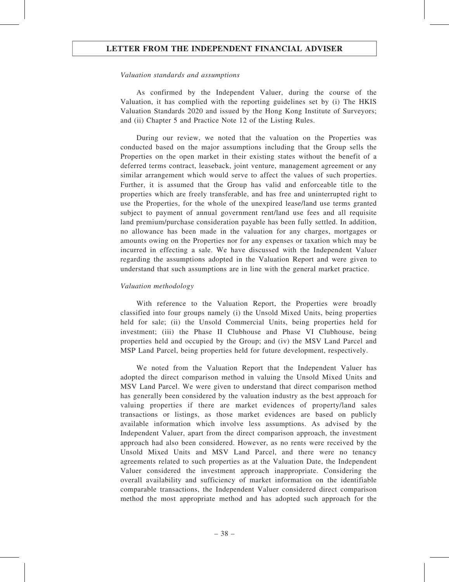#### Valuation standards and assumptions

As confirmed by the Independent Valuer, during the course of the Valuation, it has complied with the reporting guidelines set by (i) The HKIS Valuation Standards 2020 and issued by the Hong Kong Institute of Surveyors; and (ii) Chapter 5 and Practice Note 12 of the Listing Rules.

During our review, we noted that the valuation on the Properties was conducted based on the major assumptions including that the Group sells the Properties on the open market in their existing states without the benefit of a deferred terms contract, leaseback, joint venture, management agreement or any similar arrangement which would serve to affect the values of such properties. Further, it is assumed that the Group has valid and enforceable title to the properties which are freely transferable, and has free and uninterrupted right to use the Properties, for the whole of the unexpired lease/land use terms granted subject to payment of annual government rent/land use fees and all requisite land premium/purchase consideration payable has been fully settled. In addition, no allowance has been made in the valuation for any charges, mortgages or amounts owing on the Properties nor for any expenses or taxation which may be incurred in effecting a sale. We have discussed with the Independent Valuer regarding the assumptions adopted in the Valuation Report and were given to understand that such assumptions are in line with the general market practice.

### Valuation methodology

With reference to the Valuation Report, the Properties were broadly classified into four groups namely (i) the Unsold Mixed Units, being properties held for sale; (ii) the Unsold Commercial Units, being properties held for investment; (iii) the Phase II Clubhouse and Phase VI Clubhouse, being properties held and occupied by the Group; and (iv) the MSV Land Parcel and MSP Land Parcel, being properties held for future development, respectively.

We noted from the Valuation Report that the Independent Valuer has adopted the direct comparison method in valuing the Unsold Mixed Units and MSV Land Parcel. We were given to understand that direct comparison method has generally been considered by the valuation industry as the best approach for valuing properties if there are market evidences of property/land sales transactions or listings, as those market evidences are based on publicly available information which involve less assumptions. As advised by the Independent Valuer, apart from the direct comparison approach, the investment approach had also been considered. However, as no rents were received by the Unsold Mixed Units and MSV Land Parcel, and there were no tenancy agreements related to such properties as at the Valuation Date, the Independent Valuer considered the investment approach inappropriate. Considering the overall availability and sufficiency of market information on the identifiable comparable transactions, the Independent Valuer considered direct comparison method the most appropriate method and has adopted such approach for the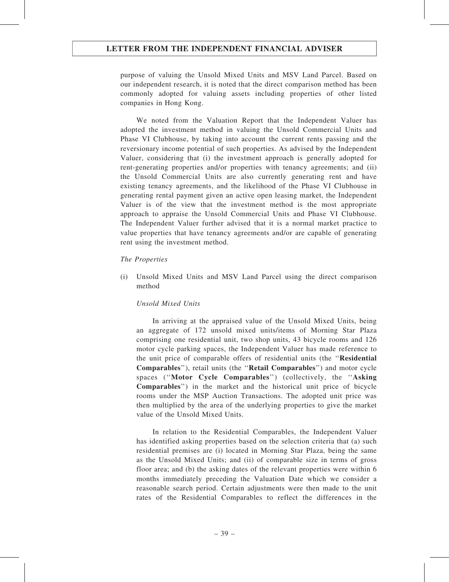purpose of valuing the Unsold Mixed Units and MSV Land Parcel. Based on our independent research, it is noted that the direct comparison method has been commonly adopted for valuing assets including properties of other listed companies in Hong Kong.

We noted from the Valuation Report that the Independent Valuer has adopted the investment method in valuing the Unsold Commercial Units and Phase VI Clubhouse, by taking into account the current rents passing and the reversionary income potential of such properties. As advised by the Independent Valuer, considering that (i) the investment approach is generally adopted for rent-generating properties and/or properties with tenancy agreements; and (ii) the Unsold Commercial Units are also currently generating rent and have existing tenancy agreements, and the likelihood of the Phase VI Clubhouse in generating rental payment given an active open leasing market, the Independent Valuer is of the view that the investment method is the most appropriate approach to appraise the Unsold Commercial Units and Phase VI Clubhouse. The Independent Valuer further advised that it is a normal market practice to value properties that have tenancy agreements and/or are capable of generating rent using the investment method.

### The Properties

(i) Unsold Mixed Units and MSV Land Parcel using the direct comparison method

### Unsold Mixed Units

In arriving at the appraised value of the Unsold Mixed Units, being an aggregate of 172 unsold mixed units/items of Morning Star Plaza comprising one residential unit, two shop units, 43 bicycle rooms and 126 motor cycle parking spaces, the Independent Valuer has made reference to the unit price of comparable offers of residential units (the ''Residential Comparables''), retail units (the ''Retail Comparables'') and motor cycle spaces (''Motor Cycle Comparables'') (collectively, the ''Asking Comparables'') in the market and the historical unit price of bicycle rooms under the MSP Auction Transactions. The adopted unit price was then multiplied by the area of the underlying properties to give the market value of the Unsold Mixed Units.

In relation to the Residential Comparables, the Independent Valuer has identified asking properties based on the selection criteria that (a) such residential premises are (i) located in Morning Star Plaza, being the same as the Unsold Mixed Units; and (ii) of comparable size in terms of gross floor area; and (b) the asking dates of the relevant properties were within 6 months immediately preceding the Valuation Date which we consider a reasonable search period. Certain adjustments were then made to the unit rates of the Residential Comparables to reflect the differences in the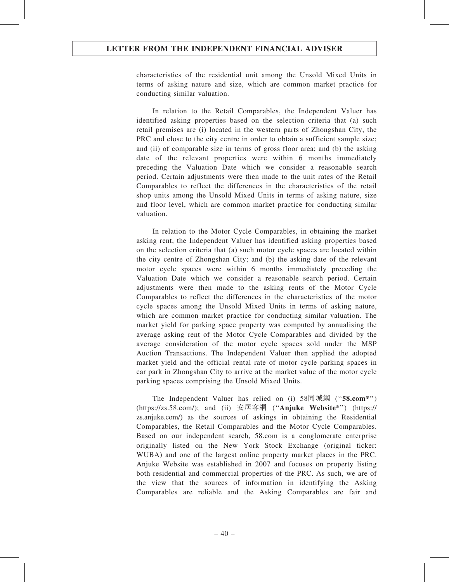characteristics of the residential unit among the Unsold Mixed Units in terms of asking nature and size, which are common market practice for conducting similar valuation.

In relation to the Retail Comparables, the Independent Valuer has identified asking properties based on the selection criteria that (a) such retail premises are (i) located in the western parts of Zhongshan City, the PRC and close to the city centre in order to obtain a sufficient sample size; and (ii) of comparable size in terms of gross floor area; and (b) the asking date of the relevant properties were within 6 months immediately preceding the Valuation Date which we consider a reasonable search period. Certain adjustments were then made to the unit rates of the Retail Comparables to reflect the differences in the characteristics of the retail shop units among the Unsold Mixed Units in terms of asking nature, size and floor level, which are common market practice for conducting similar valuation.

In relation to the Motor Cycle Comparables, in obtaining the market asking rent, the Independent Valuer has identified asking properties based on the selection criteria that (a) such motor cycle spaces are located within the city centre of Zhongshan City; and (b) the asking date of the relevant motor cycle spaces were within 6 months immediately preceding the Valuation Date which we consider a reasonable search period. Certain adjustments were then made to the asking rents of the Motor Cycle Comparables to reflect the differences in the characteristics of the motor cycle spaces among the Unsold Mixed Units in terms of asking nature, which are common market practice for conducting similar valuation. The market yield for parking space property was computed by annualising the average asking rent of the Motor Cycle Comparables and divided by the average consideration of the motor cycle spaces sold under the MSP Auction Transactions. The Independent Valuer then applied the adopted market yield and the official rental rate of motor cycle parking spaces in car park in Zhongshan City to arrive at the market value of the motor cycle parking spaces comprising the Unsold Mixed Units.

The Independent Valuer has relied on (i) 58同城網 ("58.com\*") (https://zs.58.com/); and (ii) 安居客網 (''Anjuke Website\*'') (https:// zs.anjuke.com/) as the sources of askings in obtaining the Residential Comparables, the Retail Comparables and the Motor Cycle Comparables. Based on our independent search, 58.com is a conglomerate enterprise originally listed on the New York Stock Exchange (original ticker: WUBA) and one of the largest online property market places in the PRC. Anjuke Website was established in 2007 and focuses on property listing both residential and commercial properties of the PRC. As such, we are of the view that the sources of information in identifying the Asking Comparables are reliable and the Asking Comparables are fair and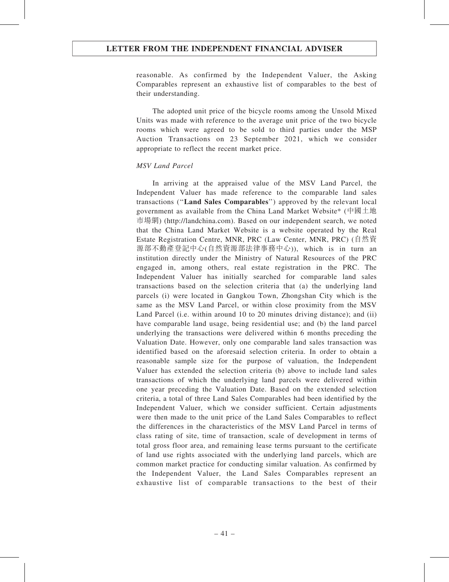reasonable. As confirmed by the Independent Valuer, the Asking Comparables represent an exhaustive list of comparables to the best of their understanding.

The adopted unit price of the bicycle rooms among the Unsold Mixed Units was made with reference to the average unit price of the two bicycle rooms which were agreed to be sold to third parties under the MSP Auction Transactions on 23 September 2021, which we consider appropriate to reflect the recent market price.

## MSV Land Parcel

In arriving at the appraised value of the MSV Land Parcel, the Independent Valuer has made reference to the comparable land sales transactions (''Land Sales Comparables'') approved by the relevant local government as available from the China Land Market Website\* (中國土地 市場網) (http://landchina.com). Based on our independent search, we noted that the China Land Market Website is a website operated by the Real Estate Registration Centre, MNR, PRC (Law Center, MNR, PRC) (自然資 源部不動產登記中心(自然資源部法律事務中心)), which is in turn an institution directly under the Ministry of Natural Resources of the PRC engaged in, among others, real estate registration in the PRC. The Independent Valuer has initially searched for comparable land sales transactions based on the selection criteria that (a) the underlying land parcels (i) were located in Gangkou Town, Zhongshan City which is the same as the MSV Land Parcel, or within close proximity from the MSV Land Parcel (i.e. within around 10 to 20 minutes driving distance); and (ii) have comparable land usage, being residential use; and (b) the land parcel underlying the transactions were delivered within 6 months preceding the Valuation Date. However, only one comparable land sales transaction was identified based on the aforesaid selection criteria. In order to obtain a reasonable sample size for the purpose of valuation, the Independent Valuer has extended the selection criteria (b) above to include land sales transactions of which the underlying land parcels were delivered within one year preceding the Valuation Date. Based on the extended selection criteria, a total of three Land Sales Comparables had been identified by the Independent Valuer, which we consider sufficient. Certain adjustments were then made to the unit price of the Land Sales Comparables to reflect the differences in the characteristics of the MSV Land Parcel in terms of class rating of site, time of transaction, scale of development in terms of total gross floor area, and remaining lease terms pursuant to the certificate of land use rights associated with the underlying land parcels, which are common market practice for conducting similar valuation. As confirmed by the Independent Valuer, the Land Sales Comparables represent an exhaustive list of comparable transactions to the best of their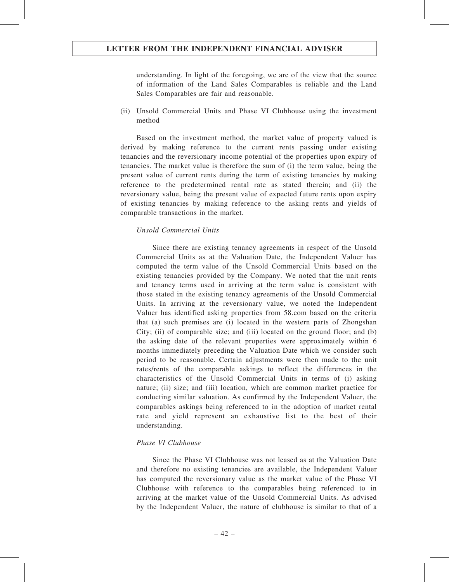understanding. In light of the foregoing, we are of the view that the source of information of the Land Sales Comparables is reliable and the Land Sales Comparables are fair and reasonable.

(ii) Unsold Commercial Units and Phase VI Clubhouse using the investment method

Based on the investment method, the market value of property valued is derived by making reference to the current rents passing under existing tenancies and the reversionary income potential of the properties upon expiry of tenancies. The market value is therefore the sum of (i) the term value, being the present value of current rents during the term of existing tenancies by making reference to the predetermined rental rate as stated therein; and (ii) the reversionary value, being the present value of expected future rents upon expiry of existing tenancies by making reference to the asking rents and yields of comparable transactions in the market.

#### Unsold Commercial Units

Since there are existing tenancy agreements in respect of the Unsold Commercial Units as at the Valuation Date, the Independent Valuer has computed the term value of the Unsold Commercial Units based on the existing tenancies provided by the Company. We noted that the unit rents and tenancy terms used in arriving at the term value is consistent with those stated in the existing tenancy agreements of the Unsold Commercial Units. In arriving at the reversionary value, we noted the Independent Valuer has identified asking properties from 58.com based on the criteria that (a) such premises are (i) located in the western parts of Zhongshan City; (ii) of comparable size; and (iii) located on the ground floor; and (b) the asking date of the relevant properties were approximately within 6 months immediately preceding the Valuation Date which we consider such period to be reasonable. Certain adjustments were then made to the unit rates/rents of the comparable askings to reflect the differences in the characteristics of the Unsold Commercial Units in terms of (i) asking nature; (ii) size; and (iii) location, which are common market practice for conducting similar valuation. As confirmed by the Independent Valuer, the comparables askings being referenced to in the adoption of market rental rate and yield represent an exhaustive list to the best of their understanding.

### Phase VI Clubhouse

Since the Phase VI Clubhouse was not leased as at the Valuation Date and therefore no existing tenancies are available, the Independent Valuer has computed the reversionary value as the market value of the Phase VI Clubhouse with reference to the comparables being referenced to in arriving at the market value of the Unsold Commercial Units. As advised by the Independent Valuer, the nature of clubhouse is similar to that of a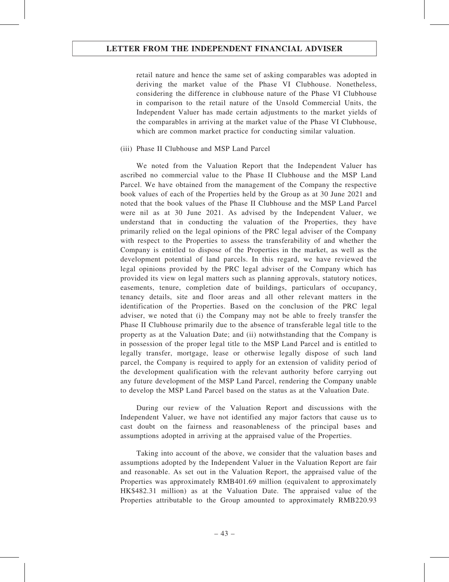retail nature and hence the same set of asking comparables was adopted in deriving the market value of the Phase VI Clubhouse. Nonetheless, considering the difference in clubhouse nature of the Phase VI Clubhouse in comparison to the retail nature of the Unsold Commercial Units, the Independent Valuer has made certain adjustments to the market yields of the comparables in arriving at the market value of the Phase VI Clubhouse, which are common market practice for conducting similar valuation.

### (iii) Phase II Clubhouse and MSP Land Parcel

We noted from the Valuation Report that the Independent Valuer has ascribed no commercial value to the Phase II Clubhouse and the MSP Land Parcel. We have obtained from the management of the Company the respective book values of each of the Properties held by the Group as at 30 June 2021 and noted that the book values of the Phase II Clubhouse and the MSP Land Parcel were nil as at 30 June 2021. As advised by the Independent Valuer, we understand that in conducting the valuation of the Properties, they have primarily relied on the legal opinions of the PRC legal adviser of the Company with respect to the Properties to assess the transferability of and whether the Company is entitled to dispose of the Properties in the market, as well as the development potential of land parcels. In this regard, we have reviewed the legal opinions provided by the PRC legal adviser of the Company which has provided its view on legal matters such as planning approvals, statutory notices, easements, tenure, completion date of buildings, particulars of occupancy, tenancy details, site and floor areas and all other relevant matters in the identification of the Properties. Based on the conclusion of the PRC legal adviser, we noted that (i) the Company may not be able to freely transfer the Phase II Clubhouse primarily due to the absence of transferable legal title to the property as at the Valuation Date; and (ii) notwithstanding that the Company is in possession of the proper legal title to the MSP Land Parcel and is entitled to legally transfer, mortgage, lease or otherwise legally dispose of such land parcel, the Company is required to apply for an extension of validity period of the development qualification with the relevant authority before carrying out any future development of the MSP Land Parcel, rendering the Company unable to develop the MSP Land Parcel based on the status as at the Valuation Date.

During our review of the Valuation Report and discussions with the Independent Valuer, we have not identified any major factors that cause us to cast doubt on the fairness and reasonableness of the principal bases and assumptions adopted in arriving at the appraised value of the Properties.

Taking into account of the above, we consider that the valuation bases and assumptions adopted by the Independent Valuer in the Valuation Report are fair and reasonable. As set out in the Valuation Report, the appraised value of the Properties was approximately RMB401.69 million (equivalent to approximately HK\$482.31 million) as at the Valuation Date. The appraised value of the Properties attributable to the Group amounted to approximately RMB220.93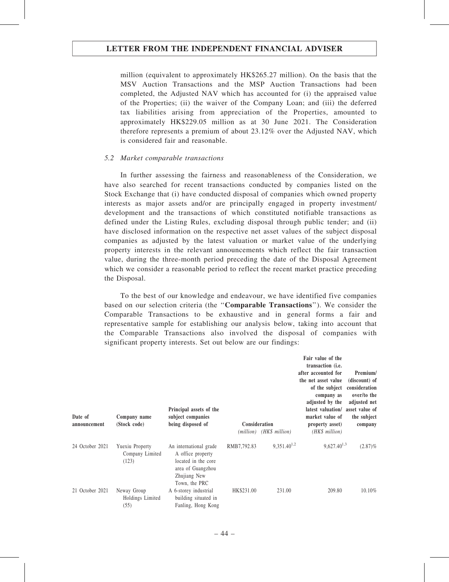million (equivalent to approximately HK\$265.27 million). On the basis that the MSV Auction Transactions and the MSP Auction Transactions had been completed, the Adjusted NAV which has accounted for (i) the appraised value of the Properties; (ii) the waiver of the Company Loan; and (iii) the deferred tax liabilities arising from appreciation of the Properties, amounted to approximately HK\$229.05 million as at 30 June 2021. The Consideration therefore represents a premium of about 23.12% over the Adjusted NAV, which is considered fair and reasonable.

### 5.2 Market comparable transactions

In further assessing the fairness and reasonableness of the Consideration, we have also searched for recent transactions conducted by companies listed on the Stock Exchange that (i) have conducted disposal of companies which owned property interests as major assets and/or are principally engaged in property investment/ development and the transactions of which constituted notifiable transactions as defined under the Listing Rules, excluding disposal through public tender; and (ii) have disclosed information on the respective net asset values of the subject disposal companies as adjusted by the latest valuation or market value of the underlying property interests in the relevant announcements which reflect the fair transaction value, during the three-month period preceding the date of the Disposal Agreement which we consider a reasonable period to reflect the recent market practice preceding the Disposal.

To the best of our knowledge and endeavour, we have identified five companies based on our selection criteria (the ''Comparable Transactions''). We consider the Comparable Transactions to be exhaustive and in general forms a fair and representative sample for establishing our analysis below, taking into account that the Comparable Transactions also involved the disposal of companies with significant property interests. Set out below are our findings:

| Date of<br>announcement | Company name<br>(Stock code)                | Principal assets of the<br>subject companies<br>being disposed of                                                        | Consideration |                          | Fair value of the<br>transaction (i.e.<br>after accounted for<br>the net asset value<br>of the subject<br>company as<br>adjusted by the<br>latest valuation/ asset value of<br>market value of<br>property asset) | Premium/<br>(discount) of<br>consideration<br>over/to the<br>adjusted net<br>the subject<br>company |
|-------------------------|---------------------------------------------|--------------------------------------------------------------------------------------------------------------------------|---------------|--------------------------|-------------------------------------------------------------------------------------------------------------------------------------------------------------------------------------------------------------------|-----------------------------------------------------------------------------------------------------|
|                         |                                             |                                                                                                                          |               | (million) (HK\$ million) | $(HK\$ million)                                                                                                                                                                                                   |                                                                                                     |
| 24 October 2021         | Yuexiu Property<br>Company Limited<br>(123) | An international grade<br>A office property<br>located in the core<br>area of Guangzhou<br>Zhujiang New<br>Town, the PRC | RMB7,792.83   | $9,351.40^{1,2}$         | $9,627.40^{1,3}$                                                                                                                                                                                                  | $(2.87)\%$                                                                                          |
| 21 October 2021         | Neway Group<br>Holdings Limited<br>(55)     | A 6-storey industrial<br>building situated in<br>Fanling, Hong Kong                                                      | HK\$231.00    | 231.00                   | 209.80                                                                                                                                                                                                            | 10.10%                                                                                              |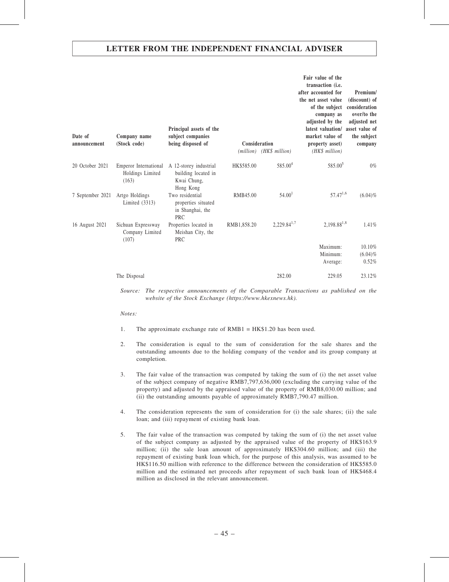| Date of<br>announcement | Company name<br>(Stock code)                       | Principal assets of the<br>subject companies<br>being disposed of         | Consideration | (million) (HK\$ million) | Fair value of the<br>transaction (i.e.<br>after accounted for<br>the net asset value<br>of the subject<br>company as<br>adjusted by the<br>latest valuation/<br>market value of<br>property asset)<br>(HK\$ million) | Premium/<br>(discount) of<br>consideration<br>over/to the<br>adjusted net<br>asset value of<br>the subject<br>company |
|-------------------------|----------------------------------------------------|---------------------------------------------------------------------------|---------------|--------------------------|----------------------------------------------------------------------------------------------------------------------------------------------------------------------------------------------------------------------|-----------------------------------------------------------------------------------------------------------------------|
| 20 October 2021         | Emperor International<br>Holdings Limited<br>(163) | A 12-storey industrial<br>building located in<br>Kwai Chung,<br>Hong Kong | HK\$585.00    | 585.00 <sup>4</sup>      | 585.00 <sup>5</sup>                                                                                                                                                                                                  | $0\%$                                                                                                                 |
| 7 September 2021        | Artgo Holdings<br>Limited (3313)                   | Two residential<br>properties situated<br>in Shanghai, the<br>PRC         | RMB45.00      | 54.00 <sup>1</sup>       | $57.47^{1,6}$                                                                                                                                                                                                        | $(6.04)\%$                                                                                                            |
| 16 August 2021          | Sichuan Expressway<br>Company Limited<br>(107)     | Properties located in<br>Meishan City, the<br>PRC                         | RMB1,858.20   | $2,229.84^{1,7}$         | $2,198.88^{1,8}$                                                                                                                                                                                                     | 1.41%                                                                                                                 |
|                         |                                                    |                                                                           |               |                          | Maximum:<br>Minimum:<br>Average:                                                                                                                                                                                     | 10.10%<br>$(6.04)\%$<br>0.52%                                                                                         |
|                         | The Disposal                                       |                                                                           |               | 282.00                   | 229.05                                                                                                                                                                                                               | 23.12%                                                                                                                |

Source: The respective announcements of the Comparable Transactions as published on the website of the Stock Exchange (https://www.hkexnews.hk).

#### Notes:

- 1. The approximate exchange rate of RMB1 = HK\$1.20 has been used.
- 2. The consideration is equal to the sum of consideration for the sale shares and the outstanding amounts due to the holding company of the vendor and its group company at completion.
- 3. The fair value of the transaction was computed by taking the sum of (i) the net asset value of the subject company of negative RMB7,797,636,000 (excluding the carrying value of the property) and adjusted by the appraised value of the property of RMB8,030.00 million; and (ii) the outstanding amounts payable of approximately RMB7,790.47 million.
- 4. The consideration represents the sum of consideration for (i) the sale shares; (ii) the sale loan; and (iii) repayment of existing bank loan.
- 5. The fair value of the transaction was computed by taking the sum of (i) the net asset value of the subject company as adjusted by the appraised value of the property of HK\$163.9 million; (ii) the sale loan amount of approximately HK\$304.60 million; and (iii) the repayment of existing bank loan which, for the purpose of this analysis, was assumed to be HK\$116.50 million with reference to the difference between the consideration of HK\$585.0 million and the estimated net proceeds after repayment of such bank loan of HK\$468.4 million as disclosed in the relevant announcement.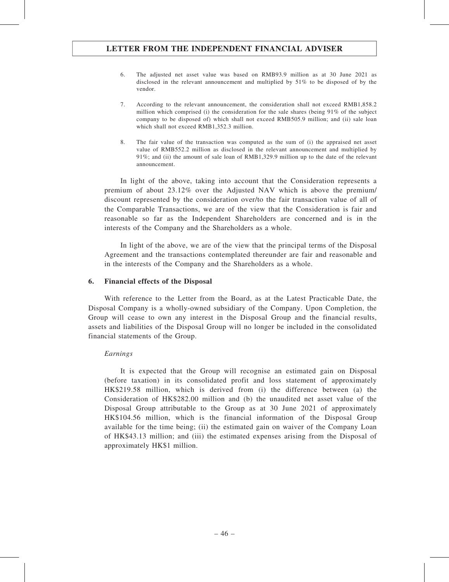- 6. The adjusted net asset value was based on RMB93.9 million as at 30 June 2021 as disclosed in the relevant announcement and multiplied by 51% to be disposed of by the vendor.
- 7. According to the relevant announcement, the consideration shall not exceed RMB1,858.2 million which comprised (i) the consideration for the sale shares (being 91% of the subject company to be disposed of) which shall not exceed RMB505.9 million; and (ii) sale loan which shall not exceed RMB1,352.3 million.
- 8. The fair value of the transaction was computed as the sum of (i) the appraised net asset value of RMB552.2 million as disclosed in the relevant announcement and multiplied by 91%; and (ii) the amount of sale loan of RMB1,329.9 million up to the date of the relevant announcement.

In light of the above, taking into account that the Consideration represents a premium of about 23.12% over the Adjusted NAV which is above the premium/ discount represented by the consideration over/to the fair transaction value of all of the Comparable Transactions, we are of the view that the Consideration is fair and reasonable so far as the Independent Shareholders are concerned and is in the interests of the Company and the Shareholders as a whole.

In light of the above, we are of the view that the principal terms of the Disposal Agreement and the transactions contemplated thereunder are fair and reasonable and in the interests of the Company and the Shareholders as a whole.

## 6. Financial effects of the Disposal

With reference to the Letter from the Board, as at the Latest Practicable Date, the Disposal Company is a wholly-owned subsidiary of the Company. Upon Completion, the Group will cease to own any interest in the Disposal Group and the financial results, assets and liabilities of the Disposal Group will no longer be included in the consolidated financial statements of the Group.

## Earnings

It is expected that the Group will recognise an estimated gain on Disposal (before taxation) in its consolidated profit and loss statement of approximately HK\$219.58 million, which is derived from (i) the difference between (a) the Consideration of HK\$282.00 million and (b) the unaudited net asset value of the Disposal Group attributable to the Group as at 30 June 2021 of approximately HK\$104.56 million, which is the financial information of the Disposal Group available for the time being; (ii) the estimated gain on waiver of the Company Loan of HK\$43.13 million; and (iii) the estimated expenses arising from the Disposal of approximately HK\$1 million.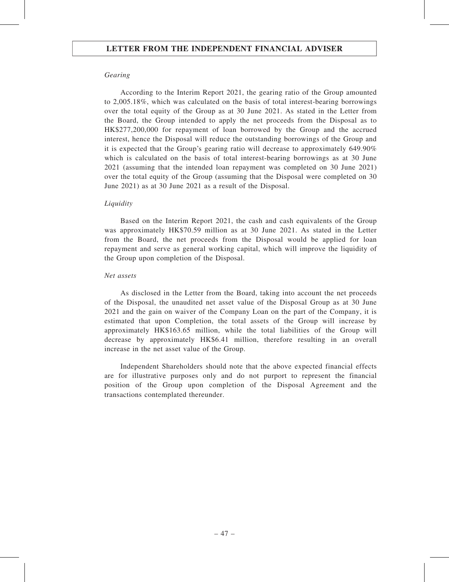### Gearing

According to the Interim Report 2021, the gearing ratio of the Group amounted to 2,005.18%, which was calculated on the basis of total interest-bearing borrowings over the total equity of the Group as at 30 June 2021. As stated in the Letter from the Board, the Group intended to apply the net proceeds from the Disposal as to HK\$277,200,000 for repayment of loan borrowed by the Group and the accrued interest, hence the Disposal will reduce the outstanding borrowings of the Group and it is expected that the Group's gearing ratio will decrease to approximately 649.90% which is calculated on the basis of total interest-bearing borrowings as at 30 June 2021 (assuming that the intended loan repayment was completed on 30 June 2021) over the total equity of the Group (assuming that the Disposal were completed on 30 June 2021) as at 30 June 2021 as a result of the Disposal.

#### **Liquidity**

Based on the Interim Report 2021, the cash and cash equivalents of the Group was approximately HK\$70.59 million as at 30 June 2021. As stated in the Letter from the Board, the net proceeds from the Disposal would be applied for loan repayment and serve as general working capital, which will improve the liquidity of the Group upon completion of the Disposal.

#### Net assets

As disclosed in the Letter from the Board, taking into account the net proceeds of the Disposal, the unaudited net asset value of the Disposal Group as at 30 June 2021 and the gain on waiver of the Company Loan on the part of the Company, it is estimated that upon Completion, the total assets of the Group will increase by approximately HK\$163.65 million, while the total liabilities of the Group will decrease by approximately HK\$6.41 million, therefore resulting in an overall increase in the net asset value of the Group.

Independent Shareholders should note that the above expected financial effects are for illustrative purposes only and do not purport to represent the financial position of the Group upon completion of the Disposal Agreement and the transactions contemplated thereunder.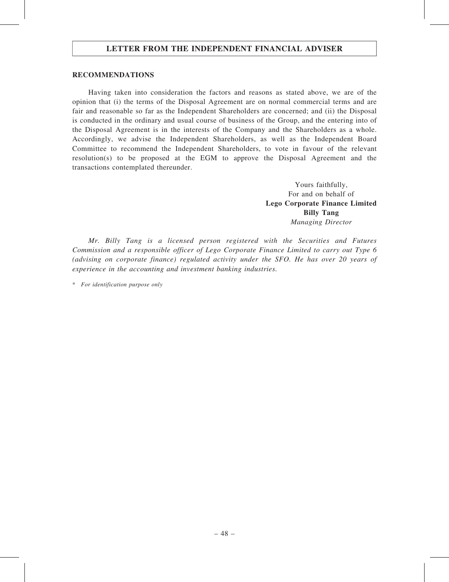### RECOMMENDATIONS

Having taken into consideration the factors and reasons as stated above, we are of the opinion that (i) the terms of the Disposal Agreement are on normal commercial terms and are fair and reasonable so far as the Independent Shareholders are concerned; and (ii) the Disposal is conducted in the ordinary and usual course of business of the Group, and the entering into of the Disposal Agreement is in the interests of the Company and the Shareholders as a whole. Accordingly, we advise the Independent Shareholders, as well as the Independent Board Committee to recommend the Independent Shareholders, to vote in favour of the relevant resolution(s) to be proposed at the EGM to approve the Disposal Agreement and the transactions contemplated thereunder.

> Yours faithfully, For and on behalf of Lego Corporate Finance Limited Billy Tang Managing Director

Mr. Billy Tang is a licensed person registered with the Securities and Futures Commission and a responsible officer of Lego Corporate Finance Limited to carry out Type 6 (advising on corporate finance) regulated activity under the SFO. He has over 20 years of experience in the accounting and investment banking industries.

\* For identification purpose only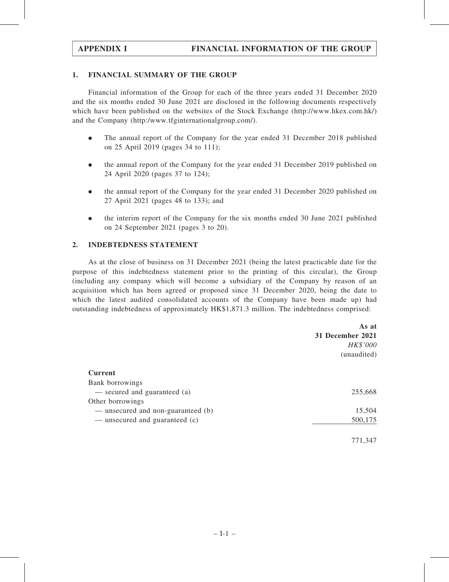## 1. FINANCIAL SUMMARY OF THE GROUP

Financial information of the Group for each of the three years ended 31 December 2020 and the six months ended 30 June 2021 are disclosed in the following documents respectively which have been published on the websites of the Stock Exchange (http://www.hkex.com.hk/) and the Company (http:/www.tfginternationalgroup.com/).

- . The annual report of the Company for the year ended 31 December 2018 published on 25 April 2019 (pages 34 to 111);
- . the annual report of the Company for the year ended 31 December 2019 published on 24 April 2020 (pages 37 to 124);
- . the annual report of the Company for the year ended 31 December 2020 published on 27 April 2021 (pages 48 to 133); and
- . the interim report of the Company for the six months ended 30 June 2021 published on 24 September 2021 (pages 3 to 20).

## 2. INDEBTEDNESS STATEMENT

As at the close of business on 31 December 2021 (being the latest practicable date for the purpose of this indebtedness statement prior to the printing of this circular), the Group (including any company which will become a subsidiary of the Company by reason of an acquisition which has been agreed or proposed since 31 December 2020, being the date to which the latest audited consolidated accounts of the Company have been made up) had outstanding indebtedness of approximately HK\$1,871.3 million. The indebtedness comprised:

|                                    | As at<br>31 December 2021 |
|------------------------------------|---------------------------|
|                                    | HK\$'000<br>(unaudited)   |
| <b>Current</b>                     |                           |
| Bank borrowings                    |                           |
| - secured and guaranteed (a)       | 255,668                   |
| Other borrowings                   |                           |
| — unsecured and non-guaranteed (b) | 15,504                    |
| — unsecured and guaranteed (c)     | 500,175                   |
|                                    | 771,347                   |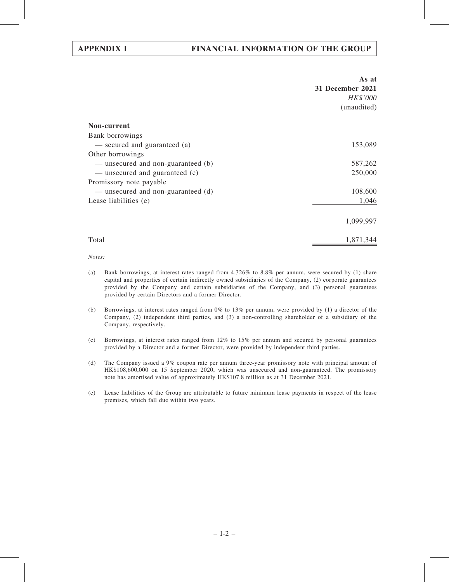|                                    | As at<br>31 December 2021<br>HK\$'000<br>(unaudited) |
|------------------------------------|------------------------------------------------------|
|                                    |                                                      |
| Non-current                        |                                                      |
| Bank borrowings                    |                                                      |
| — secured and guaranteed (a)       | 153,089                                              |
| Other borrowings                   |                                                      |
| — unsecured and non-guaranteed (b) | 587,262                                              |
| — unsecured and guaranteed (c)     | 250,000                                              |
| Promissory note payable            |                                                      |
| — unsecured and non-guaranteed (d) | 108,600                                              |
| Lease liabilities (e)              | 1,046                                                |
|                                    | 1,099,997                                            |
| Total                              | 1,871,344                                            |

Notes:

- (a) Bank borrowings, at interest rates ranged from 4.326% to 8.8% per annum, were secured by (1) share capital and properties of certain indirectly owned subsidiaries of the Company, (2) corporate guarantees provided by the Company and certain subsidiaries of the Company, and (3) personal guarantees provided by certain Directors and a former Director.
- (b) Borrowings, at interest rates ranged from 0% to 13% per annum, were provided by (1) a director of the Company, (2) independent third parties, and (3) a non-controlling shareholder of a subsidiary of the Company, respectively.
- (c) Borrowings, at interest rates ranged from 12% to 15% per annum and secured by personal guarantees provided by a Director and a former Director, were provided by independent third parties.
- (d) The Company issued a 9% coupon rate per annum three-year promissory note with principal amount of HK\$108,600,000 on 15 September 2020, which was unsecured and non-guaranteed. The promissory note has amortised value of approximately HK\$107.8 million as at 31 December 2021.
- (e) Lease liabilities of the Group are attributable to future minimum lease payments in respect of the lease premises, which fall due within two years.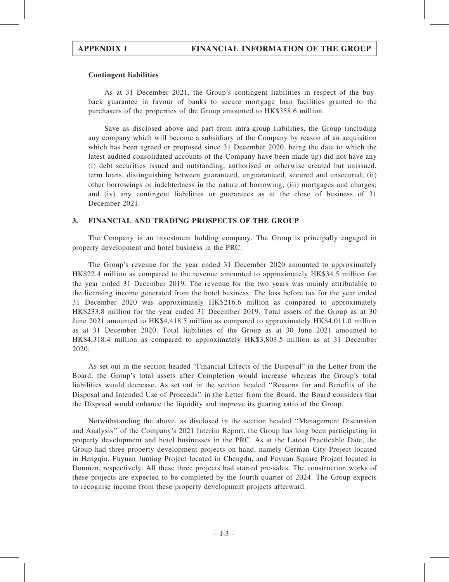## Contingent liabilities

As at 31 December 2021, the Group's contingent liabilities in respect of the buyback guarantee in favour of banks to secure mortgage loan facilities granted to the purchasers of the properties of the Group amounted to HK\$358.6 million.

Save as disclosed above and part from intra-group liabilities, the Group (including any company which will become a subsidiary of the Company by reason of an acquisition which has been agreed or proposed since 31 December 2020, being the date to which the latest audited consolidated accounts of the Company have been made up) did not have any (i) debt securities issued and outstanding, authorised or otherwise created but unissued, term loans, distinguishing between guaranteed, unguaranteed, secured and unsecured; (ii) other borrowings or indebtedness in the nature of borrowing; (iii) mortgages and charges; and (iv) any contingent liabilities or guarantees as at the close of business of 31 December 2021.

## 3. FINANCIAL AND TRADING PROSPECTS OF THE GROUP

The Company is an investment holding company. The Group is principally engaged in property development and hotel business in the PRC.

The Group's revenue for the year ended 31 December 2020 amounted to approximately HK\$22.4 million as compared to the revenue amounted to approximately HK\$34.5 million for the year ended 31 December 2019. The revenue for the two years was mainly attributable to the licensing income generated from the hotel business. The loss before tax for the year ended 31 December 2020 was approximately HK\$216.6 million as compared to approximately HK\$233.8 million for the year ended 31 December 2019. Total assets of the Group as at 30 June 2021 amounted to HK\$4,418.5 million as compared to approximately HK\$4,011.0 million as at 31 December 2020. Total liabilities of the Group as at 30 June 2021 amounted to HK\$4,318.4 million as compared to approximately HK\$3,803.5 million as at 31 December 2020.

As set out in the section headed "Financial Effects of the Disposal" in the Letter from the Board, the Group's total assets after Completion would increase whereas the Group's total liabilities would decrease. As set out in the section headed ''Reasons for and Benefits of the Disposal and Intended Use of Proceeds'' in the Letter from the Board, the Board considers that the Disposal would enhance the liquidity and improve its gearing ratio of the Group.

Notwithstanding the above, as disclosed in the section headed ''Management Discussion and Analysis'' of the Company's 2021 Interim Report, the Group has long been participating in property development and hotel businesses in the PRC. As at the Latest Practicable Date, the Group had three property development projects on hand, namely German City Project located in Hengqin, Fuyuan Junting Project located in Chengdu, and Fuyuan Square Project located in Doumen, respectively. All these three projects had started pre-sales. The construction works of these projects are expected to be completed by the fourth quarter of 2024. The Group expects to recognise income from these property development projects afterward.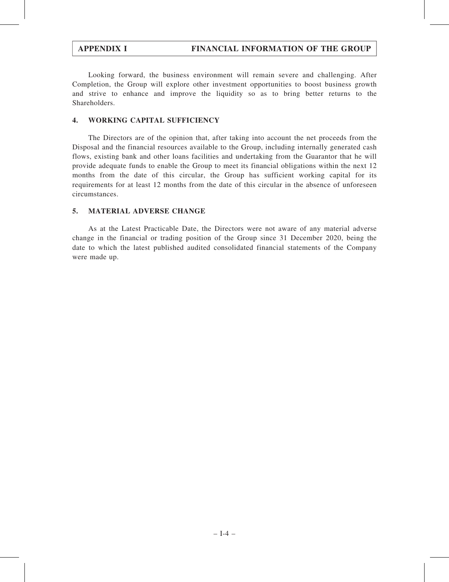Looking forward, the business environment will remain severe and challenging. After Completion, the Group will explore other investment opportunities to boost business growth and strive to enhance and improve the liquidity so as to bring better returns to the Shareholders.

# 4. WORKING CAPITAL SUFFICIENCY

The Directors are of the opinion that, after taking into account the net proceeds from the Disposal and the financial resources available to the Group, including internally generated cash flows, existing bank and other loans facilities and undertaking from the Guarantor that he will provide adequate funds to enable the Group to meet its financial obligations within the next 12 months from the date of this circular, the Group has sufficient working capital for its requirements for at least 12 months from the date of this circular in the absence of unforeseen circumstances.

## 5. MATERIAL ADVERSE CHANGE

As at the Latest Practicable Date, the Directors were not aware of any material adverse change in the financial or trading position of the Group since 31 December 2020, being the date to which the latest published audited consolidated financial statements of the Company were made up.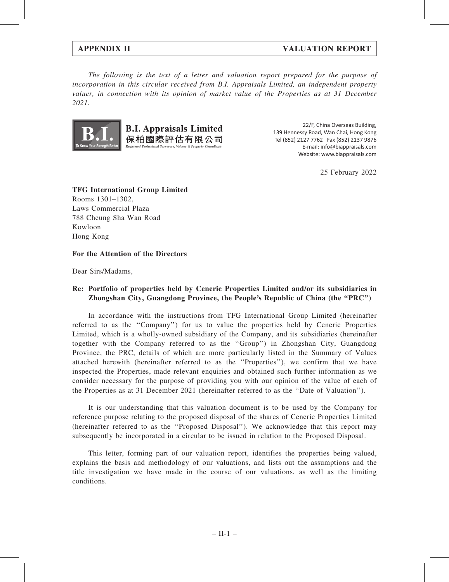## APPENDIX II VALUATION REPORT

The following is the text of a letter and valuation report prepared for the purpose of incorporation in this circular received from B.I. Appraisals Limited, an independent property valuer, in connection with its opinion of market value of the Properties as at 31 December 2021.



22/F, China Overseas Building, 139 Hennessy Road, Wan Chai, Hong Kong Tel (852) 2127 7762 Fax (852) 2137 9876 E-mail: info@biappraisals.com Website: www.biappraisals.com

25 February 2022

TFG International Group Limited Rooms 1301–1302, Laws Commercial Plaza 788 Cheung Sha Wan Road Kowloon Hong Kong

## For the Attention of the Directors

Dear Sirs/Madams,

## Re: Portfolio of properties held by Ceneric Properties Limited and/or its subsidiaries in Zhongshan City, Guangdong Province, the People's Republic of China (the "PRC")

In accordance with the instructions from TFG International Group Limited (hereinafter referred to as the ''Company'') for us to value the properties held by Ceneric Properties Limited, which is a wholly-owned subsidiary of the Company, and its subsidiaries (hereinafter together with the Company referred to as the ''Group'') in Zhongshan City, Guangdong Province, the PRC, details of which are more particularly listed in the Summary of Values attached herewith (hereinafter referred to as the ''Properties''), we confirm that we have inspected the Properties, made relevant enquiries and obtained such further information as we consider necessary for the purpose of providing you with our opinion of the value of each of the Properties as at 31 December 2021 (hereinafter referred to as the ''Date of Valuation'').

It is our understanding that this valuation document is to be used by the Company for reference purpose relating to the proposed disposal of the shares of Ceneric Properties Limited (hereinafter referred to as the ''Proposed Disposal''). We acknowledge that this report may subsequently be incorporated in a circular to be issued in relation to the Proposed Disposal.

This letter, forming part of our valuation report, identifies the properties being valued, explains the basis and methodology of our valuations, and lists out the assumptions and the title investigation we have made in the course of our valuations, as well as the limiting conditions.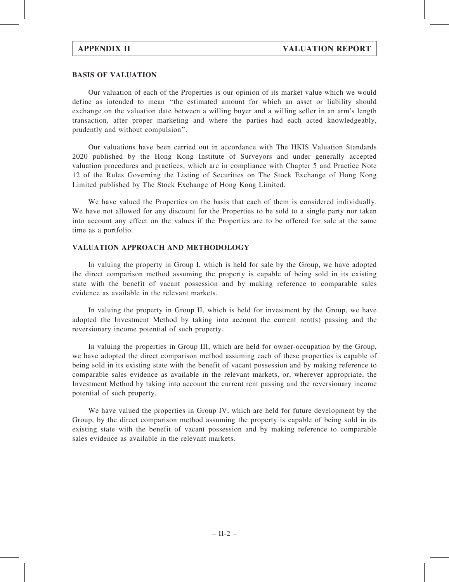### BASIS OF VALUATION

Our valuation of each of the Properties is our opinion of its market value which we would define as intended to mean ''the estimated amount for which an asset or liability should exchange on the valuation date between a willing buyer and a willing seller in an arm's length transaction, after proper marketing and where the parties had each acted knowledgeably, prudently and without compulsion''.

Our valuations have been carried out in accordance with The HKIS Valuation Standards 2020 published by the Hong Kong Institute of Surveyors and under generally accepted valuation procedures and practices, which are in compliance with Chapter 5 and Practice Note 12 of the Rules Governing the Listing of Securities on The Stock Exchange of Hong Kong Limited published by The Stock Exchange of Hong Kong Limited.

We have valued the Properties on the basis that each of them is considered individually. We have not allowed for any discount for the Properties to be sold to a single party nor taken into account any effect on the values if the Properties are to be offered for sale at the same time as a portfolio.

## VALUATION APPROACH AND METHODOLOGY

In valuing the property in Group I, which is held for sale by the Group, we have adopted the direct comparison method assuming the property is capable of being sold in its existing state with the benefit of vacant possession and by making reference to comparable sales evidence as available in the relevant markets.

In valuing the property in Group II, which is held for investment by the Group, we have adopted the Investment Method by taking into account the current rent(s) passing and the reversionary income potential of such property.

In valuing the properties in Group III, which are held for owner-occupation by the Group, we have adopted the direct comparison method assuming each of these properties is capable of being sold in its existing state with the benefit of vacant possession and by making reference to comparable sales evidence as available in the relevant markets, or, wherever appropriate, the Investment Method by taking into account the current rent passing and the reversionary income potential of such property.

We have valued the properties in Group IV, which are held for future development by the Group, by the direct comparison method assuming the property is capable of being sold in its existing state with the benefit of vacant possession and by making reference to comparable sales evidence as available in the relevant markets.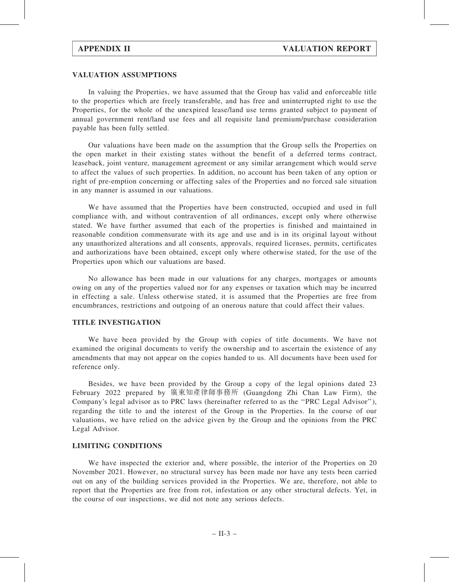#### VALUATION ASSUMPTIONS

In valuing the Properties, we have assumed that the Group has valid and enforceable title to the properties which are freely transferable, and has free and uninterrupted right to use the Properties, for the whole of the unexpired lease/land use terms granted subject to payment of annual government rent/land use fees and all requisite land premium/purchase consideration payable has been fully settled.

Our valuations have been made on the assumption that the Group sells the Properties on the open market in their existing states without the benefit of a deferred terms contract, leaseback, joint venture, management agreement or any similar arrangement which would serve to affect the values of such properties. In addition, no account has been taken of any option or right of pre-emption concerning or affecting sales of the Properties and no forced sale situation in any manner is assumed in our valuations.

We have assumed that the Properties have been constructed, occupied and used in full compliance with, and without contravention of all ordinances, except only where otherwise stated. We have further assumed that each of the properties is finished and maintained in reasonable condition commensurate with its age and use and is in its original layout without any unauthorized alterations and all consents, approvals, required licenses, permits, certificates and authorizations have been obtained, except only where otherwise stated, for the use of the Properties upon which our valuations are based.

No allowance has been made in our valuations for any charges, mortgages or amounts owing on any of the properties valued nor for any expenses or taxation which may be incurred in effecting a sale. Unless otherwise stated, it is assumed that the Properties are free from encumbrances, restrictions and outgoing of an onerous nature that could affect their values.

## TITLE INVESTIGATION

We have been provided by the Group with copies of title documents. We have not examined the original documents to verify the ownership and to ascertain the existence of any amendments that may not appear on the copies handed to us. All documents have been used for reference only.

Besides, we have been provided by the Group a copy of the legal opinions dated 23 February 2022 prepared by 廣東知產律師事務所 (Guangdong Zhi Chan Law Firm), the Company's legal advisor as to PRC laws (hereinafter referred to as the ''PRC Legal Advisor''), regarding the title to and the interest of the Group in the Properties. In the course of our valuations, we have relied on the advice given by the Group and the opinions from the PRC Legal Advisor.

### LIMITING CONDITIONS

We have inspected the exterior and, where possible, the interior of the Properties on 20 November 2021. However, no structural survey has been made nor have any tests been carried out on any of the building services provided in the Properties. We are, therefore, not able to report that the Properties are free from rot, infestation or any other structural defects. Yet, in the course of our inspections, we did not note any serious defects.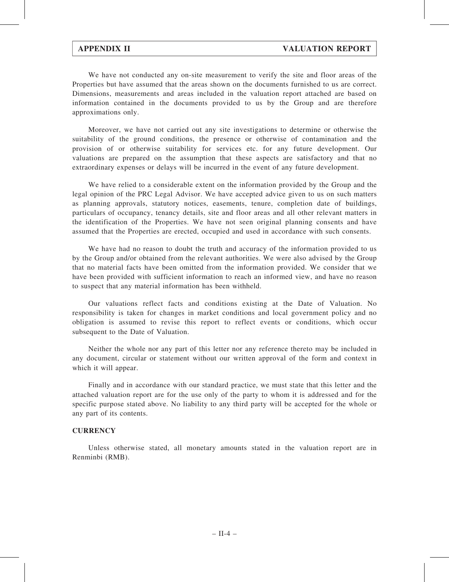We have not conducted any on-site measurement to verify the site and floor areas of the Properties but have assumed that the areas shown on the documents furnished to us are correct. Dimensions, measurements and areas included in the valuation report attached are based on information contained in the documents provided to us by the Group and are therefore approximations only.

Moreover, we have not carried out any site investigations to determine or otherwise the suitability of the ground conditions, the presence or otherwise of contamination and the provision of or otherwise suitability for services etc. for any future development. Our valuations are prepared on the assumption that these aspects are satisfactory and that no extraordinary expenses or delays will be incurred in the event of any future development.

We have relied to a considerable extent on the information provided by the Group and the legal opinion of the PRC Legal Advisor. We have accepted advice given to us on such matters as planning approvals, statutory notices, easements, tenure, completion date of buildings, particulars of occupancy, tenancy details, site and floor areas and all other relevant matters in the identification of the Properties. We have not seen original planning consents and have assumed that the Properties are erected, occupied and used in accordance with such consents.

We have had no reason to doubt the truth and accuracy of the information provided to us by the Group and/or obtained from the relevant authorities. We were also advised by the Group that no material facts have been omitted from the information provided. We consider that we have been provided with sufficient information to reach an informed view, and have no reason to suspect that any material information has been withheld.

Our valuations reflect facts and conditions existing at the Date of Valuation. No responsibility is taken for changes in market conditions and local government policy and no obligation is assumed to revise this report to reflect events or conditions, which occur subsequent to the Date of Valuation.

Neither the whole nor any part of this letter nor any reference thereto may be included in any document, circular or statement without our written approval of the form and context in which it will appear.

Finally and in accordance with our standard practice, we must state that this letter and the attached valuation report are for the use only of the party to whom it is addressed and for the specific purpose stated above. No liability to any third party will be accepted for the whole or any part of its contents.

### **CURRENCY**

Unless otherwise stated, all monetary amounts stated in the valuation report are in Renminbi (RMB).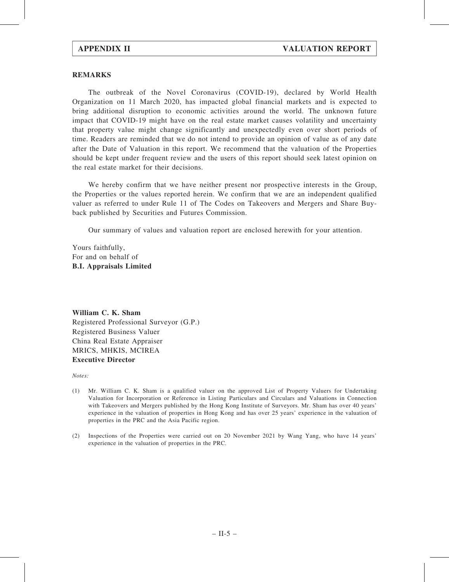### REMARKS

The outbreak of the Novel Coronavirus (COVID-19), declared by World Health Organization on 11 March 2020, has impacted global financial markets and is expected to bring additional disruption to economic activities around the world. The unknown future impact that COVID-19 might have on the real estate market causes volatility and uncertainty that property value might change significantly and unexpectedly even over short periods of time. Readers are reminded that we do not intend to provide an opinion of value as of any date after the Date of Valuation in this report. We recommend that the valuation of the Properties should be kept under frequent review and the users of this report should seek latest opinion on the real estate market for their decisions.

We hereby confirm that we have neither present nor prospective interests in the Group, the Properties or the values reported herein. We confirm that we are an independent qualified valuer as referred to under Rule 11 of The Codes on Takeovers and Mergers and Share Buyback published by Securities and Futures Commission.

Our summary of values and valuation report are enclosed herewith for your attention.

Yours faithfully, For and on behalf of B.I. Appraisals Limited

William C. K. Sham Registered Professional Surveyor (G.P.) Registered Business Valuer China Real Estate Appraiser MRICS, MHKIS, MCIREA Executive Director

Notes:

- (1) Mr. William C. K. Sham is a qualified valuer on the approved List of Property Valuers for Undertaking Valuation for Incorporation or Reference in Listing Particulars and Circulars and Valuations in Connection with Takeovers and Mergers published by the Hong Kong Institute of Surveyors. Mr. Sham has over 40 years' experience in the valuation of properties in Hong Kong and has over 25 years' experience in the valuation of properties in the PRC and the Asia Pacific region.
- (2) Inspections of the Properties were carried out on 20 November 2021 by Wang Yang, who have 14 years' experience in the valuation of properties in the PRC.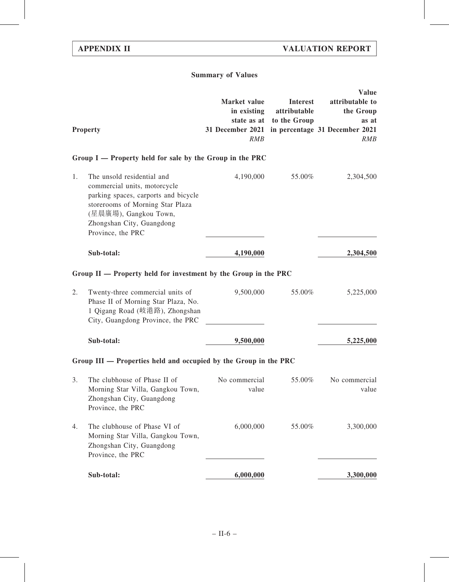# Summary of Values

|    | <b>Property</b>                                                                                                                                                                                                   | Market value<br>in existing<br>31 December 2021 in percentage 31 December 2021<br>RMB | <b>Interest</b><br>attributable<br>state as at to the Group | <b>Value</b><br>attributable to<br>the Group<br>as at<br>RMB |
|----|-------------------------------------------------------------------------------------------------------------------------------------------------------------------------------------------------------------------|---------------------------------------------------------------------------------------|-------------------------------------------------------------|--------------------------------------------------------------|
|    | Group I — Property held for sale by the Group in the PRC                                                                                                                                                          |                                                                                       |                                                             |                                                              |
| 1. | The unsold residential and<br>commercial units, motorcycle<br>parking spaces, carports and bicycle<br>storerooms of Morning Star Plaza<br>(星晨廣場), Gangkou Town,<br>Zhongshan City, Guangdong<br>Province, the PRC | 4,190,000                                                                             | 55.00%                                                      | 2,304,500                                                    |
|    | Sub-total:                                                                                                                                                                                                        | 4,190,000                                                                             |                                                             | 2,304,500                                                    |
|    | Group II — Property held for investment by the Group in the PRC                                                                                                                                                   |                                                                                       |                                                             |                                                              |
| 2. | Twenty-three commercial units of<br>Phase II of Morning Star Plaza, No.<br>1 Qigang Road (岐港路), Zhongshan<br>City, Guangdong Province, the PRC                                                                    | 9,500,000                                                                             | 55.00%                                                      | 5,225,000                                                    |
|    | Sub-total:                                                                                                                                                                                                        | 9,500,000                                                                             |                                                             | 5,225,000                                                    |
|    | Group III - Properties held and occupied by the Group in the PRC                                                                                                                                                  |                                                                                       |                                                             |                                                              |
| 3. | The clubhouse of Phase II of<br>Morning Star Villa, Gangkou Town,<br>Zhongshan City, Guangdong<br>Province, the PRC                                                                                               | No commercial<br>value                                                                | 55.00%                                                      | No commercial<br>value                                       |
| 4. | The clubhouse of Phase VI of<br>Morning Star Villa, Gangkou Town,<br>Zhongshan City, Guangdong<br>Province, the PRC                                                                                               | 6,000,000                                                                             | 55.00%                                                      | 3,300,000                                                    |
|    | Sub-total:                                                                                                                                                                                                        | 6,000,000                                                                             |                                                             | 3,300,000                                                    |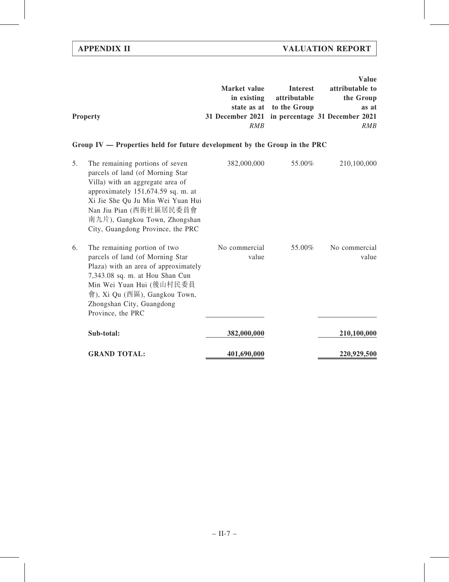|                 |                                                 |                          | <b>Value</b>    |
|-----------------|-------------------------------------------------|--------------------------|-----------------|
|                 | Market value                                    | Interest                 | attributable to |
|                 | in existing                                     | attributable             | the Group       |
|                 |                                                 | state as at to the Group | as at           |
| <b>Property</b> | 31 December 2021 in percentage 31 December 2021 |                          |                 |
|                 | <i>RMB</i>                                      |                          | <i>RMB</i>      |

# Group IV — Properties held for future development by the Group in the PRC

| 5. | The remaining portions of seven<br>parcels of land (of Morning Star<br>Villa) with an aggregate area of<br>approximately 151,674.59 sq. m. at<br>Xi Jie She Qu Ju Min Wei Yuan Hui<br>Nan Jiu Pian (西街社區居民委員會<br>南九片), Gangkou Town, Zhongshan<br>City, Guangdong Province, the PRC | 382,000,000            | 55.00% | 210,100,000            |
|----|-------------------------------------------------------------------------------------------------------------------------------------------------------------------------------------------------------------------------------------------------------------------------------------|------------------------|--------|------------------------|
| 6. | The remaining portion of two<br>parcels of land (of Morning Star<br>Plaza) with an area of approximately<br>7,343.08 sq. m. at Hou Shan Cun<br>Min Wei Yuan Hui (後山村民委員<br>會), Xi Qu (西區), Gangkou Town,<br>Zhongshan City, Guangdong<br>Province, the PRC                          | No commercial<br>value | 55.00% | No commercial<br>value |
|    | Sub-total:                                                                                                                                                                                                                                                                          | 382,000,000            |        | 210,100,000            |
|    | <b>GRAND TOTAL:</b>                                                                                                                                                                                                                                                                 | 401,690,000            |        | 220,929,500            |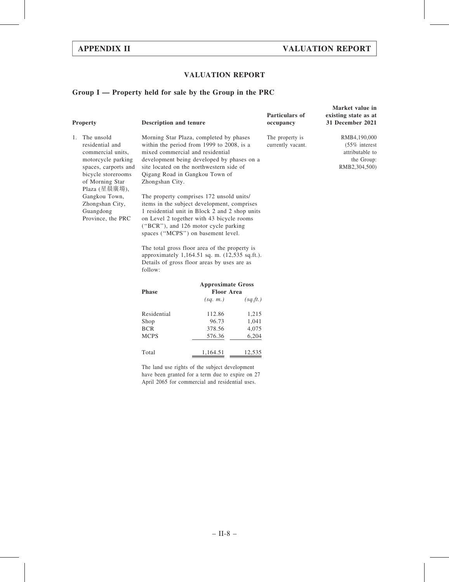## VALUATION REPORT

# Group I — Property held for sale by the Group in the PRC

| Property                                                                                                                                                                                                                               | Description and tenure     |                                                                                                                                                                                                                                                                                                                                                                                                                                                                                                                                                                                                                                                                                |          | Particulars of<br>occupancy          | Market value in<br>existing state as at<br>31 December 2021                        |
|----------------------------------------------------------------------------------------------------------------------------------------------------------------------------------------------------------------------------------------|----------------------------|--------------------------------------------------------------------------------------------------------------------------------------------------------------------------------------------------------------------------------------------------------------------------------------------------------------------------------------------------------------------------------------------------------------------------------------------------------------------------------------------------------------------------------------------------------------------------------------------------------------------------------------------------------------------------------|----------|--------------------------------------|------------------------------------------------------------------------------------|
| The unsold<br>1.<br>residential and<br>commercial units.<br>motorcycle parking<br>spaces, carports and<br>bicycle storerooms<br>of Morning Star<br>Plaza (星晨廣場),<br>Gangkou Town,<br>Zhongshan City,<br>Guangdong<br>Province, the PRC | Zhongshan City.<br>follow: | Morning Star Plaza, completed by phases<br>within the period from 1999 to 2008, is a<br>mixed commercial and residential<br>development being developed by phases on a<br>site located on the northwestern side of<br>Qigang Road in Gangkou Town of<br>The property comprises 172 unsold units/<br>items in the subject development, comprises<br>1 residential unit in Block 2 and 2 shop units<br>on Level 2 together with 43 bicycle rooms<br>("BCR"), and 126 motor cycle parking<br>spaces ("MCPS") on basement level.<br>The total gross floor area of the property is<br>approximately 1,164.51 sq. m. (12,535 sq.ft.).<br>Details of gross floor areas by uses are as |          | The property is<br>currently vacant. | RMB4,190,000<br>$(55\%$ interest<br>attributable to<br>the Group:<br>RMB2,304,500) |
|                                                                                                                                                                                                                                        | <b>Approximate Gross</b>   |                                                                                                                                                                                                                                                                                                                                                                                                                                                                                                                                                                                                                                                                                |          |                                      |                                                                                    |
|                                                                                                                                                                                                                                        | <b>Phase</b>               | <b>Floor Area</b>                                                                                                                                                                                                                                                                                                                                                                                                                                                                                                                                                                                                                                                              |          |                                      |                                                                                    |
|                                                                                                                                                                                                                                        |                            | (sq. m.)                                                                                                                                                                                                                                                                                                                                                                                                                                                                                                                                                                                                                                                                       | (sq.ft.) |                                      |                                                                                    |
|                                                                                                                                                                                                                                        | Residential                | 112.86                                                                                                                                                                                                                                                                                                                                                                                                                                                                                                                                                                                                                                                                         | 1,215    |                                      |                                                                                    |
|                                                                                                                                                                                                                                        | Shop                       | 96.73                                                                                                                                                                                                                                                                                                                                                                                                                                                                                                                                                                                                                                                                          | 1,041    |                                      |                                                                                    |
|                                                                                                                                                                                                                                        | <b>BCR</b>                 | 378.56                                                                                                                                                                                                                                                                                                                                                                                                                                                                                                                                                                                                                                                                         | 4,075    |                                      |                                                                                    |
|                                                                                                                                                                                                                                        | <b>MCPS</b>                | 576.36                                                                                                                                                                                                                                                                                                                                                                                                                                                                                                                                                                                                                                                                         | 6,204    |                                      |                                                                                    |
|                                                                                                                                                                                                                                        | Total                      | 1,164.51                                                                                                                                                                                                                                                                                                                                                                                                                                                                                                                                                                                                                                                                       | 12,535   |                                      |                                                                                    |

The land use rights of the subject development have been granted for a term due to expire on 27 April 2065 for commercial and residential uses.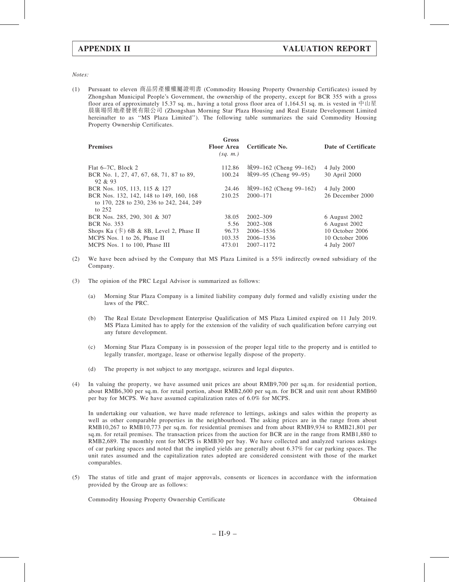Notes:

(1) Pursuant to eleven 商品房產權權屬證明書 (Commodity Housing Property Ownership Certificates) issued by Zhongshan Municipal People's Government, the ownership of the property, except for BCR 355 with a gross floor area of approximately 15.37 sq. m., having a total gross floor area of 1,164.51 sq. m. is vested in 中山星 晨廣場房地產發展有限公司 (Zhongshan Morning Star Plaza Housing and Real Estate Development Limited hereinafter to as ''MS Plaza Limited''). The following table summarizes the said Commodity Housing Property Ownership Certificates.

| <b>Premises</b>                                                                                 | Gross<br><b>Floor Area</b><br>(sq. m.) | Certificate No.        | Date of Certificate |
|-------------------------------------------------------------------------------------------------|----------------------------------------|------------------------|---------------------|
| Flat 6–7C, Block 2                                                                              | 112.86                                 | 城99–162 (Cheng 99–162) | 4 July 2000         |
| BCR No. 1, 27, 47, 67, 68, 71, 87 to 89,<br>92 & 93                                             | 100.24                                 | 城99-95 (Cheng 99-95)   | 30 April 2000       |
| BCR Nos. 105, 113, 115 & 127                                                                    | 24.46                                  | 城99–162 (Cheng 99–162) | 4 July 2000         |
| BCR Nos. 132, 142, 148 to 149, 160, 168<br>to 170, 228 to 230, 236 to 242, 244, 249<br>to $252$ | 210.25                                 | $2000 - 171$           | 26 December 2000    |
| BCR Nos. 285, 290, 301 & 307                                                                    | 38.05                                  | $2002 - 309$           | 6 August 2002       |
| <b>BCR No. 353</b>                                                                              | 5.56                                   | $2002 - 308$           | 6 August 2002       |
| Shops Ka $(\pm)$ 6B & 8B, Level 2, Phase II                                                     | 96.73                                  | 2006-1536              | 10 October 2006     |
| MCPS Nos. 1 to 26, Phase II                                                                     | 103.35                                 | 2006–1536              | 10 October 2006     |
| MCPS Nos. 1 to 100, Phase III                                                                   | 473.01                                 | 2007-1172              | 4 July 2007         |
|                                                                                                 |                                        |                        |                     |

- (2) We have been advised by the Company that MS Plaza Limited is a 55% indirectly owned subsidiary of the Company.
- (3) The opinion of the PRC Legal Advisor is summarized as follows:
	- (a) Morning Star Plaza Company is a limited liability company duly formed and validly existing under the laws of the PRC.
	- (b) The Real Estate Development Enterprise Qualification of MS Plaza Limited expired on 11 July 2019. MS Plaza Limited has to apply for the extension of the validity of such qualification before carrying out any future development.
	- (c) Morning Star Plaza Company is in possession of the proper legal title to the property and is entitled to legally transfer, mortgage, lease or otherwise legally dispose of the property.
	- (d) The property is not subject to any mortgage, seizures and legal disputes.
- (4) In valuing the property, we have assumed unit prices are about RMB9,700 per sq.m. for residential portion, about RMB6,300 per sq.m. for retail portion, about RMB2,600 per sq.m. for BCR and unit rent about RMB60 per bay for MCPS. We have assumed capitalization rates of 6.0% for MCPS.

In undertaking our valuation, we have made reference to lettings, askings and sales within the property as well as other comparable properties in the neighbourhood. The asking prices are in the range from about RMB10,267 to RMB10,773 per sq.m. for residential premises and from about RMB9,934 to RMB21,801 per sq.m. for retail premises. The transaction prices from the auction for BCR are in the range from RMB1,880 to RMB2,689. The monthly rent for MCPS is RMB30 per bay. We have collected and analyzed various askings of car parking spaces and noted that the implied yields are generally about 6.37% for car parking spaces. The unit rates assumed and the capitalization rates adopted are considered consistent with those of the market comparables.

(5) The status of title and grant of major approvals, consents or licences in accordance with the information provided by the Group are as follows:

Commodity Housing Property Ownership Certificate Obtained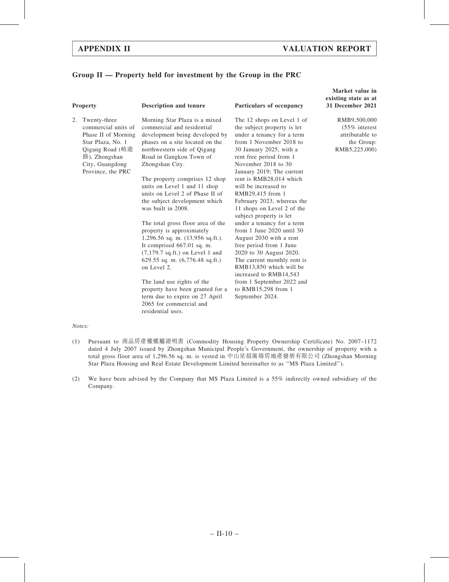## Group II — Property held for investment by the Group in the PRC

2. Twenty-three

commercial units of Phase II of Morning Star Plaza, No. 1 Qigang Road (岐港 路), Zhongshan City, Guangdong Province, the PRC Morning Star Plaza is a mixed commercial and residential development being developed by phases on a site located on the northwestern side of Qigang Road in Gangkou Town of Zhongshan City.

> The property comprises 12 shop units on Level 1 and 11 shop units on Level 2 of Phase II of the subject development which was built in 2008.

> The total gross floor area of the property is approximately 1,296.56 sq. m. (13,956 sq.ft.). It comprised 667.01 sq. m. (7,179.7 sq.ft.) on Level 1 and 629.55 sq. m. (6,776.48 sq.ft.) on Level 2.

The land use rights of the property have been granted for a term due to expire on 27 April 2065 for commercial and residential uses.

Property Description and tenure Particulars of occupancy

The 12 shops on Level 1 of the subject property is let under a tenancy for a term from 1 November 2018 to 30 January 2025, with a rent free period from 1 November 2018 to 30 January 2019; The current rent is RMB28,014 which will be increased to RMB29,415 from 1 February 2023, whereas the 11 shops on Level 2 of the subject property is let under a tenancy for a term from 1 June 2020 until 30 August 2030 with a rent free period from 1 June 2020 to 30 August 2020. The current monthly rent is RMB13,850 which will be increased to RMB14,543 from 1 September 2022 and to RMB15,298 from 1 September 2024.

Market value in existing state as at 31 December 2021

> RMB9,500,000 (55% interest attributable to the Group: RMB5,225,000)

#### Notes:

- (1) Pursuant to 商品房產權權屬證明書 (Commodity Housing Property Ownership Certificate) No. 2007–1172 dated 4 July 2007 issued by Zhongshan Municipal People's Government, the ownership of property with a total gross floor area of 1,296.56 sq. m. is vested in 中山星晨廣場房地產發展有限公司 (Zhongshan Morning Star Plaza Housing and Real Estate Development Limited hereinafter to as ''MS Plaza Limited'').
- (2) We have been advised by the Company that MS Plaza Limited is a 55% indirectly owned subsidiary of the Company.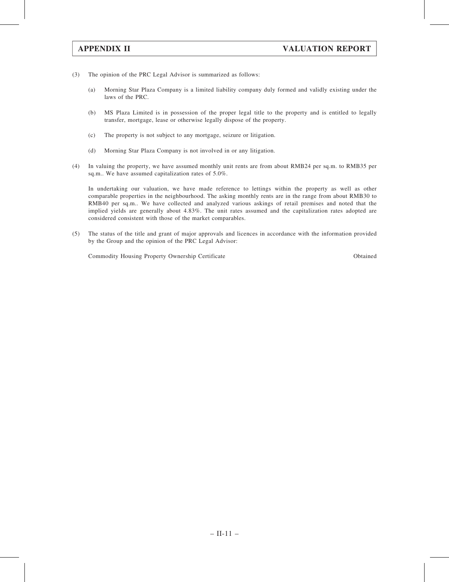- (3) The opinion of the PRC Legal Advisor is summarized as follows:
	- (a) Morning Star Plaza Company is a limited liability company duly formed and validly existing under the laws of the PRC.
	- (b) MS Plaza Limited is in possession of the proper legal title to the property and is entitled to legally transfer, mortgage, lease or otherwise legally dispose of the property.
	- (c) The property is not subject to any mortgage, seizure or litigation.
	- (d) Morning Star Plaza Company is not involved in or any litigation.
- (4) In valuing the property, we have assumed monthly unit rents are from about RMB24 per sq.m. to RMB35 per sq.m.. We have assumed capitalization rates of 5.0%.

In undertaking our valuation, we have made reference to lettings within the property as well as other comparable properties in the neighbourhood. The asking monthly rents are in the range from about RMB30 to RMB40 per sq.m.. We have collected and analyzed various askings of retail premises and noted that the implied yields are generally about 4.83%. The unit rates assumed and the capitalization rates adopted are considered consistent with those of the market comparables.

(5) The status of the title and grant of major approvals and licences in accordance with the information provided by the Group and the opinion of the PRC Legal Advisor:

Commodity Housing Property Ownership Certificate Obtained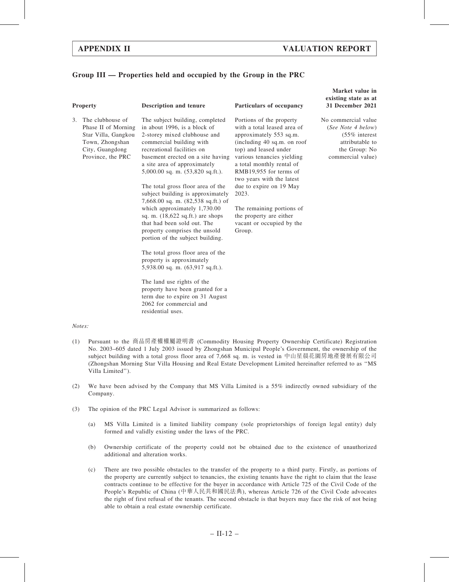## Group III — Properties held and occupied by the Group in the PRC

| one<br>г |
|----------|
|----------|

3. The clubhouse of Phase II of Morning Star Villa, Gangkou Town, Zhongshan City, Guangdong Province, the PRC

The subject building, completed in about 1996, is a block of 2-storey mixed clubhouse and commercial building with recreational facilities on basement erected on a site having a site area of approximately 5,000.00 sq. m. (53,820 sq.ft.).

The total gross floor area of the subject building is approximately 7,668.00 sq. m. (82,538 sq.ft.) of which approximately 1,730.00 sq. m. (18,622 sq.ft.) are shops that had been sold out. The property comprises the unsold portion of the subject building.

The total gross floor area of the property is approximately 5,938.00 sq. m. (63,917 sq.ft.).

The land use rights of the property have been granted for a term due to expire on 31 August 2062 for commercial and residential uses.

#### Description and tenure Particulars of occupancy

Portions of the property with a total leased area of approximately 553 sq.m. (including 40 sq.m. on roof top) and leased under various tenancies yielding a total monthly rental of RMB19,955 for terms of two years with the latest due to expire on 19 May 2023.

The remaining portions of the property are either vacant or occupied by the Group.

#### Market value in existing state as at 31 December 2021

No commercial value (See Note 4 below) (55% interest attributable to the Group: No commercial value)

#### Notes:

- (1) Pursuant to the 商品房產權權屬證明書 (Commodity Housing Property Ownership Certificate) Registration No. 2003–605 dated 1 July 2003 issued by Zhongshan Municipal People's Government, the ownership of the subject building with a total gross floor area of 7,668 sq. m. is vested in 中山星晨花園房地產發展有限公司 (Zhongshan Morning Star Villa Housing and Real Estate Development Limited hereinafter referred to as ''MS Villa Limited'').
- (2) We have been advised by the Company that MS Villa Limited is a 55% indirectly owned subsidiary of the Company.
- (3) The opinion of the PRC Legal Advisor is summarized as follows:
	- (a) MS Villa Limited is a limited liability company (sole proprietorships of foreign legal entity) duly formed and validly existing under the laws of the PRC.
	- (b) Ownership certificate of the property could not be obtained due to the existence of unauthorized additional and alteration works.
	- (c) There are two possible obstacles to the transfer of the property to a third party. Firstly, as portions of the property are currently subject to tenancies, the existing tenants have the right to claim that the lease contracts continue to be effective for the buyer in accordance with Article 725 of the Civil Code of the People's Republic of China (中華人民共和國民法典), whereas Article 726 of the Civil Code advocates the right of first refusal of the tenants. The second obstacle is that buyers may face the risk of not being able to obtain a real estate ownership certificate.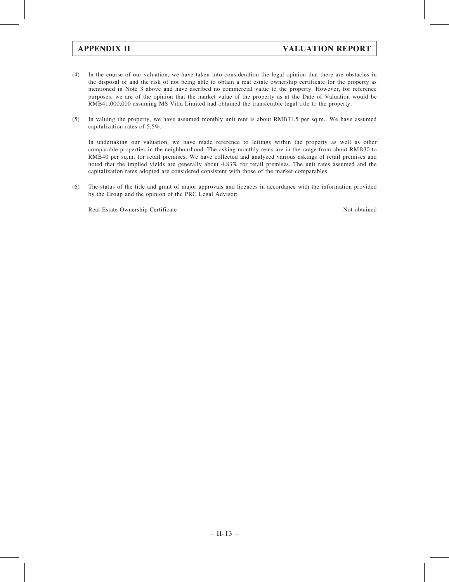- (4) In the course of our valuation, we have taken into consideration the legal opinion that there are obstacles in the disposal of and the risk of not being able to obtain a real estate ownership certificate for the property as mentioned in Note 3 above and have ascribed no commercial value to the property. However, for reference purposes, we are of the opinion that the market value of the property as at the Date of Valuation would be RMB41,000,000 assuming MS Villa Limited had obtained the transferable legal title to the property.
- (5) In valuing the property, we have assumed monthly unit rent is about RMB31.5 per sq.m.. We have assumed capitalization rates of 5.5%.

In undertaking our valuation, we have made reference to lettings within the property as well as other comparable properties in the neighbourhood. The asking monthly rents are in the range from about RMB30 to RMB40 per sq.m. for retail premises. We have collected and analyzed various askings of retail premises and noted that the implied yields are generally about 4.83% for retail premises. The unit rates assumed and the capitalization rates adopted are considered consistent with those of the market comparables.

(6) The status of the title and grant of major approvals and licences in accordance with the information provided by the Group and the opinion of the PRC Legal Advisor:

Real Estate Ownership Certificate Not obtained Not obtained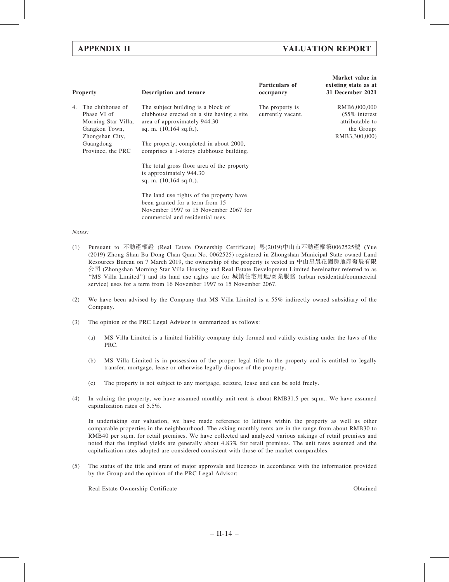|    | <b>Property</b>                                                                                                              | <b>Description and tenure</b>                                                                                                                                                                                                                                                                                                                                | Particulars of<br>occupancy          | Market value in<br>existing state as at<br>31 December 2021                        |
|----|------------------------------------------------------------------------------------------------------------------------------|--------------------------------------------------------------------------------------------------------------------------------------------------------------------------------------------------------------------------------------------------------------------------------------------------------------------------------------------------------------|--------------------------------------|------------------------------------------------------------------------------------|
| 4. | The clubhouse of<br>Phase VI of<br>Morning Star Villa,<br>Gangkou Town,<br>Zhongshan City,<br>Guangdong<br>Province, the PRC | The subject building is a block of<br>clubhouse erected on a site having a site<br>area of approximately 944.30<br>sq. m. $(10,164 \text{ sq.fit.})$ .<br>The property, completed in about 2000,<br>comprises a 1-storey clubhouse building.<br>The total gross floor area of the property<br>is approximately 944.30<br>sq. m. $(10,164 \text{ sq.fit.})$ . | The property is<br>currently vacant. | RMB6,000,000<br>$(55\%$ interest<br>attributable to<br>the Group:<br>RMB3,300,000) |
|    |                                                                                                                              | The land use rights of the property have<br>been granted for a term from 15<br>November 1997 to 15 November 2067 for<br>commercial and residential uses.                                                                                                                                                                                                     |                                      |                                                                                    |

#### Notes:

- (1) Pursuant to 不動產權證 (Real Estate Ownership Certificate) 粵(2019)中山市不動產權第0062525號 (Yue (2019) Zhong Shan Bu Dong Chan Quan No. 0062525) registered in Zhongshan Municipal State-owned Land Resources Bureau on 7 March 2019, the ownership of the property is vested in 中山星晨花園房地產發展有限 公司 (Zhongshan Morning Star Villa Housing and Real Estate Development Limited hereinafter referred to as ''MS Villa Limited'') and its land use rights are for 城鎮住宅用地/商業服務 (urban residential/commercial service) uses for a term from 16 November 1997 to 15 November 2067.
- (2) We have been advised by the Company that MS Villa Limited is a 55% indirectly owned subsidiary of the Company.
- (3) The opinion of the PRC Legal Advisor is summarized as follows:
	- (a) MS Villa Limited is a limited liability company duly formed and validly existing under the laws of the PRC.
	- (b) MS Villa Limited is in possession of the proper legal title to the property and is entitled to legally transfer, mortgage, lease or otherwise legally dispose of the property.
	- (c) The property is not subject to any mortgage, seizure, lease and can be sold freely.
- (4) In valuing the property, we have assumed monthly unit rent is about RMB31.5 per sq.m.. We have assumed capitalization rates of 5.5%.

In undertaking our valuation, we have made reference to lettings within the property as well as other comparable properties in the neighbourhood. The asking monthly rents are in the range from about RMB30 to RMB40 per sq.m. for retail premises. We have collected and analyzed various askings of retail premises and noted that the implied yields are generally about 4.83% for retail premises. The unit rates assumed and the capitalization rates adopted are considered consistent with those of the market comparables.

(5) The status of the title and grant of major approvals and licences in accordance with the information provided by the Group and the opinion of the PRC Legal Advisor:

Real Estate Ownership Certificate Obtained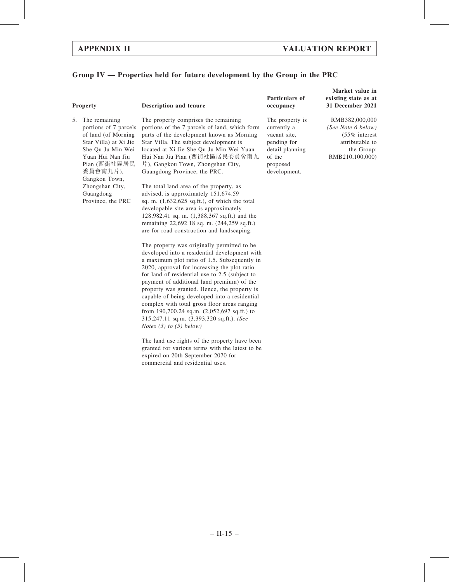## Group IV — Properties held for future development by the Group in the PRC

5. The remaining portions of 7 parcels of land (of Morning Star Villa) at Xi Jie She Qu Ju Min Wei Yuan Hui Nan Jiu Pian (西街社區居民 委員會南九片), Gangkou Town, Zhongshan City, Guangdong Province, the PRC

#### Property **Description and tenure**

The property comprises the remaining portions of the 7 parcels of land, which form parts of the development known as Morning Star Villa. The subject development is located at Xi Jie She Qu Ju Min Wei Yuan Hui Nan Jiu Pian (西街社區居民委員會南九 片), Gangkou Town, Zhongshan City, Guangdong Province, the PRC.

The total land area of the property, as advised, is approximately 151,674.59 sq. m. (1,632,625 sq.ft.), of which the total developable site area is approximately 128,982.41 sq. m. (1,388,367 sq.ft.) and the remaining 22,692.18 sq. m. (244,259 sq.ft.) are for road construction and landscaping.

The property was originally permitted to be developed into a residential development with a maximum plot ratio of 1.5. Subsequently in 2020, approval for increasing the plot ratio for land of residential use to 2.5 (subject to payment of additional land premium) of the property was granted. Hence, the property is capable of being developed into a residential complex with total gross floor areas ranging from 190,700.24 sq.m. (2,052,697 sq.ft.) to 315,247.11 sq.m. (3,393,320 sq.ft.). (See Notes (3) to (5) below)

The land use rights of the property have been granted for various terms with the latest to be expired on 20th September 2070 for commercial and residential uses.

### Particulars of occupancy

The property is currently a vacant site, pending for detail planning of the proposed development.

Market value in existing state as at 31 December 2021

RMB382,000,000 (See Note 6 below) (55% interest attributable to the Group: RMB210,100,000)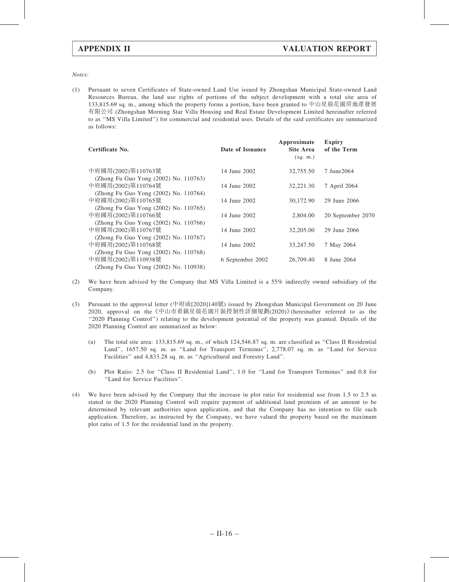Notes:

(1) Pursuant to seven Certificates of State-owned Land Use issued by Zhongshan Municipal State-owned Land Resources Bureau, the land use rights of portions of the subject development with a total site area of 133,815.69 sq. m., among which the property forms a portion, have been granted to 中山星晨花園房地產發展 有限公司 (Zhongshan Morning Star Villa Housing and Real Estate Development Limited hereinafter referred to as ''MS Villa Limited'') for commercial and residential uses. Details of the said certificates are summarized as follows:

| Certificate No.                       | Date of Issuance | Approximate<br>Site Area<br>(sq. m.) | <b>Expiry</b><br>of the Term |
|---------------------------------------|------------------|--------------------------------------|------------------------------|
| 中府國用(2002)第110763號                    | 14 June 2002     | 32,755.50                            | 7 June 2064                  |
| (Zhong Fu Guo Yong (2002) No. 110763) |                  |                                      |                              |
| 中府國用(2002)第110764號                    | 14 June 2002     | 32,221.30                            | 7 April 2064                 |
| (Zhong Fu Guo Yong (2002) No. 110764) |                  |                                      |                              |
| 中府國用(2002)第110765號                    | 14 June 2002     | 30,172.90                            | 29 June 2066                 |
| (Zhong Fu Guo Yong (2002) No. 110765) |                  |                                      |                              |
| 中府國用(2002)第110766號                    | 14 June 2002     | 2,804.00                             | 20 September 2070            |
| (Zhong Fu Guo Yong (2002) No. 110766) |                  |                                      |                              |
| 中府國用(2002)第110767號                    | 14 June 2002     | 32,205.00                            | 29 June 2066                 |
| (Zhong Fu Guo Yong (2002) No. 110767) |                  |                                      |                              |
| 中府國用(2002)第110768號                    | 14 June 2002     | 33,247.50                            | 7 May 2064                   |
| (Zhong Fu Guo Yong (2002) No. 110768) |                  |                                      |                              |
| 中府國用(2002)第110938號                    | 6 September 2002 | 26,709.40                            | 8 June 2064                  |
| (Zhong Fu Guo Yong (2002) No. 110938) |                  |                                      |                              |

- (2) We have been advised by the Company that MS Villa Limited is a 55% indirectly owned subsidiary of the Company.
- (3) Pursuant to the approval letter (中府函[2020]140號) issued by Zhongshan Municipal Government on 20 June 2020, approval on the《中山市看鎮星晨花園片區控制性詳細規劃(2020)》(hereinafter referred to as the "2020 Planning Control") relating to the development potential of the property was granted. Details of the 2020 Planning Control are summarized as below:
	- (a) The total site area: 133,815.69 sq. m., of which 124,546.87 sq. m. are classified as ''Class II Residential Land'', 1657.50 sq. m. as ''Land for Transport Terminus'', 2,778.07 sq. m. as ''Land for Service Facilities'' and 4,833.28 sq. m. as ''Agricultural and Forestry Land''.
	- (b) Plot Ratio: 2.5 for ''Class II Residential Land'', 1.0 for ''Land for Transport Terminus'' and 0.8 for ''Land for Service Facilities''.
- (4) We have been advised by the Company that the increase in plot ratio for residential use from 1.5 to 2.5 as stated in the 2020 Planning Control will require payment of additional land premium of an amount to be determined by relevant authorities upon application, and that the Company has no intention to file such application. Therefore, as instructed by the Company, we have valued the property based on the maximum plot ratio of 1.5 for the residential land in the property.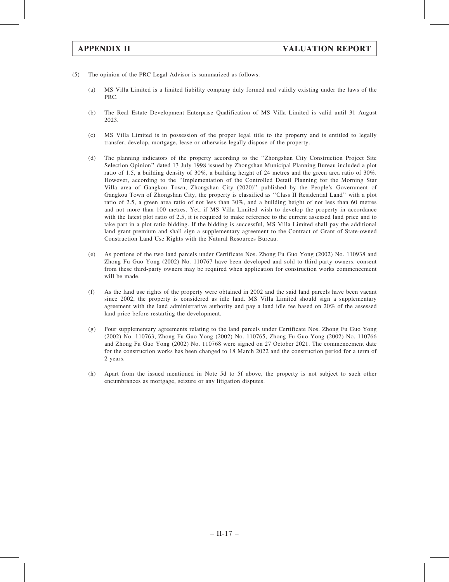- (5) The opinion of the PRC Legal Advisor is summarized as follows:
	- (a) MS Villa Limited is a limited liability company duly formed and validly existing under the laws of the PRC.
	- (b) The Real Estate Development Enterprise Qualification of MS Villa Limited is valid until 31 August 2023.
	- (c) MS Villa Limited is in possession of the proper legal title to the property and is entitled to legally transfer, develop, mortgage, lease or otherwise legally dispose of the property.
	- (d) The planning indicators of the property according to the ''Zhongshan City Construction Project Site Selection Opinion'' dated 13 July 1998 issued by Zhongshan Municipal Planning Bureau included a plot ratio of 1.5, a building density of 30%, a building height of 24 metres and the green area ratio of 30%. However, according to the ''Implementation of the Controlled Detail Planning for the Morning Star Villa area of Gangkou Town, Zhongshan City (2020)'' published by the People's Government of Gangkou Town of Zhongshan City, the property is classified as ''Class II Residential Land'' with a plot ratio of 2.5, a green area ratio of not less than 30%, and a building height of not less than 60 metres and not more than 100 metres. Yet, if MS Villa Limited wish to develop the property in accordance with the latest plot ratio of 2.5, it is required to make reference to the current assessed land price and to take part in a plot ratio bidding. If the bidding is successful, MS Villa Limited shall pay the additional land grant premium and shall sign a supplementary agreement to the Contract of Grant of State-owned Construction Land Use Rights with the Natural Resources Bureau.
	- (e) As portions of the two land parcels under Certificate Nos. Zhong Fu Guo Yong (2002) No. 110938 and Zhong Fu Guo Yong (2002) No. 110767 have been developed and sold to third-party owners, consent from these third-party owners may be required when application for construction works commencement will be made.
	- (f) As the land use rights of the property were obtained in 2002 and the said land parcels have been vacant since 2002, the property is considered as idle land. MS Villa Limited should sign a supplementary agreement with the land administrative authority and pay a land idle fee based on 20% of the assessed land price before restarting the development.
	- (g) Four supplementary agreements relating to the land parcels under Certificate Nos. Zhong Fu Guo Yong (2002) No. 110763, Zhong Fu Guo Yong (2002) No. 110765, Zhong Fu Guo Yong (2002) No. 110766 and Zhong Fu Guo Yong (2002) No. 110768 were signed on 27 October 2021. The commencement date for the construction works has been changed to 18 March 2022 and the construction period for a term of 2 years.
	- (h) Apart from the issued mentioned in Note 5d to 5f above, the property is not subject to such other encumbrances as mortgage, seizure or any litigation disputes.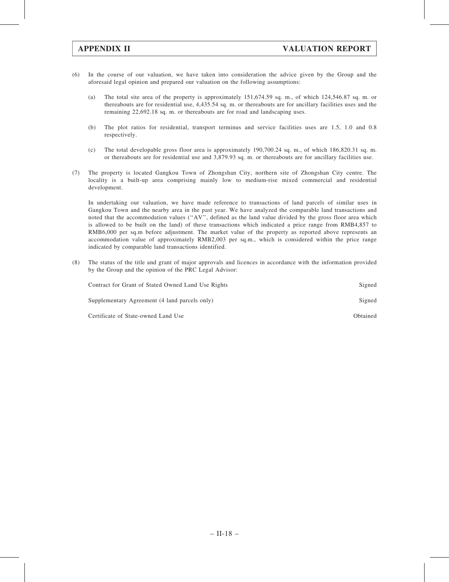- (6) In the course of our valuation, we have taken into consideration the advice given by the Group and the aforesaid legal opinion and prepared our valuation on the following assumptions:
	- (a) The total site area of the property is approximately 151,674.59 sq. m., of which 124,546.87 sq. m. or thereabouts are for residential use, 4,435.54 sq. m. or thereabouts are for ancillary facilities uses and the remaining 22,692.18 sq. m. or thereabouts are for road and landscaping uses.
	- (b) The plot ratios for residential, transport terminus and service facilities uses are 1.5, 1.0 and 0.8 respectively.
	- (c) The total developable gross floor area is approximately 190,700.24 sq. m., of which 186,820.31 sq. m. or thereabouts are for residential use and 3,879.93 sq. m. or thereabouts are for ancillary facilities use.
- (7) The property is located Gangkou Town of Zhongshan City, northern site of Zhongshan City centre. The locality is a built-up area comprising mainly low to medium-rise mixed commercial and residential development.

In undertaking our valuation, we have made reference to transactions of land parcels of similar uses in Gangkou Town and the nearby area in the past year. We have analyzed the comparable land transactions and noted that the accommodation values (''AV'', defined as the land value divided by the gross floor area which is allowed to be built on the land) of these transactions which indicated a price range from RMB4,857 to RMB6,000 per sq.m before adjustment. The market value of the property as reported above represents an accommodation value of approximately RMB2,003 per sq.m., which is considered within the price range indicated by comparable land transactions identified.

(8) The status of the title and grant of major approvals and licences in accordance with the information provided by the Group and the opinion of the PRC Legal Advisor:

| Contract for Grant of Stated Owned Land Use Rights | Signed   |
|----------------------------------------------------|----------|
| Supplementary Agreement (4 land parcels only)      | Signed   |
| Certificate of State-owned Land Use                | Obtained |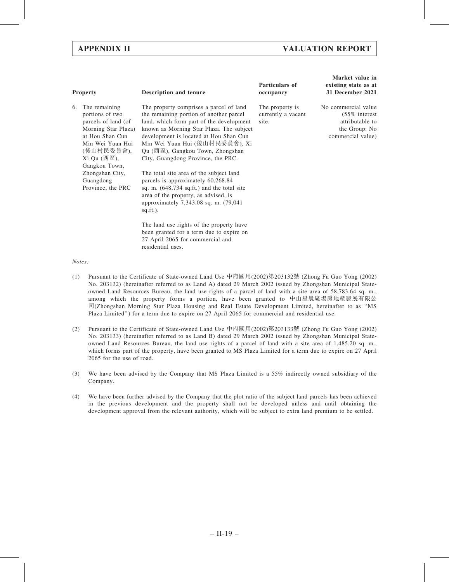# APPENDIX II VALUATION REPORT

| <b>Property</b>                                                                                                                                                                                                                  | <b>Description and tenure</b>                                                                                                                                                                                                                                                                                                                                                                                                                                                                                                                                                                                                                                                                                                  | Particulars of<br>occupancy                    | Market value in<br>existing state as at<br>31 December 2021                                      |
|----------------------------------------------------------------------------------------------------------------------------------------------------------------------------------------------------------------------------------|--------------------------------------------------------------------------------------------------------------------------------------------------------------------------------------------------------------------------------------------------------------------------------------------------------------------------------------------------------------------------------------------------------------------------------------------------------------------------------------------------------------------------------------------------------------------------------------------------------------------------------------------------------------------------------------------------------------------------------|------------------------------------------------|--------------------------------------------------------------------------------------------------|
| The remaining<br>6.<br>portions of two<br>parcels of land (of<br>Morning Star Plaza)<br>at Hou Shan Cun<br>Min Wei Yuan Hui<br>(後山村民委員會),<br>$Xi$ Qu (西區),<br>Gangkou Town,<br>Zhongshan City,<br>Guangdong<br>Province, the PRC | The property comprises a parcel of land<br>the remaining portion of another parcel<br>land, which form part of the development<br>known as Morning Star Plaza. The subject<br>development is located at Hou Shan Cun<br>Min Wei Yuan Hui (後山村民委員會), Xi<br>Qu (西區), Gangkou Town, Zhongshan<br>City, Guangdong Province, the PRC.<br>The total site area of the subject land<br>parcels is approximately 60,268.84<br>sq. m. $(648, 734 \text{ sq. ft.})$ and the total site<br>area of the property, as advised, is<br>approximately 7,343.08 sq. m. (79,041)<br>$sq.fit.$ ).<br>The land use rights of the property have<br>been granted for a term due to expire on<br>27 April 2065 for commercial and<br>residential uses. | The property is<br>currently a vacant<br>site. | No commercial value<br>$(55\%$ interest<br>attributable to<br>the Group: No<br>commercial value) |

### Notes:

- (1) Pursuant to the Certificate of State-owned Land Use 中府國用(2002)第203132號 (Zhong Fu Guo Yong (2002) No. 203132) (hereinafter referred to as Land A) dated 29 March 2002 issued by Zhongshan Municipal Stateowned Land Resources Bureau, the land use rights of a parcel of land with a site area of 58,783.64 sq. m., among which the property forms a portion, have been granted to 中山星晨廣場房地產發展有限公 司(Zhongshan Morning Star Plaza Housing and Real Estate Development Limited, hereinafter to as ''MS Plaza Limited'') for a term due to expire on 27 April 2065 for commercial and residential use.
- (2) Pursuant to the Certificate of State-owned Land Use 中府國用(2002)第203133號 (Zhong Fu Guo Yong (2002) No. 203133) (hereinafter referred to as Land B) dated 29 March 2002 issued by Zhongshan Municipal Stateowned Land Resources Bureau, the land use rights of a parcel of land with a site area of 1,485.20 sq. m., which forms part of the property, have been granted to MS Plaza Limited for a term due to expire on 27 April 2065 for the use of road.
- (3) We have been advised by the Company that MS Plaza Limited is a 55% indirectly owned subsidiary of the Company.
- (4) We have been further advised by the Company that the plot ratio of the subject land parcels has been achieved in the previous development and the property shall not be developed unless and until obtaining the development approval from the relevant authority, which will be subject to extra land premium to be settled.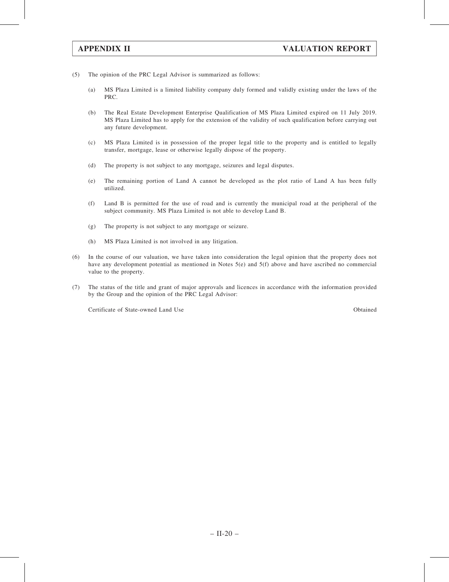- (5) The opinion of the PRC Legal Advisor is summarized as follows:
	- (a) MS Plaza Limited is a limited liability company duly formed and validly existing under the laws of the PRC.
	- (b) The Real Estate Development Enterprise Qualification of MS Plaza Limited expired on 11 July 2019. MS Plaza Limited has to apply for the extension of the validity of such qualification before carrying out any future development.
	- (c) MS Plaza Limited is in possession of the proper legal title to the property and is entitled to legally transfer, mortgage, lease or otherwise legally dispose of the property.
	- (d) The property is not subject to any mortgage, seizures and legal disputes.
	- (e) The remaining portion of Land A cannot be developed as the plot ratio of Land A has been fully utilized.
	- (f) Land B is permitted for the use of road and is currently the municipal road at the peripheral of the subject community. MS Plaza Limited is not able to develop Land B.
	- (g) The property is not subject to any mortgage or seizure.
	- (h) MS Plaza Limited is not involved in any litigation.
- (6) In the course of our valuation, we have taken into consideration the legal opinion that the property does not have any development potential as mentioned in Notes 5(e) and 5(f) above and have ascribed no commercial value to the property.
- (7) The status of the title and grant of major approvals and licences in accordance with the information provided by the Group and the opinion of the PRC Legal Advisor:

Certificate of State-owned Land Use Obtained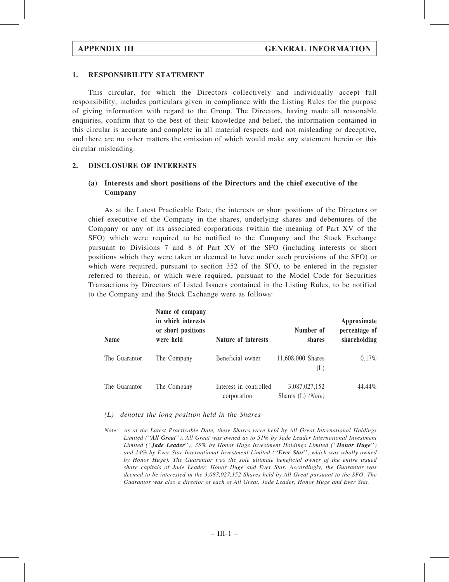### 1. RESPONSIBILITY STATEMENT

This circular, for which the Directors collectively and individually accept full responsibility, includes particulars given in compliance with the Listing Rules for the purpose of giving information with regard to the Group. The Directors, having made all reasonable enquiries, confirm that to the best of their knowledge and belief, the information contained in this circular is accurate and complete in all material respects and not misleading or deceptive, and there are no other matters the omission of which would make any statement herein or this circular misleading.

### 2. DISCLOSURE OF INTERESTS

# (a) Interests and short positions of the Directors and the chief executive of the Company

As at the Latest Practicable Date, the interests or short positions of the Directors or chief executive of the Company in the shares, underlying shares and debentures of the Company or any of its associated corporations (within the meaning of Part XV of the SFO) which were required to be notified to the Company and the Stock Exchange pursuant to Divisions 7 and 8 of Part XV of the SFO (including interests or short positions which they were taken or deemed to have under such provisions of the SFO) or which were required, pursuant to section 352 of the SFO, to be entered in the register referred to therein, or which were required, pursuant to the Model Code for Securities Transactions by Directors of Listed Issuers contained in the Listing Rules, to be notified to the Company and the Stock Exchange were as follows:

| <b>Name</b>   | Name of company<br>in which interests<br>or short positions<br>were held | Nature of interests                   | Number of<br>shares                | Approximate<br>percentage of<br>shareholding |
|---------------|--------------------------------------------------------------------------|---------------------------------------|------------------------------------|----------------------------------------------|
| The Guarantor | The Company                                                              | Beneficial owner                      | 11,608,000 Shares<br>(L)           | $0.17\%$                                     |
| The Guarantor | The Company                                                              | Interest in controlled<br>corporation | 3,087,027,152<br>Shares (L) (Note) | 44.44%                                       |

### (L) denotes the long position held in the Shares

Note: As at the Latest Practicable Date, these Shares were held by All Great International Holdings Limited ("All Great"). All Great was owned as to 51% by Jade Leader International Investment Limited ("Jade Leader"), 35% by Honor Huge Investment Holdings Limited ("Honor Huge") and 14% by Ever Star International Investment Limited (''Ever Star'', which was wholly-owned by Honor Huge). The Guarantor was the sole ultimate beneficial owner of the entire issued share capitals of Jade Leader, Honor Huge and Ever Star. Accordingly, the Guarantor was deemed to be interested in the 3,087,027,152 Shares held by All Great pursuant to the SFO. The Guarantor was also a director of each of All Great, Jade Leader, Honor Huge and Ever Star.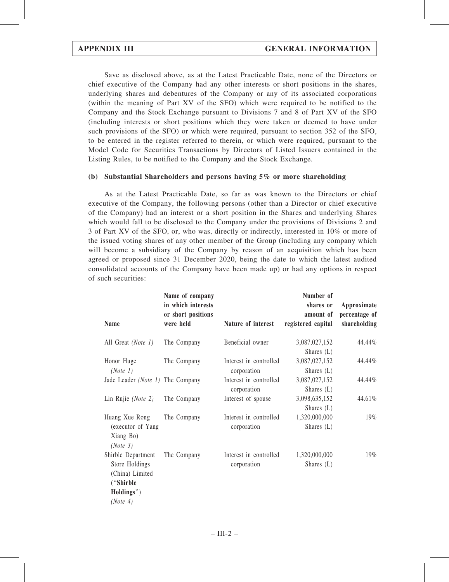Save as disclosed above, as at the Latest Practicable Date, none of the Directors or chief executive of the Company had any other interests or short positions in the shares, underlying shares and debentures of the Company or any of its associated corporations (within the meaning of Part XV of the SFO) which were required to be notified to the Company and the Stock Exchange pursuant to Divisions 7 and 8 of Part XV of the SFO (including interests or short positions which they were taken or deemed to have under such provisions of the SFO) or which were required, pursuant to section 352 of the SFO, to be entered in the register referred to therein, or which were required, pursuant to the Model Code for Securities Transactions by Directors of Listed Issuers contained in the Listing Rules, to be notified to the Company and the Stock Exchange.

# (b) Substantial Shareholders and persons having 5% or more shareholding

As at the Latest Practicable Date, so far as was known to the Directors or chief executive of the Company, the following persons (other than a Director or chief executive of the Company) had an interest or a short position in the Shares and underlying Shares which would fall to be disclosed to the Company under the provisions of Divisions 2 and 3 of Part XV of the SFO, or, who was, directly or indirectly, interested in 10% or more of the issued voting shares of any other member of the Group (including any company which will become a subsidiary of the Company by reason of an acquisition which has been agreed or proposed since 31 December 2020, being the date to which the latest audited consolidated accounts of the Company have been made up) or had any options in respect of such securities:

| or short positions<br>were held  | Nature of interest                    | amount of                     |                               |
|----------------------------------|---------------------------------------|-------------------------------|-------------------------------|
|                                  |                                       | registered capital            | percentage of<br>shareholding |
| The Company                      | Beneficial owner                      | 3,087,027,152                 | 44.44%                        |
| The Company                      | Interest in controlled<br>corporation | 3,087,027,152<br>Shares $(L)$ | 44.44%                        |
| Jade Leader (Note 1) The Company | Interest in controlled<br>corporation | 3,087,027,152<br>Shares $(L)$ | 44.44%                        |
| The Company                      | Interest of spouse                    | 3,098,635,152<br>Shares $(L)$ | 44.61%                        |
| The Company                      | Interest in controlled<br>corporation | 1,320,000,000<br>Shares $(L)$ | 19%                           |
| The Company                      | Interest in controlled<br>corporation | 1,320,000,000<br>Shares $(L)$ | 19%                           |
|                                  |                                       |                               | Shares $(L)$                  |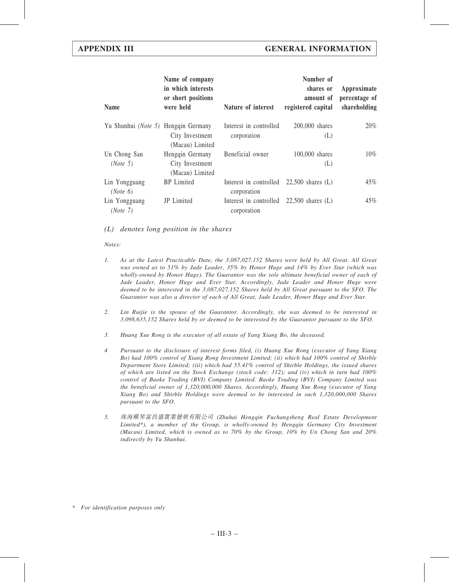| <b>Name</b>                         | Name of company<br>in which interests<br>or short positions<br>were held | Nature of interest                    | Number of<br>shares or<br>amount of<br>registered capital | Approximate<br>percentage of<br>shareholding |
|-------------------------------------|--------------------------------------------------------------------------|---------------------------------------|-----------------------------------------------------------|----------------------------------------------|
| Yu Shunhui (Note 5) Hengqin Germany | City Investment<br>(Macau) Limited                                       | Interest in controlled<br>corporation | 200,000 shares<br>(L)                                     | 20%                                          |
| Un Chong San<br>(Note 5)            | Hengqin Germany<br>City Investment<br>(Macau) Limited                    | Beneficial owner                      | 100,000 shares<br>(L)                                     | 10%                                          |
| Lin Yongguang<br>(Note 6)           | <b>BP</b> Limited                                                        | Interest in controlled<br>corporation | $22,500$ shares $(L)$                                     | 45%                                          |
| Lin Yongguang<br>(Note 7)           | JP Limited                                                               | Interest in controlled<br>corporation | $22,500$ shares $(L)$                                     | 45%                                          |

### (L) denotes long position in the shares

### Notes:

- 1. As at the Latest Practicable Date, the 3,087,027,152 Shares were held by All Great. All Great was owned as to 51% by Jade Leader, 35% by Honor Huge and 14% by Ever Star (which was wholly-owned by Honor Huge). The Guarantor was the sole ultimate beneficial owner of each of Jade Leader, Honor Huge and Ever Star. Accordingly, Jade Leader and Honor Huge were deemed to be interested in the 3,087,027,152 Shares held by All Great pursuant to the SFO. The Guarantor was also a director of each of All Great, Jade Leader, Honor Huge and Ever Star.
- 2. Lin Ruijie is the spouse of the Guarantor. Accordingly, she was deemed to be interested in 3,098,635,152 Shares held by or deemed to be interested by the Guarantor pursuant to the SFO.
- 3. Huang Xue Rong is the executor of all estate of Yang Xiang Bo, the deceased.
- 4 Pursuant to the disclosure of interest forms filed, (i) Huang Xue Rong (executor of Yang Xiang Bo) had 100% control of Xiang Rong Investment Limited; (ii) which had 100% control of Shirble Department Store Limited; (iii) which had 55.41% control of Shirble Holdings, the issued shares of which are listed on the Stock Exchange (stock code: 312); and (iv) which in turn had 100% control of Baoke Trading (BVI) Company Limited. Baoke Trading (BVI) Company Limited was the beneficial owner of 1,320,000,000 Shares. Accordingly, Huang Xue Rong (executor of Yang Xiang Bo) and Shirble Holdings were deemed to be interested in such 1,320,000,000 Shares pursuant to the SFO.
- 5. 珠海橫琴富昌盛實業發展有限公司 (Zhuhai Hengqin Fuchangsheng Real Estate Development Limited\*), a member of the Group, is wholly-owned by Hengqin Germany City Investment (Macau) Limited, which is owned as to 70% by the Group, 10% by Un Chong San and 20% indirectly by Yu Shunhui.

\* For identification purposes only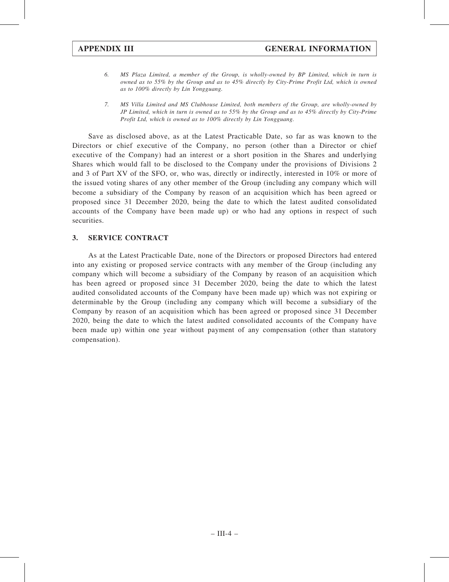- 6. MS Plaza Limited, a member of the Group, is wholly-owned by BP Limited, which in turn is owned as to 55% by the Group and as to 45% directly by City-Prime Profit Ltd, which is owned as to 100% directly by Lin Yongguang.
- 7. MS Villa Limited and MS Clubhouse Limited, both members of the Group, are wholly-owned by JP Limited, which in turn is owned as to 55% by the Group and as to 45% directly by City-Prime Profit Ltd, which is owned as to 100% directly by Lin Yongguang.

Save as disclosed above, as at the Latest Practicable Date, so far as was known to the Directors or chief executive of the Company, no person (other than a Director or chief executive of the Company) had an interest or a short position in the Shares and underlying Shares which would fall to be disclosed to the Company under the provisions of Divisions 2 and 3 of Part XV of the SFO, or, who was, directly or indirectly, interested in 10% or more of the issued voting shares of any other member of the Group (including any company which will become a subsidiary of the Company by reason of an acquisition which has been agreed or proposed since 31 December 2020, being the date to which the latest audited consolidated accounts of the Company have been made up) or who had any options in respect of such securities.

# 3. SERVICE CONTRACT

As at the Latest Practicable Date, none of the Directors or proposed Directors had entered into any existing or proposed service contracts with any member of the Group (including any company which will become a subsidiary of the Company by reason of an acquisition which has been agreed or proposed since 31 December 2020, being the date to which the latest audited consolidated accounts of the Company have been made up) which was not expiring or determinable by the Group (including any company which will become a subsidiary of the Company by reason of an acquisition which has been agreed or proposed since 31 December 2020, being the date to which the latest audited consolidated accounts of the Company have been made up) within one year without payment of any compensation (other than statutory compensation).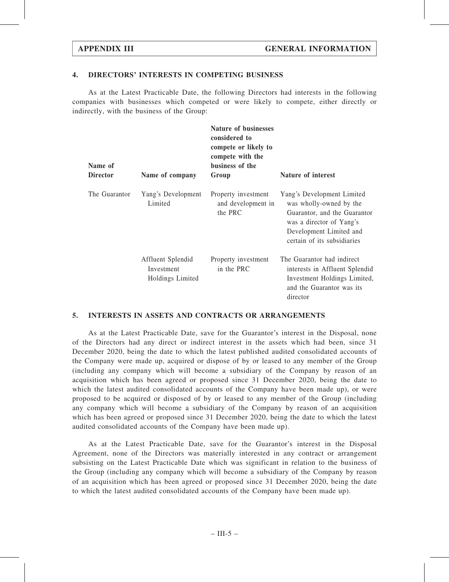### 4. DIRECTORS' INTERESTS IN COMPETING BUSINESS

As at the Latest Practicable Date, the following Directors had interests in the following companies with businesses which competed or were likely to compete, either directly or indirectly, with the business of the Group:

| Name of<br><b>Director</b> | Name of company                                     | <b>Nature of businesses</b><br>considered to<br>compete or likely to<br>compete with the<br>business of the<br>Group | Nature of interest                                                                                                                                                          |
|----------------------------|-----------------------------------------------------|----------------------------------------------------------------------------------------------------------------------|-----------------------------------------------------------------------------------------------------------------------------------------------------------------------------|
| The Guarantor              | Yang's Development<br>Limited                       | Property investment<br>and development in<br>the PRC                                                                 | Yang's Development Limited<br>was wholly-owned by the<br>Guarantor, and the Guarantor<br>was a director of Yang's<br>Development Limited and<br>certain of its subsidiaries |
|                            | Affluent Splendid<br>Investment<br>Holdings Limited | Property investment<br>in the PRC                                                                                    | The Guarantor had indirect<br>interests in Affluent Splendid<br>Investment Holdings Limited,<br>and the Guarantor was its<br>director                                       |

### 5. INTERESTS IN ASSETS AND CONTRACTS OR ARRANGEMENTS

As at the Latest Practicable Date, save for the Guarantor's interest in the Disposal, none of the Directors had any direct or indirect interest in the assets which had been, since 31 December 2020, being the date to which the latest published audited consolidated accounts of the Company were made up, acquired or dispose of by or leased to any member of the Group (including any company which will become a subsidiary of the Company by reason of an acquisition which has been agreed or proposed since 31 December 2020, being the date to which the latest audited consolidated accounts of the Company have been made up), or were proposed to be acquired or disposed of by or leased to any member of the Group (including any company which will become a subsidiary of the Company by reason of an acquisition which has been agreed or proposed since 31 December 2020, being the date to which the latest audited consolidated accounts of the Company have been made up).

As at the Latest Practicable Date, save for the Guarantor's interest in the Disposal Agreement, none of the Directors was materially interested in any contract or arrangement subsisting on the Latest Practicable Date which was significant in relation to the business of the Group (including any company which will become a subsidiary of the Company by reason of an acquisition which has been agreed or proposed since 31 December 2020, being the date to which the latest audited consolidated accounts of the Company have been made up).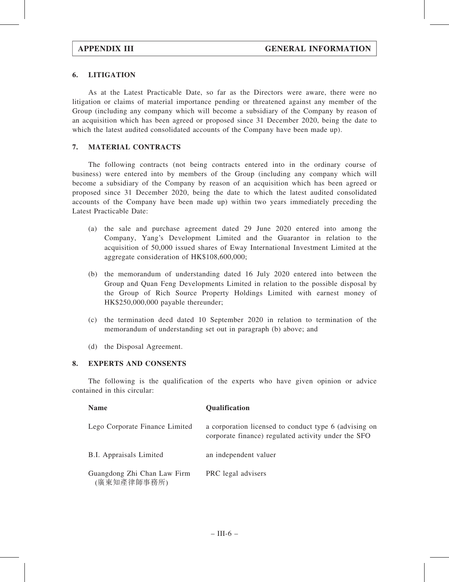# 6. LITIGATION

As at the Latest Practicable Date, so far as the Directors were aware, there were no litigation or claims of material importance pending or threatened against any member of the Group (including any company which will become a subsidiary of the Company by reason of an acquisition which has been agreed or proposed since 31 December 2020, being the date to which the latest audited consolidated accounts of the Company have been made up).

# 7. MATERIAL CONTRACTS

The following contracts (not being contracts entered into in the ordinary course of business) were entered into by members of the Group (including any company which will become a subsidiary of the Company by reason of an acquisition which has been agreed or proposed since 31 December 2020, being the date to which the latest audited consolidated accounts of the Company have been made up) within two years immediately preceding the Latest Practicable Date:

- (a) the sale and purchase agreement dated 29 June 2020 entered into among the Company, Yang's Development Limited and the Guarantor in relation to the acquisition of 50,000 issued shares of Eway International Investment Limited at the aggregate consideration of HK\$108,600,000;
- (b) the memorandum of understanding dated 16 July 2020 entered into between the Group and Quan Feng Developments Limited in relation to the possible disposal by the Group of Rich Source Property Holdings Limited with earnest money of HK\$250,000,000 payable thereunder;
- (c) the termination deed dated 10 September 2020 in relation to termination of the memorandum of understanding set out in paragraph (b) above; and
- (d) the Disposal Agreement.

# 8. EXPERTS AND CONSENTS

The following is the qualification of the experts who have given opinion or advice contained in this circular:

| <b>Name</b>                                | <b>Qualification</b>                                                                                         |
|--------------------------------------------|--------------------------------------------------------------------------------------------------------------|
| Lego Corporate Finance Limited             | a corporation licensed to conduct type 6 (advising on<br>corporate finance) regulated activity under the SFO |
| <b>B.I.</b> Appraisals Limited             | an independent valuer                                                                                        |
| Guangdong Zhi Chan Law Firm<br>(廣東知產律師事務所) | PRC legal advisers                                                                                           |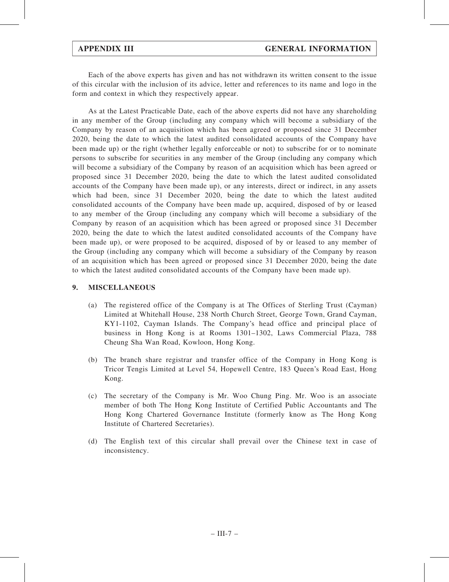Each of the above experts has given and has not withdrawn its written consent to the issue of this circular with the inclusion of its advice, letter and references to its name and logo in the form and context in which they respectively appear.

As at the Latest Practicable Date, each of the above experts did not have any shareholding in any member of the Group (including any company which will become a subsidiary of the Company by reason of an acquisition which has been agreed or proposed since 31 December 2020, being the date to which the latest audited consolidated accounts of the Company have been made up) or the right (whether legally enforceable or not) to subscribe for or to nominate persons to subscribe for securities in any member of the Group (including any company which will become a subsidiary of the Company by reason of an acquisition which has been agreed or proposed since 31 December 2020, being the date to which the latest audited consolidated accounts of the Company have been made up), or any interests, direct or indirect, in any assets which had been, since 31 December 2020, being the date to which the latest audited consolidated accounts of the Company have been made up, acquired, disposed of by or leased to any member of the Group (including any company which will become a subsidiary of the Company by reason of an acquisition which has been agreed or proposed since 31 December 2020, being the date to which the latest audited consolidated accounts of the Company have been made up), or were proposed to be acquired, disposed of by or leased to any member of the Group (including any company which will become a subsidiary of the Company by reason of an acquisition which has been agreed or proposed since 31 December 2020, being the date to which the latest audited consolidated accounts of the Company have been made up).

# 9. MISCELLANEOUS

- (a) The registered office of the Company is at The Offices of Sterling Trust (Cayman) Limited at Whitehall House, 238 North Church Street, George Town, Grand Cayman, KY1-1102, Cayman Islands. The Company's head office and principal place of business in Hong Kong is at Rooms 1301–1302, Laws Commercial Plaza, 788 Cheung Sha Wan Road, Kowloon, Hong Kong.
- (b) The branch share registrar and transfer office of the Company in Hong Kong is Tricor Tengis Limited at Level 54, Hopewell Centre, 183 Queen's Road East, Hong Kong.
- (c) The secretary of the Company is Mr. Woo Chung Ping. Mr. Woo is an associate member of both The Hong Kong Institute of Certified Public Accountants and The Hong Kong Chartered Governance Institute (formerly know as The Hong Kong Institute of Chartered Secretaries).
- (d) The English text of this circular shall prevail over the Chinese text in case of inconsistency.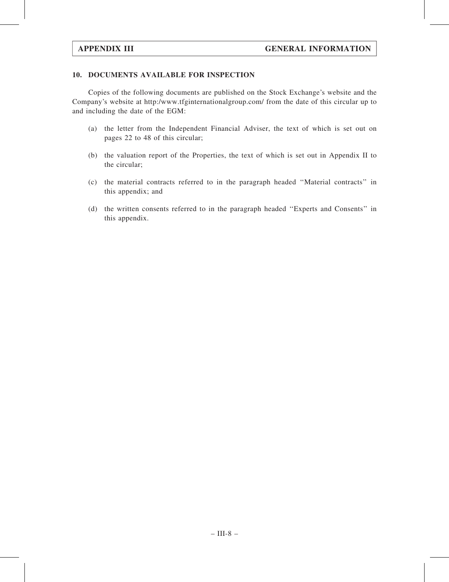# 10. DOCUMENTS AVAILABLE FOR INSPECTION

Copies of the following documents are published on the Stock Exchange's website and the Company's website at http:/www.tfginternationalgroup.com/ from the date of this circular up to and including the date of the EGM:

- (a) the letter from the Independent Financial Adviser, the text of which is set out on pages 22 to 48 of this circular;
- (b) the valuation report of the Properties, the text of which is set out in Appendix II to the circular;
- (c) the material contracts referred to in the paragraph headed ''Material contracts'' in this appendix; and
- (d) the written consents referred to in the paragraph headed ''Experts and Consents'' in this appendix.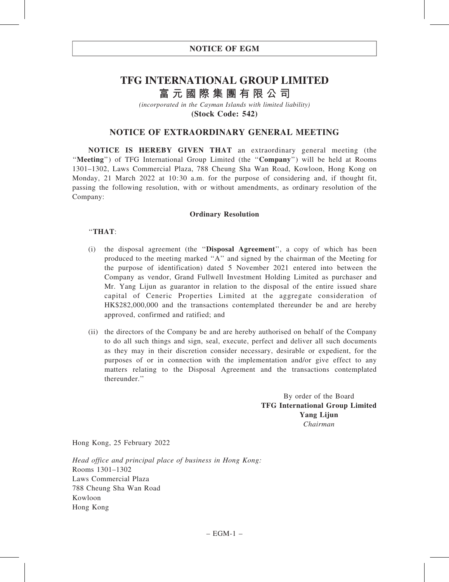# **TFG INTERNATIONAL GROUP LIMITED 富元國際集團有限公司**

*(incorporated in the Cayman Islands with limited liability)* **(Stock Code: 542)**

# NOTICE OF EXTRAORDINARY GENERAL MEETING

NOTICE IS HEREBY GIVEN THAT an extraordinary general meeting (the "Meeting") of TFG International Group Limited (the "Company") will be held at Rooms 1301–1302, Laws Commercial Plaza, 788 Cheung Sha Wan Road, Kowloon, Hong Kong on Monday, 21 March 2022 at 10:30 a.m. for the purpose of considering and, if thought fit, passing the following resolution, with or without amendments, as ordinary resolution of the Company:

### Ordinary Resolution

### ''THAT:

- (i) the disposal agreement (the ''Disposal Agreement'', a copy of which has been produced to the meeting marked ''A'' and signed by the chairman of the Meeting for the purpose of identification) dated 5 November 2021 entered into between the Company as vendor, Grand Fullwell Investment Holding Limited as purchaser and Mr. Yang Lijun as guarantor in relation to the disposal of the entire issued share capital of Ceneric Properties Limited at the aggregate consideration of HK\$282,000,000 and the transactions contemplated thereunder be and are hereby approved, confirmed and ratified; and
- (ii) the directors of the Company be and are hereby authorised on behalf of the Company to do all such things and sign, seal, execute, perfect and deliver all such documents as they may in their discretion consider necessary, desirable or expedient, for the purposes of or in connection with the implementation and/or give effect to any matters relating to the Disposal Agreement and the transactions contemplated thereunder.''

By order of the Board TFG International Group Limited Yang Lijun Chairman

Hong Kong, 25 February 2022

Head office and principal place of business in Hong Kong: Rooms 1301–1302 Laws Commercial Plaza 788 Cheung Sha Wan Road Kowloon Hong Kong